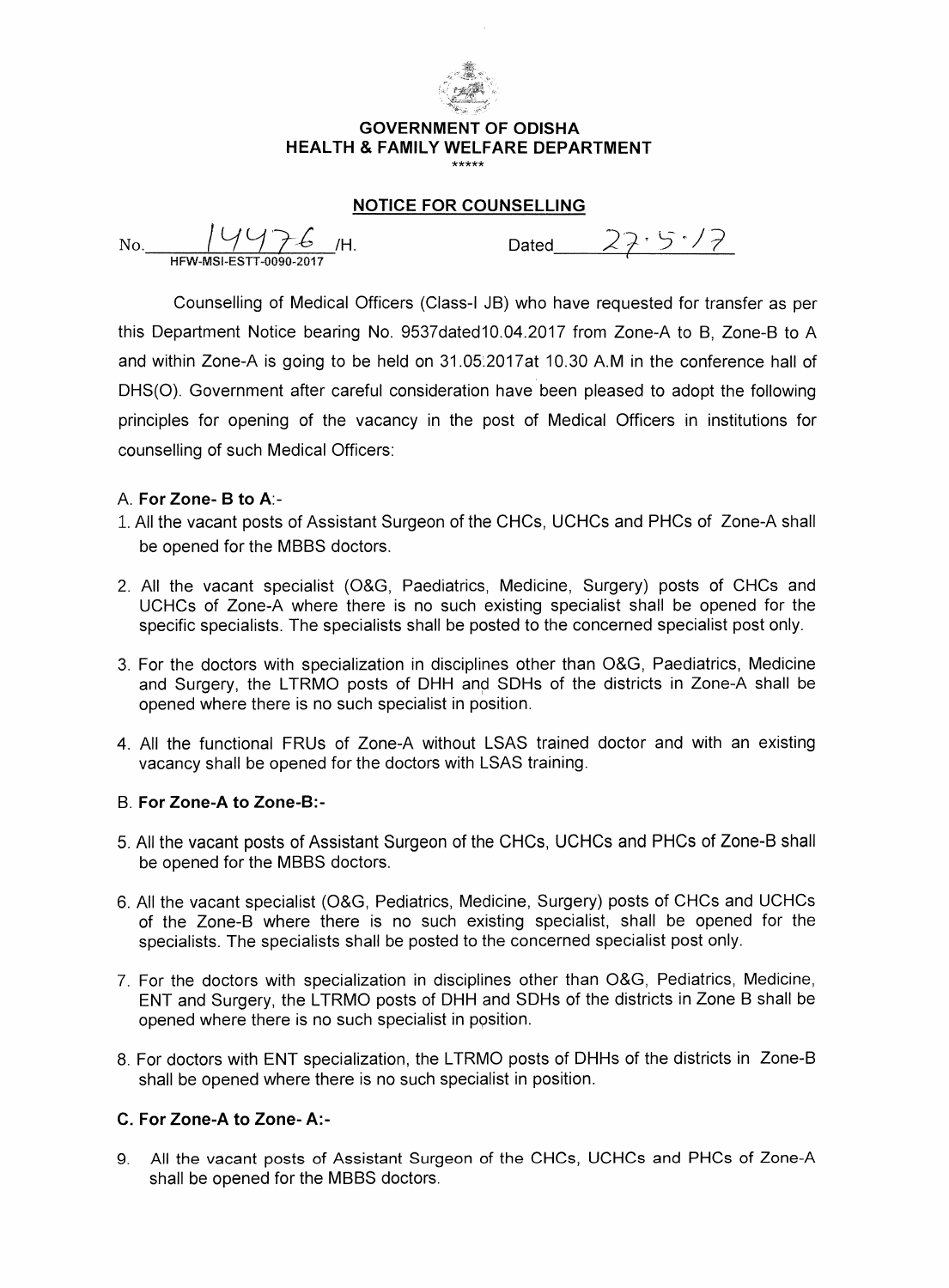

### **GOVERNMENT OF ODISHA HEALTH & FAMILY WELFARE DEPARTMENT**

### **NOTICE FOR COUNSELLING**

No.  $14476$  /H. Dated  $27.5.17$ HFW-NISI-ESTT-0090-2017

Counselling of Medical Officers (Class-I JB) who have requested for transfer as per this Department Notice bearing No. 9537dated10.04.2017 from Zone-A to B, Zone-B to A and within Zone-A is going to be held on 31.052017at 10.30 A.M in the conference hall of DHS(0). Government after careful consideration have been pleased to adopt the following principles for opening of the vacancy in the post of Medical Officers in institutions for counselling of such Medical Officers:

### A. **For Zone- B to A:-**

- **:1..** All the vacant posts of Assistant Surgeon of the CHCs, UCHCs and PHCs of Zone-A shall be opened for the MBBS doctors.
- 2. All the vacant specialist (O&G, Paediatrics, Medicine, Surgery) posts of CHCs and UCHCs of Zone-A where there is no such existing specialist shall be opened for the specific specialists. The specialists shall be posted to the concerned specialist post only.
- 3. For the doctors with specialization in disciplines other than O&G, Paediatrics, Medicine and Surgery, the LTRMO posts of DHH and SDHs of the districts in Zone-A shall be opened where there is no such specialist in position.
- 4. All the functional FRUs of Zone-A without LSAS trained doctor and with an existing vacancy shall be opened for the doctors with LSAS training.

### B. **For Zone-A to Zone-B:-**

- 5. All the vacant posts of Assistant Surgeon of the CHCs, UCHCs and PHCs of Zone-B shall be opened for the MBBS doctors.
- 6. All the vacant specialist (O&G, Pediatrics, Medicine, Surgery) posts of CHCs and UCHCs of the Zone-B where there is no such existing specialist, shall be opened for the specialists. The specialists shall be posted to the concerned specialist post only.
- 7. For the doctors with specialization in disciplines other than O&G, Pediatrics, Medicine, ENT and Surgery, the LTRMO posts of DHH and SDHs of the districts in Zone B shall be opened where there is no such specialist in position.
- 8. For doctors with ENT specialization, the LTRMO posts of DHHs of the districts in Zone-B shall be opened where there is no such specialist in position.

### **C. For Zone-A to Zone- A:-**

**9.** All the vacant posts of Assistant Surgeon of the CHCs, UCHCs and PHCs of Zone-A shall be opened for the MBBS doctors.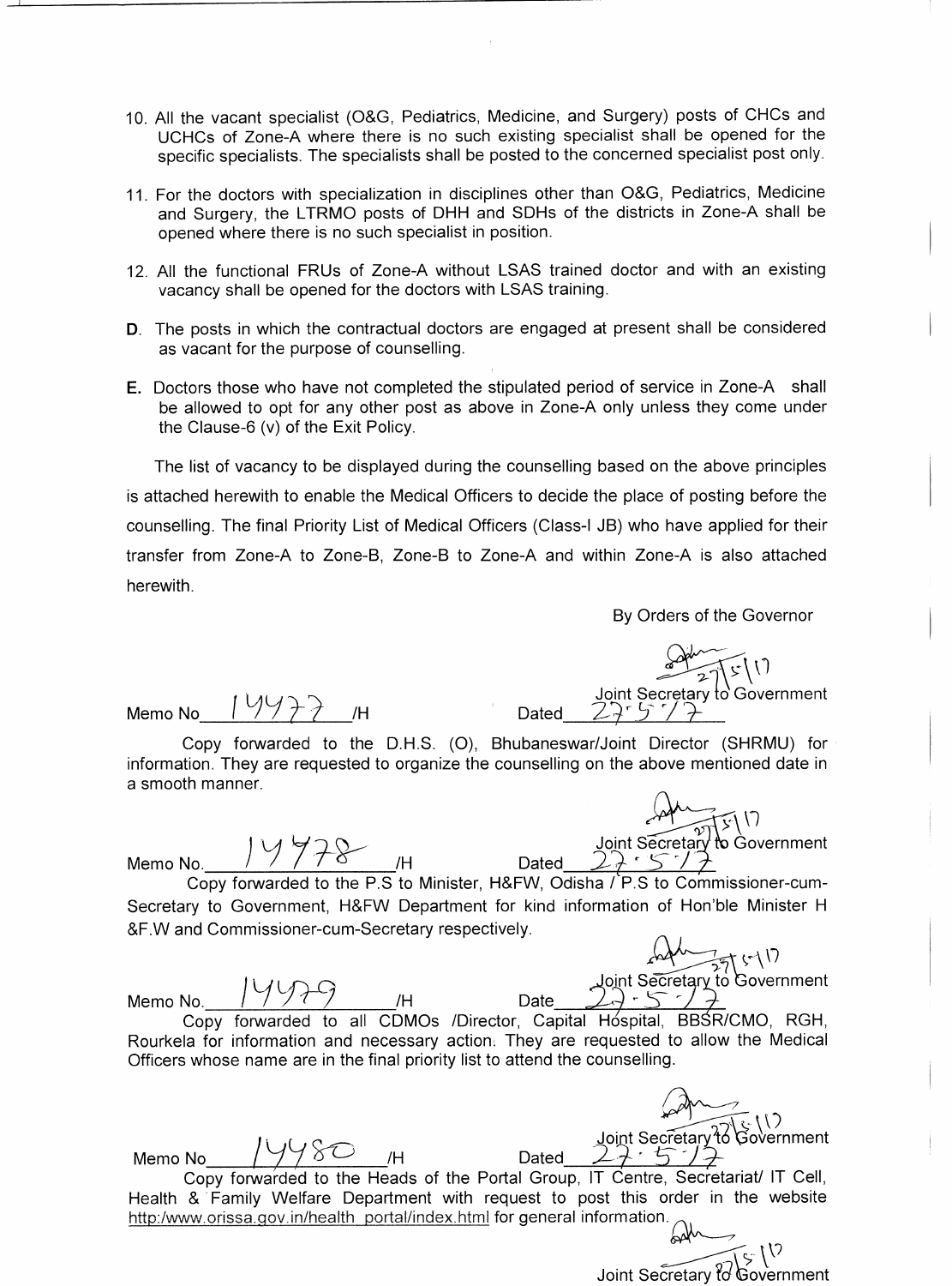- 10. All the vacant specialist (O&G, Pediatrics, Medicine, and Surgery) posts of CHCs and UCHCs of Zone-A where there is no such existing specialist shall be opened for the specific specialists. The specialists shall be posted to the concerned specialist post only.
- 11. For the doctors with specialization in disciplines other than O&G, Pediatrics, Medicine and Surgery, the LTRMO posts of DHH and SDHs of the districts in Zone-A shall be opened where there is no such specialist in position.
- 12. All the functional FRUs of Zone-A without LSAS trained doctor and with an existing vacancy shall be opened for the doctors with LSAS training.
- D. The posts in which the contractual doctors are engaged at present shall be considered as vacant for the purpose of counselling.
- E. Doctors those who have not completed the stipulated period of service in Zone-A shall be allowed to opt for any other post as above in Zone-A only unless they come under the Clause-6 (v) of the Exit Policy.

The list of vacancy to be displayed during the counselling based on the above principles is attached herewith to enable the Medical Officers to decide the place of posting before the counselling. The final Priority List of Medical Officers (Class-I JB) who have applied for their transfer from Zone-A to Zone-B, Zone-B to Zone-A and within Zone-A is also attached herewith.

By Orders of the Governor

Memo No Y**-1?-? /H** Dated

V Joint Secretary to Government

Copy forwarded to the D.H.S. (0), Bhubaneswar/Joint Director (SHRMU) for information. They are requested to organize the counselling on the above mentioned date in a smooth manner.

Memo No.  $\frac{1}{2}$  /  $\frac{1}{2}$   $\frac{1}{2}$   $\frac{1}{2}$   $\frac{1}{2}$  Dated

Joint Secreta<br>22 S Government

Copy forwarded to the P.S to Minister, H&FW, Odisha / P.S to Commissioner-cum-Secretary to Government, H&FW Department for kind information of Hon'ble Minister H &F.W and Commissioner-cum-Secretary respectively. a / P.S to Commissioner-cum-<br>
mation of Hon'ble Minister H<br>  $\begin{array}{r} \bigwedge \bigwedge \overline{P} \setminus \{ \cdot \} \big) \\ \text{Joint Secretary to Government} \\ \bigwedge \overline{P} \subset \overline{P} \end{array}$ <br>
Hospital, BBSR/CMO, RGH,<br>
quested to allow the Medical<br>
punselling.<br>  $\begin{array}{r} \bigwedge \bigwedge \overline{P}$ 

int Secretary to Government Memo No. 1991<br>Memo No. 1991<br>Copy forwarded to all CDMOs /Director, Capital Hospital, BBSR/CMO, RGH,

" Rourkela for information and necessary action. They are requested to allow the Medical Officers whose name are in the final priority list to attend the counselling.

Memo No 19980 H<br>
Copy forwarded to the Heads of the Portal Group, IT Centre, Secretariat/ IT Cell, Health & Family Welfare Department with request to post this order in the website http:/www.orissa.gov.in/health\_portal/index.html for general information.

Joint Secretary <del>ใ</del>o Go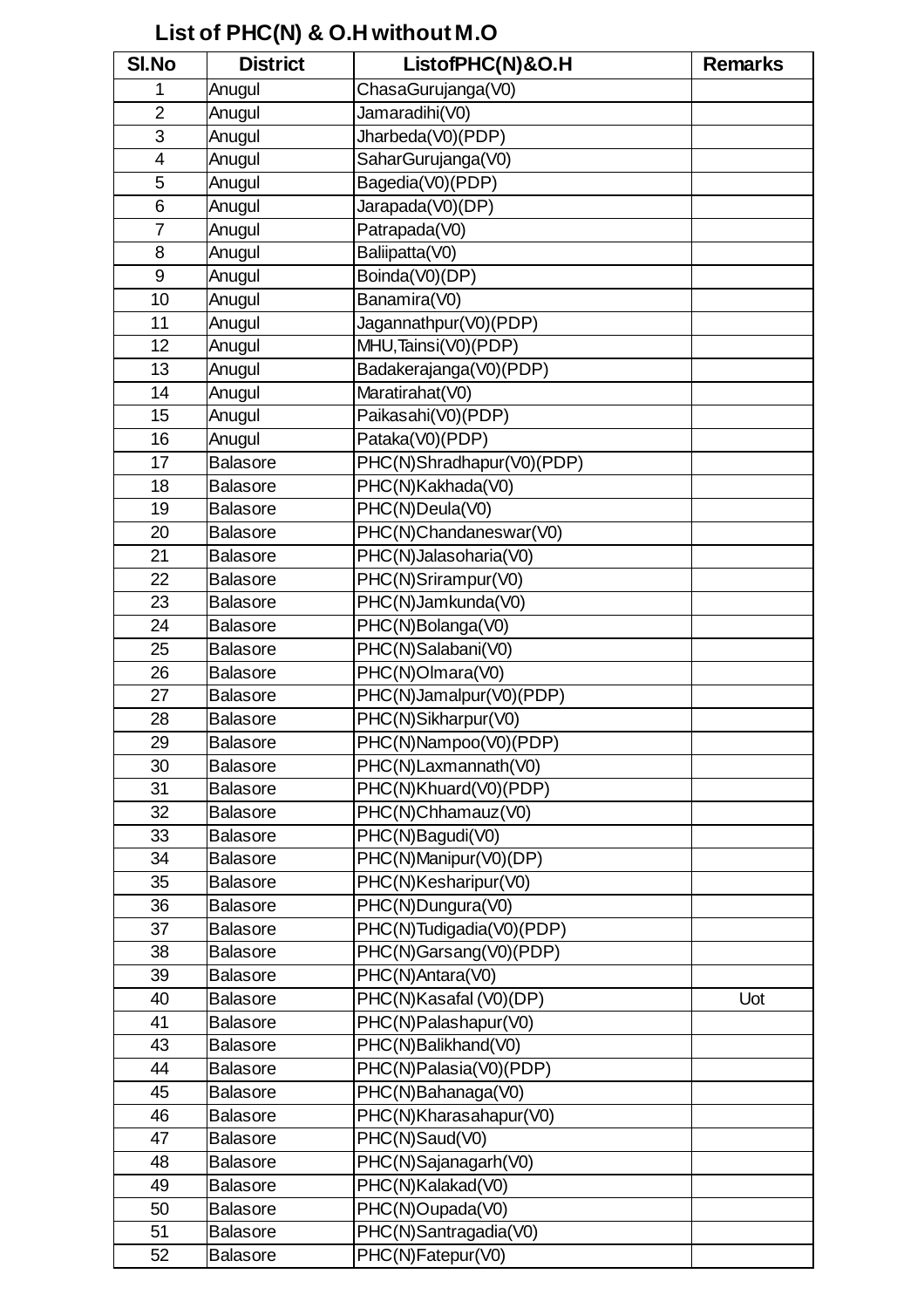# **List of PHC(N) & O.H without M.O**

| SI.No                   | <b>District</b> | ListofPHC(N)&O.H          | <b>Remarks</b> |
|-------------------------|-----------------|---------------------------|----------------|
| 1                       | Anugul          | ChasaGurujanga(V0)        |                |
| $\overline{2}$          | Anugul          | Jamaradihi(V0)            |                |
| 3                       | Anugul          | Jharbeda(V0)(PDP)         |                |
| $\overline{\mathbf{4}}$ | Anugul          | SaharGurujanga(V0)        |                |
| 5                       | Anugul          | Bagedia(V0)(PDP)          |                |
| 6                       | Anugul          | Jarapada(V0)(DP)          |                |
| $\overline{7}$          | Anugul          | Patrapada(V0)             |                |
| 8                       | Anugul          | Baliipatta(V0)            |                |
| 9                       | Anugul          | Boinda(V0)(DP)            |                |
| 10                      | Anugul          | Banamira(V0)              |                |
| 11                      | Anugul          | Jagannathpur(V0)(PDP)     |                |
| 12                      | Anugul          | MHU, Tainsi(V0)(PDP)      |                |
| 13                      | Anugul          | Badakerajanga(V0)(PDP)    |                |
| 14                      | Anugul          | Maratirahat(V0)           |                |
| 15                      | Anugul          | Paikasahi(V0)(PDP)        |                |
| 16                      | Anugul          | Pataka(V0)(PDP)           |                |
| 17                      | <b>Balasore</b> | PHC(N)Shradhapur(V0)(PDP) |                |
| 18                      | <b>Balasore</b> | PHC(N)Kakhada(V0)         |                |
| 19                      | <b>Balasore</b> | PHC(N)Deula(V0)           |                |
| 20                      | <b>Balasore</b> | PHC(N)Chandaneswar(V0)    |                |
| 21                      | <b>Balasore</b> | PHC(N)Jalasoharia(V0)     |                |
| 22                      | <b>Balasore</b> | PHC(N)Srirampur(V0)       |                |
| 23                      | <b>Balasore</b> | PHC(N)Jamkunda(V0)        |                |
| 24                      | <b>Balasore</b> | PHC(N)Bolanga(V0)         |                |
| 25                      | <b>Balasore</b> | PHC(N)Salabani(V0)        |                |
| 26                      | <b>Balasore</b> | PHC(N)Olmara(V0)          |                |
| 27                      | <b>Balasore</b> | PHC(N)Jamalpur(V0)(PDP)   |                |
| 28                      | <b>Balasore</b> | PHC(N)Sikharpur(V0)       |                |
| 29                      | <b>Balasore</b> | PHC(N)Nampoo(V0)(PDP)     |                |
| 30                      | <b>Balasore</b> | PHC(N)Laxmannath(V0)      |                |
| 31                      | <b>Balasore</b> | PHC(N)Khuard(V0)(PDP)     |                |
| 32                      | <b>Balasore</b> | PHC(N)Chhamauz(V0)        |                |
| 33                      | <b>Balasore</b> | PHC(N)Bagudi(V0)          |                |
| 34                      | <b>Balasore</b> | PHC(N)Manipur(V0)(DP)     |                |
| 35                      | <b>Balasore</b> | PHC(N)Kesharipur(V0)      |                |
| 36                      | <b>Balasore</b> | PHC(N)Dungura(V0)         |                |
| 37                      | <b>Balasore</b> | PHC(N)Tudigadia(V0)(PDP)  |                |
| 38                      | <b>Balasore</b> | PHC(N)Garsang(V0)(PDP)    |                |
| 39                      | <b>Balasore</b> | PHC(N)Antara(V0)          |                |
| 40                      | <b>Balasore</b> | PHC(N)Kasafal (V0)(DP)    | Uot            |
| 41                      | <b>Balasore</b> | PHC(N)Palashapur(V0)      |                |
| 43                      | <b>Balasore</b> | PHC(N)Balikhand(V0)       |                |
| 44                      | <b>Balasore</b> | PHC(N)Palasia(V0)(PDP)    |                |
| 45                      | <b>Balasore</b> | PHC(N)Bahanaga(V0)        |                |
| 46                      | <b>Balasore</b> | PHC(N)Kharasahapur(V0)    |                |
| 47                      | <b>Balasore</b> | PHC(N)Saud(V0)            |                |
| 48                      | <b>Balasore</b> | PHC(N)Sajanagarh(V0)      |                |
| 49                      | <b>Balasore</b> | PHC(N)Kalakad(V0)         |                |
| 50                      | <b>Balasore</b> | PHC(N)Oupada(V0)          |                |
| 51                      | <b>Balasore</b> | PHC(N)Santragadia(V0)     |                |
| 52                      | <b>Balasore</b> | PHC(N)Fatepur(V0)         |                |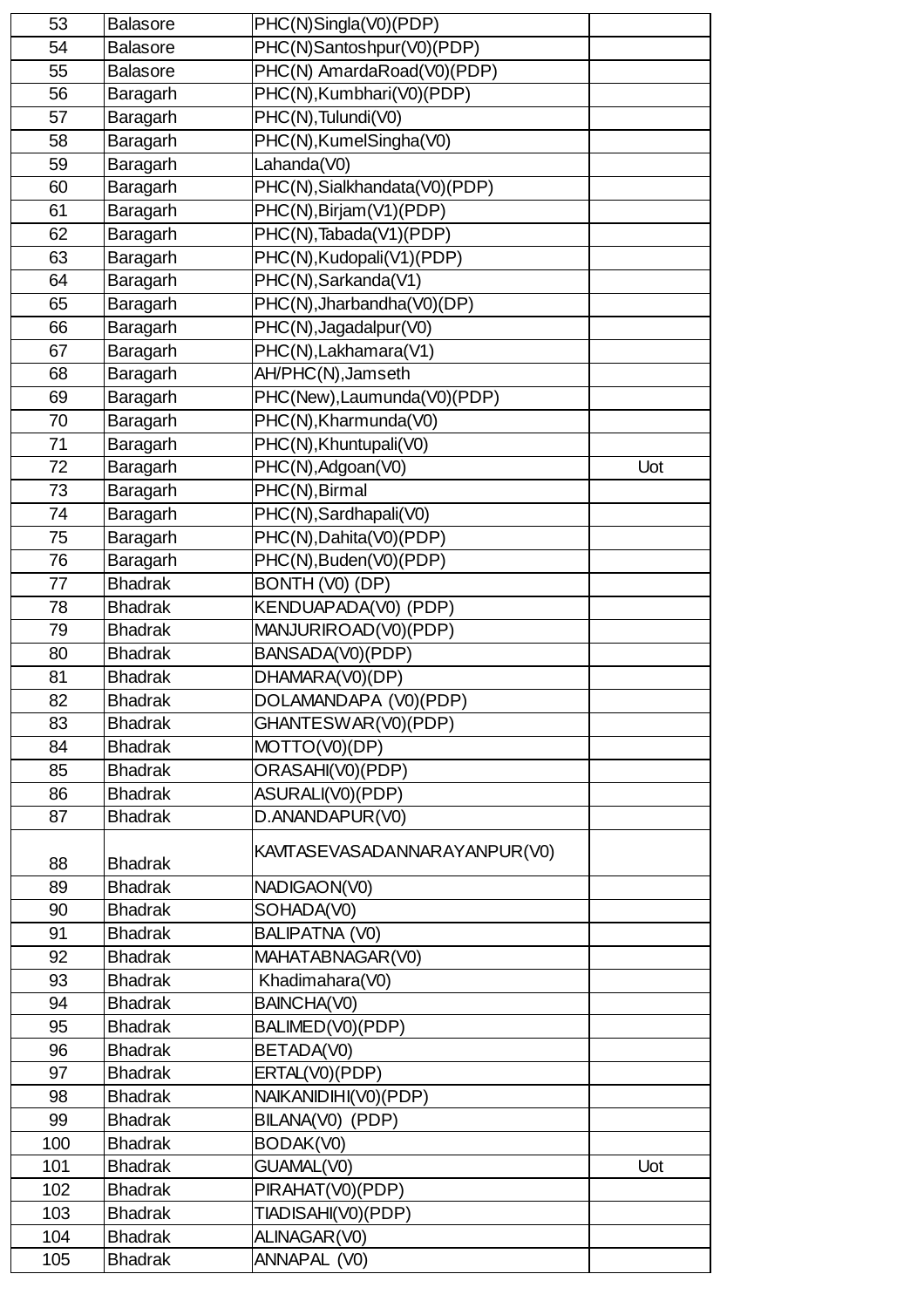| 53  | <b>Balasore</b> | PHC(N)Singla(V0)(PDP)         |     |
|-----|-----------------|-------------------------------|-----|
| 54  | <b>Balasore</b> | PHC(N)Santoshpur(V0)(PDP)     |     |
| 55  | <b>Balasore</b> | PHC(N) AmardaRoad(V0)(PDP)    |     |
| 56  | Baragarh        | PHC(N), Kumbhari(V0)(PDP)     |     |
| 57  | Baragarh        | PHC(N), Tulundi(V0)           |     |
| 58  | Baragarh        | PHC(N), KumelSingha(V0)       |     |
| 59  | Baragarh        | Lahanda(V0)                   |     |
| 60  | Baragarh        | PHC(N), Sialkhandata(V0)(PDP) |     |
| 61  | Baragarh        | PHC(N), Birjam (V1) (PDP)     |     |
| 62  | Baragarh        | PHC(N), Tabada(V1)(PDP)       |     |
| 63  | Baragarh        | PHC(N), Kudopali(V1)(PDP)     |     |
| 64  | Baragarh        | PHC(N), Sarkanda(V1)          |     |
| 65  | Baragarh        | PHC(N), Jharbandha(V0)(DP)    |     |
| 66  | Baragarh        | PHC(N), Jagadalpur(V0)        |     |
| 67  | Baragarh        | PHC(N), Lakhamara(V1)         |     |
| 68  | Baragarh        | AH/PHC(N), Jamseth            |     |
| 69  | Baragarh        | PHC(New), Laumunda(V0)(PDP)   |     |
| 70  | Baragarh        | PHC(N), Kharmunda(V0)         |     |
| 71  | Baragarh        | PHC(N), Khuntupali(V0)        |     |
| 72  | Baragarh        | PHC(N), Adgoan(V0)            | Uot |
| 73  | Baragarh        | PHC(N), Birmal                |     |
| 74  | Baragarh        | PHC(N), Sardhapali(V0)        |     |
| 75  | Baragarh        | PHC(N), Dahita(V0)(PDP)       |     |
| 76  | Baragarh        | PHC(N), Buden(V0)(PDP)        |     |
| 77  | <b>Bhadrak</b>  | BONTH (V0) (DP)               |     |
| 78  | <b>Bhadrak</b>  | KENDUAPADA(V0) (PDP)          |     |
| 79  | <b>Bhadrak</b>  | MANJURIROAD(V0)(PDP)          |     |
| 80  | <b>Bhadrak</b>  | BANSADA(V0)(PDP)              |     |
| 81  | <b>Bhadrak</b>  | DHAMARA(V0)(DP)               |     |
| 82  | <b>Bhadrak</b>  | DOLAMANDAPA (V0)(PDP)         |     |
| 83  | <b>Bhadrak</b>  | GHANTESWAR(V0)(PDP)           |     |
| 84  | <b>Bhadrak</b>  | MOTTO(V0)(DP)                 |     |
| 85  | <b>Bhadrak</b>  | ORASAHI(V0)(PDP)              |     |
| 86  | <b>Bhadrak</b>  | ASURALI(V0)(PDP)              |     |
| 87  | <b>Bhadrak</b>  | D.ANANDAPUR(V0)               |     |
|     |                 |                               |     |
| 88  | <b>Bhadrak</b>  | KAVITASEVASADANNARAYANPUR(V0) |     |
| 89  | <b>Bhadrak</b>  | NADIGAON(V0)                  |     |
| 90  | <b>Bhadrak</b>  | SOHADA(V0)                    |     |
| 91  | <b>Bhadrak</b>  | <b>BALIPATNA (V0)</b>         |     |
| 92  | <b>Bhadrak</b>  | MAHATABNAGAR(V0)              |     |
| 93  | <b>Bhadrak</b>  | Khadimahara(V0)               |     |
| 94  | <b>Bhadrak</b>  | BAINCHA(V0)                   |     |
| 95  | <b>Bhadrak</b>  | BALIMED(V0)(PDP)              |     |
| 96  | <b>Bhadrak</b>  | BETADA(V0)                    |     |
| 97  | <b>Bhadrak</b>  | ERTAL(V0)(PDP)                |     |
| 98  | <b>Bhadrak</b>  | NAIKANIDIHI(V0)(PDP)          |     |
| 99  | <b>Bhadrak</b>  | BILANA(V0) (PDP)              |     |
| 100 | <b>Bhadrak</b>  | BODAK(V0)                     |     |
| 101 | <b>Bhadrak</b>  | GUAMAL(V0)                    | Uot |
| 102 | <b>Bhadrak</b>  | PIRAHAT(V0)(PDP)              |     |
| 103 | <b>Bhadrak</b>  | TIADISAHI(V0)(PDP)            |     |
| 104 | <b>Bhadrak</b>  | ALINAGAR(V0)                  |     |
| 105 | <b>Bhadrak</b>  | ANNAPAL (V0)                  |     |
|     |                 |                               |     |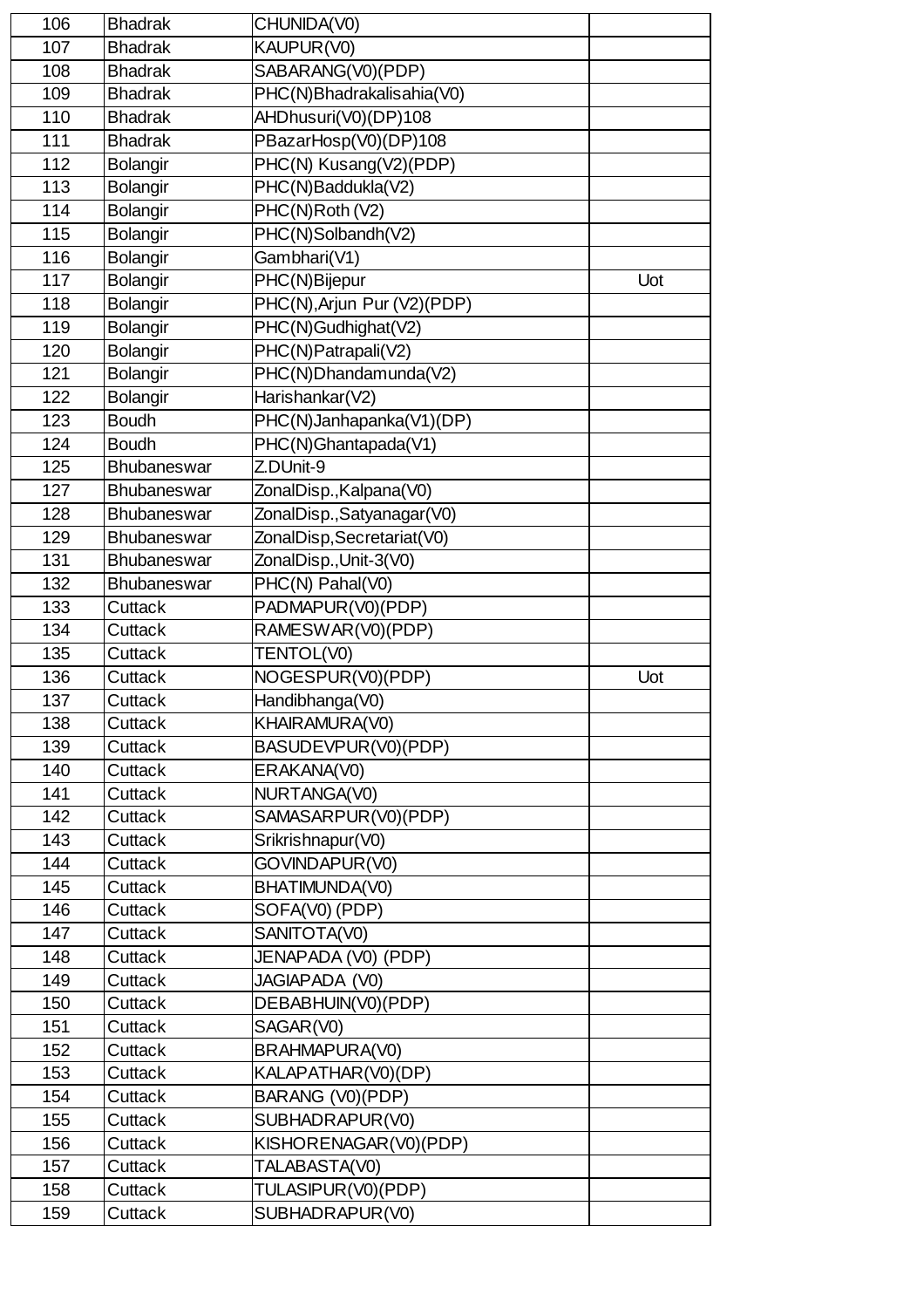| 106 | <b>Bhadrak</b>     | CHUNIDA(V0)                 |     |
|-----|--------------------|-----------------------------|-----|
| 107 | <b>Bhadrak</b>     | KAUPUR(V0)                  |     |
| 108 | <b>Bhadrak</b>     | SABARANG(V0)(PDP)           |     |
| 109 | <b>Bhadrak</b>     | PHC(N)Bhadrakalisahia(V0)   |     |
| 110 | <b>Bhadrak</b>     | AHDhusuri(V0)(DP)108        |     |
| 111 | <b>Bhadrak</b>     | PBazarHosp(V0)(DP)108       |     |
| 112 | Bolangir           | PHC(N) Kusang(V2)(PDP)      |     |
| 113 | Bolangir           | PHC(N)Baddukla(V2)          |     |
| 114 | <b>Bolangir</b>    | PHC(N)Roth (V2)             |     |
| 115 | <b>Bolangir</b>    | PHC(N)Solbandh(V2)          |     |
| 116 | <b>Bolangir</b>    | Gambhari(V1)                |     |
| 117 | Bolangir           | PHC(N)Bijepur               | Uot |
| 118 | Bolangir           | PHC(N), Arjun Pur (V2)(PDP) |     |
| 119 | Bolangir           | PHC(N)Gudhighat(V2)         |     |
| 120 | <b>Bolangir</b>    | PHC(N)Patrapali(V2)         |     |
| 121 | Bolangir           | PHC(N)Dhandamunda(V2)       |     |
| 122 | <b>Bolangir</b>    | Harishankar(V2)             |     |
| 123 | <b>Boudh</b>       | PHC(N)Janhapanka(V1)(DP)    |     |
| 124 | <b>Boudh</b>       | PHC(N)Ghantapada(V1)        |     |
| 125 | Bhubaneswar        | Z.DUnit-9                   |     |
| 127 | Bhubaneswar        | ZonalDisp., Kalpana(V0)     |     |
| 128 | Bhubaneswar        | ZonalDisp., Satyanagar (V0) |     |
| 129 | Bhubaneswar        | ZonalDisp, Secretariat(V0)  |     |
| 131 | Bhubaneswar        | ZonalDisp., Unit-3(V0)      |     |
| 132 | <b>Bhubaneswar</b> | PHC(N) Pahal(V0)            |     |
| 133 | Cuttack            | PADMAPUR(V0)(PDP)           |     |
| 134 | Cuttack            | RAMESWAR(V0)(PDP)           |     |
| 135 | Cuttack            | TENTOL(V0)                  |     |
| 136 | Cuttack            | NOGESPUR(V0)(PDP)           | Uot |
| 137 | Cuttack            | Handibhanga(V0)             |     |
| 138 | Cuttack            | KHAIRAMURA(V0)              |     |
| 139 | Cuttack            | BASUDEVPUR(V0)(PDP)         |     |
| 140 | Cuttack            | ERAKANA(V0)                 |     |
| 141 | Cuttack            | NURTANGA(V0)                |     |
| 142 | Cuttack            | SAMASARPUR(V0)(PDP)         |     |
| 143 | Cuttack            | Srikrishnapur(V0)           |     |
| 144 | Cuttack            | GOVINDAPUR(V0)              |     |
| 145 | Cuttack            | BHATIMUNDA(V0)              |     |
| 146 | Cuttack            | SOFA(V0) (PDP)              |     |
| 147 | Cuttack            | SANITOTA(V0)                |     |
| 148 | Cuttack            | JENAPADA (V0) (PDP)         |     |
| 149 | Cuttack            | <b>JAGIAPADA (V0)</b>       |     |
| 150 | Cuttack            | DEBABHUIN(V0)(PDP)          |     |
| 151 | Cuttack            | SAGAR(V0)                   |     |
| 152 | Cuttack            | BRAHMAPURA(V0)              |     |
| 153 | Cuttack            | KALAPATHAR(V0)(DP)          |     |
| 154 | Cuttack            | BARANG (V0)(PDP)            |     |
| 155 | Cuttack            | SUBHADRAPUR(V0)             |     |
| 156 | Cuttack            | KISHORENAGAR(V0)(PDP)       |     |
| 157 | Cuttack            | TALABASTA(V0)               |     |
| 158 | Cuttack            | TULASIPUR(V0)(PDP)          |     |
| 159 | Cuttack            | SUBHADRAPUR(V0)             |     |
|     |                    |                             |     |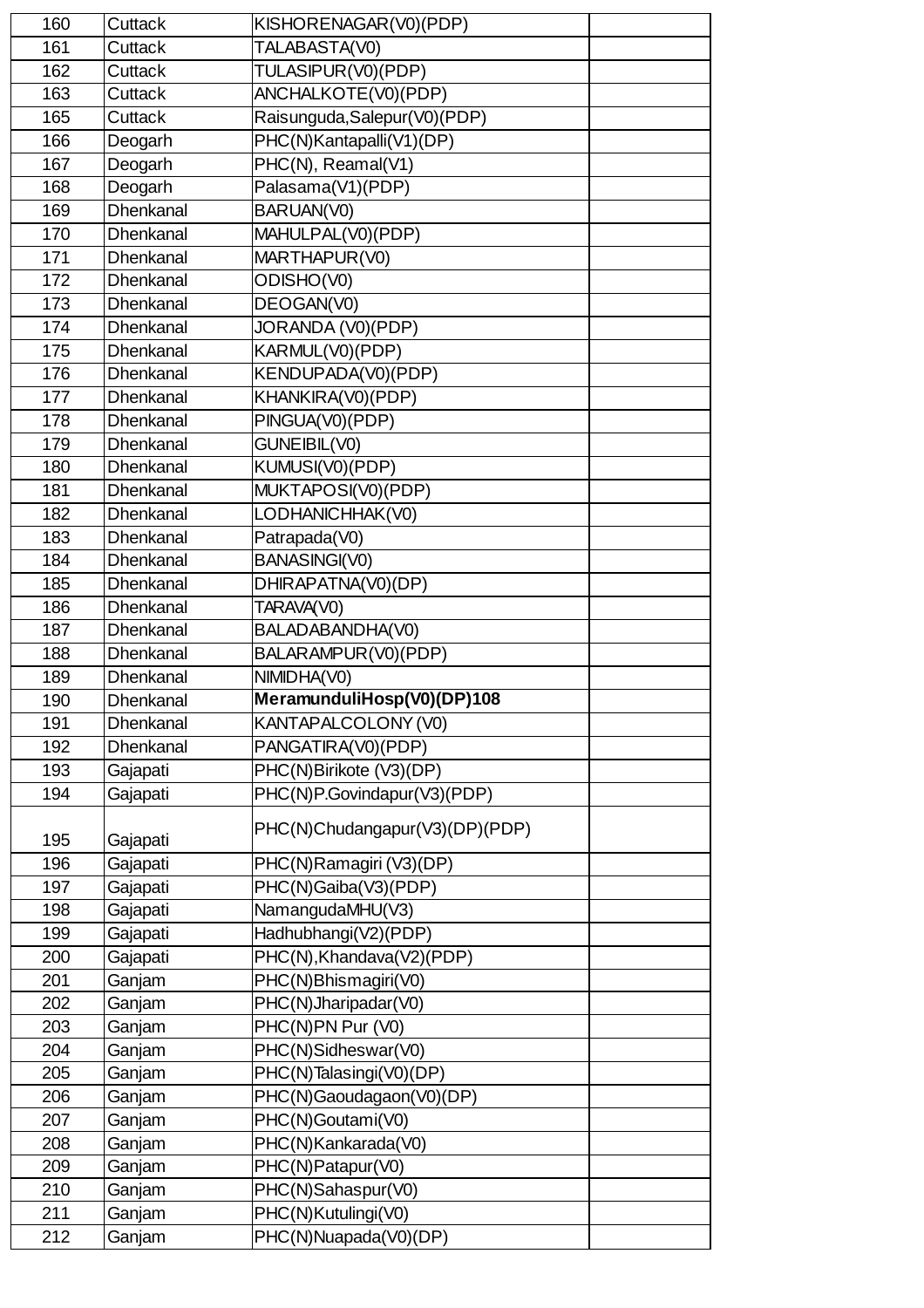| 160 | Cuttack          | KISHORENAGAR(V0)(PDP)          |  |
|-----|------------------|--------------------------------|--|
| 161 | Cuttack          | TALABASTA(V0)                  |  |
| 162 | Cuttack          | TULASIPUR(V0)(PDP)             |  |
| 163 | Cuttack          | ANCHALKOTE(V0)(PDP)            |  |
| 165 | Cuttack          | Raisunguda, Salepur(V0)(PDP)   |  |
| 166 | Deogarh          | PHC(N)Kantapalli(V1)(DP)       |  |
| 167 | Deogarh          | PHC(N), Reamal(V1)             |  |
| 168 | Deogarh          | Palasama(V1)(PDP)              |  |
| 169 | <b>Dhenkanal</b> | BARUAN(V0)                     |  |
| 170 | Dhenkanal        | MAHULPAL(V0)(PDP)              |  |
| 171 | Dhenkanal        | MARTHAPUR(V0)                  |  |
| 172 | Dhenkanal        | ODISHO(V0)                     |  |
| 173 | Dhenkanal        | DEOGAN(V0)                     |  |
| 174 | <b>Dhenkanal</b> | JORANDA (V0)(PDP)              |  |
| 175 | Dhenkanal        | KARMUL(V0)(PDP)                |  |
| 176 | Dhenkanal        | KENDUPADA(V0)(PDP)             |  |
| 177 | Dhenkanal        | KHANKIRA(V0)(PDP)              |  |
| 178 | Dhenkanal        | PINGUA(V0)(PDP)                |  |
| 179 | Dhenkanal        | <b>GUNEIBIL(V0)</b>            |  |
| 180 | Dhenkanal        | KUMUSI(V0)(PDP)                |  |
| 181 | Dhenkanal        | MUKTAPOSI(V0)(PDP)             |  |
| 182 | Dhenkanal        | LODHANICHHAK(V0)               |  |
| 183 | Dhenkanal        | Patrapada(V0)                  |  |
| 184 | Dhenkanal        | <b>BANASINGI(V0)</b>           |  |
| 185 | Dhenkanal        | DHIRAPATNA(V0)(DP)             |  |
| 186 | Dhenkanal        | TARAVA(V0)                     |  |
| 187 | <b>Dhenkanal</b> | BALADABANDHA(V0)               |  |
| 188 | Dhenkanal        | BALARAMPUR(V0)(PDP)            |  |
| 189 | Dhenkanal        | NIMIDHA(V0)                    |  |
| 190 | Dhenkanal        | MeramunduliHosp(V0)(DP)108     |  |
| 191 | <b>Dhenkanal</b> | KANTAPALCOLONY (V0)            |  |
| 192 | <b>Dhenkanal</b> | PANGATIRA(V0)(PDP)             |  |
| 193 | Gajapati         | PHC(N)Birikote (V3)(DP)        |  |
| 194 | Gajapati         | PHC(N)P.Govindapur(V3)(PDP)    |  |
|     |                  |                                |  |
| 195 | Gajapati         | PHC(N)Chudangapur(V3)(DP)(PDP) |  |
| 196 | Gajapati         | PHC(N)Ramagiri (V3)(DP)        |  |
| 197 | Gajapati         | PHC(N)Gaiba(V3)(PDP)           |  |
| 198 | Gajapati         | NamangudaMHU(V3)               |  |
| 199 | Gajapati         | Hadhubhangi(V2)(PDP)           |  |
| 200 | Gajapati         | PHC(N), Khandava(V2)(PDP)      |  |
| 201 | Ganjam           | PHC(N)Bhismagiri(V0)           |  |
| 202 | Ganjam           | PHC(N)Jharipadar(V0)           |  |
| 203 | Ganjam           | PHC(N)PN Pur (V0)              |  |
| 204 | Ganjam           | PHC(N)Sidheswar(V0)            |  |
| 205 | Ganjam           | PHC(N)Talasingi(V0)(DP)        |  |
| 206 | Ganjam           | PHC(N)Gaoudagaon(V0)(DP)       |  |
| 207 | Ganjam           | PHC(N)Goutami(V0)              |  |
| 208 | Ganjam           | PHC(N)Kankarada(V0)            |  |
| 209 | Ganjam           | PHC(N)Patapur(V0)              |  |
| 210 | Ganjam           | PHC(N)Sahaspur(V0)             |  |
| 211 | Ganjam           | PHC(N)Kutulingi(V0)            |  |
| 212 | Ganjam           | PHC(N)Nuapada(V0)(DP)          |  |
|     |                  |                                |  |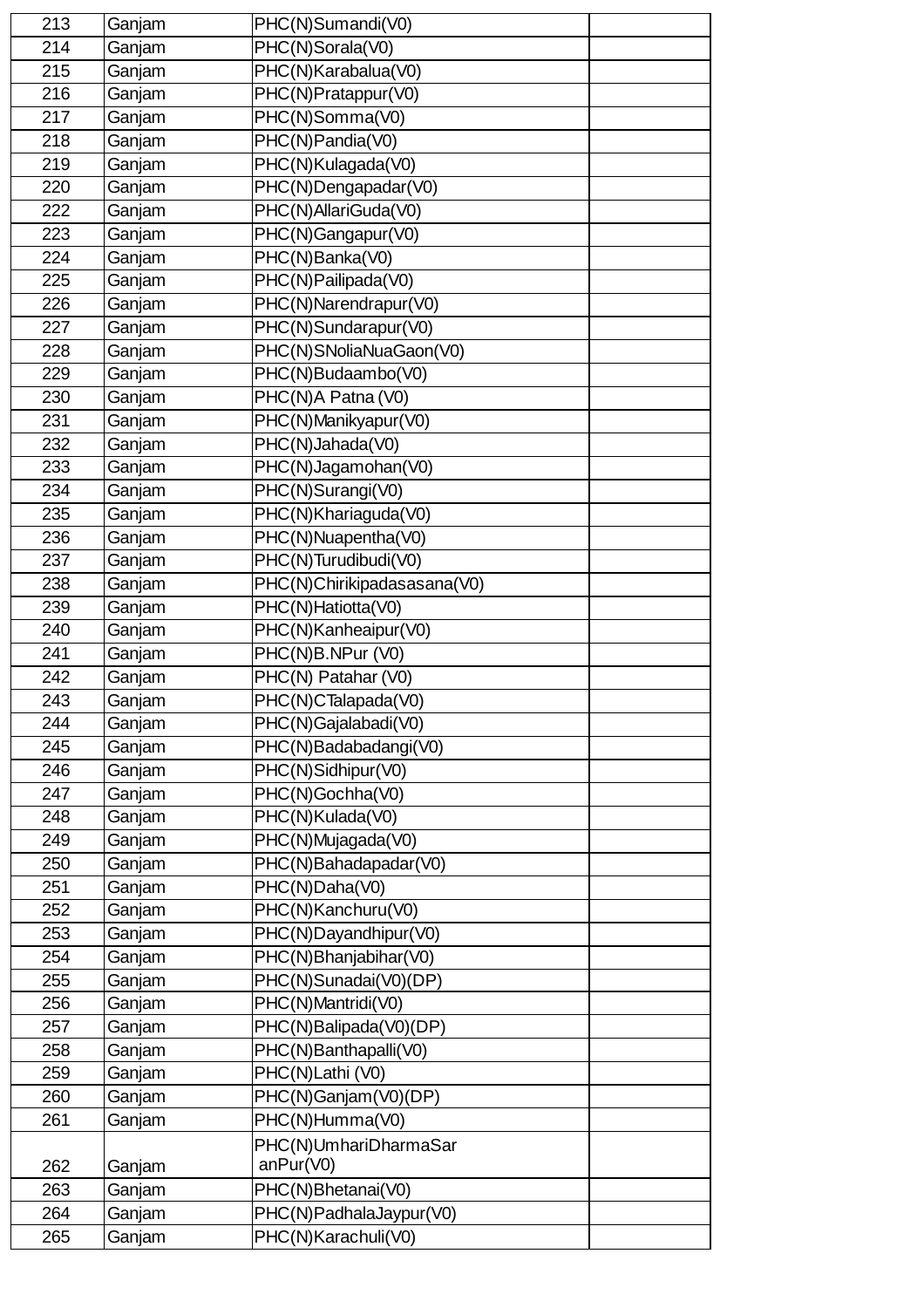| 213 | Ganjam | PHC(N)Sumandi(V0)           |  |
|-----|--------|-----------------------------|--|
| 214 |        | PHC(N)Sorala(V0)            |  |
|     | Ganjam |                             |  |
| 215 | Ganjam | PHC(N)Karabalua(V0)         |  |
| 216 | Ganjam | PHC(N)Pratappur(V0)         |  |
| 217 | Ganjam | PHC(N)Somma(V0)             |  |
| 218 | Ganjam | PHC(N)Pandia(V0)            |  |
| 219 | Ganjam | PHC(N)Kulagada(V0)          |  |
| 220 | Ganjam | PHC(N)Dengapadar(V0)        |  |
| 222 | Ganjam | PHC(N)AllariGuda(V0)        |  |
| 223 | Ganjam | PHC(N)Gangapur(V0)          |  |
| 224 | Ganjam | PHC(N)Banka(V0)             |  |
| 225 | Ganjam | PHC(N)Pailipada(V0)         |  |
| 226 | Ganjam | PHC(N)Narendrapur(V0)       |  |
| 227 | Ganjam | PHC(N)Sundarapur(V0)        |  |
| 228 | Ganjam | PHC(N)SNoliaNuaGaon(V0)     |  |
| 229 | Ganjam | PHC(N)Budaambo(V0)          |  |
| 230 | Ganjam | PHC(N)A Patna (V0)          |  |
| 231 | Ganjam | PHC(N)Manikyapur(V0)        |  |
| 232 | Ganjam | PHC(N)Jahada(V0)            |  |
| 233 | Ganjam | PHC(N)Jagamohan(V0)         |  |
| 234 | Ganjam | PHC(N)Surangi(V0)           |  |
| 235 | Ganjam | PHC(N)Khariaguda(V0)        |  |
| 236 | Ganjam | PHC(N)Nuapentha(V0)         |  |
| 237 | Ganjam | PHC(N)Turudibudi(V0)        |  |
| 238 | Ganjam | PHC(N)Chirikipadasasana(V0) |  |
| 239 | Ganjam | PHC(N)Hatiotta(V0)          |  |
| 240 | Ganjam | PHC(N)Kanheaipur(V0)        |  |
| 241 | Ganjam | PHC(N)B.NPur (V0)           |  |
| 242 | Ganjam | PHC(N) Patahar (V0)         |  |
| 243 | Ganjam | PHC(N)CTalapada(V0)         |  |
| 244 | Ganjam | PHC(N)Gajalabadi(V0)        |  |
| 245 | Ganjam | PHC(N)Badabadangi(V0)       |  |
| 246 | Ganjam | PHC(N)Sidhipur(V0)          |  |
| 247 | Ganjam | PHC(N)Gochha(V0)            |  |
| 248 | Ganjam | PHC(N)Kulada(V0)            |  |
| 249 | Ganjam | PHC(N)Mujagada(V0)          |  |
| 250 | Ganjam | PHC(N)Bahadapadar(V0)       |  |
| 251 | Ganjam | PHC(N)Daha(V0)              |  |
| 252 | Ganjam | PHC(N)Kanchuru(V0)          |  |
| 253 | Ganjam | PHC(N)Dayandhipur(V0)       |  |
| 254 | Ganjam | PHC(N)Bhanjabihar(V0)       |  |
| 255 | Ganjam | PHC(N)Sunadai(V0)(DP)       |  |
| 256 | Ganjam | PHC(N)Mantridi(V0)          |  |
| 257 | Ganjam | PHC(N)Balipada(V0)(DP)      |  |
| 258 | Ganjam | PHC(N)Banthapalli(V0)       |  |
| 259 | Ganjam | PHC(N)Lathi (V0)            |  |
| 260 | Ganjam | PHC(N)Ganjam(V0)(DP)        |  |
| 261 | Ganjam | PHC(N)Humma(V0)             |  |
|     |        | PHC(N)UmhariDharmaSar       |  |
| 262 | Ganjam | anPur(V0)                   |  |
| 263 | Ganjam | PHC(N)Bhetanai(V0)          |  |
| 264 | Ganjam | PHC(N)PadhalaJaypur(V0)     |  |
| 265 | Ganjam | PHC(N)Karachuli(V0)         |  |
|     |        |                             |  |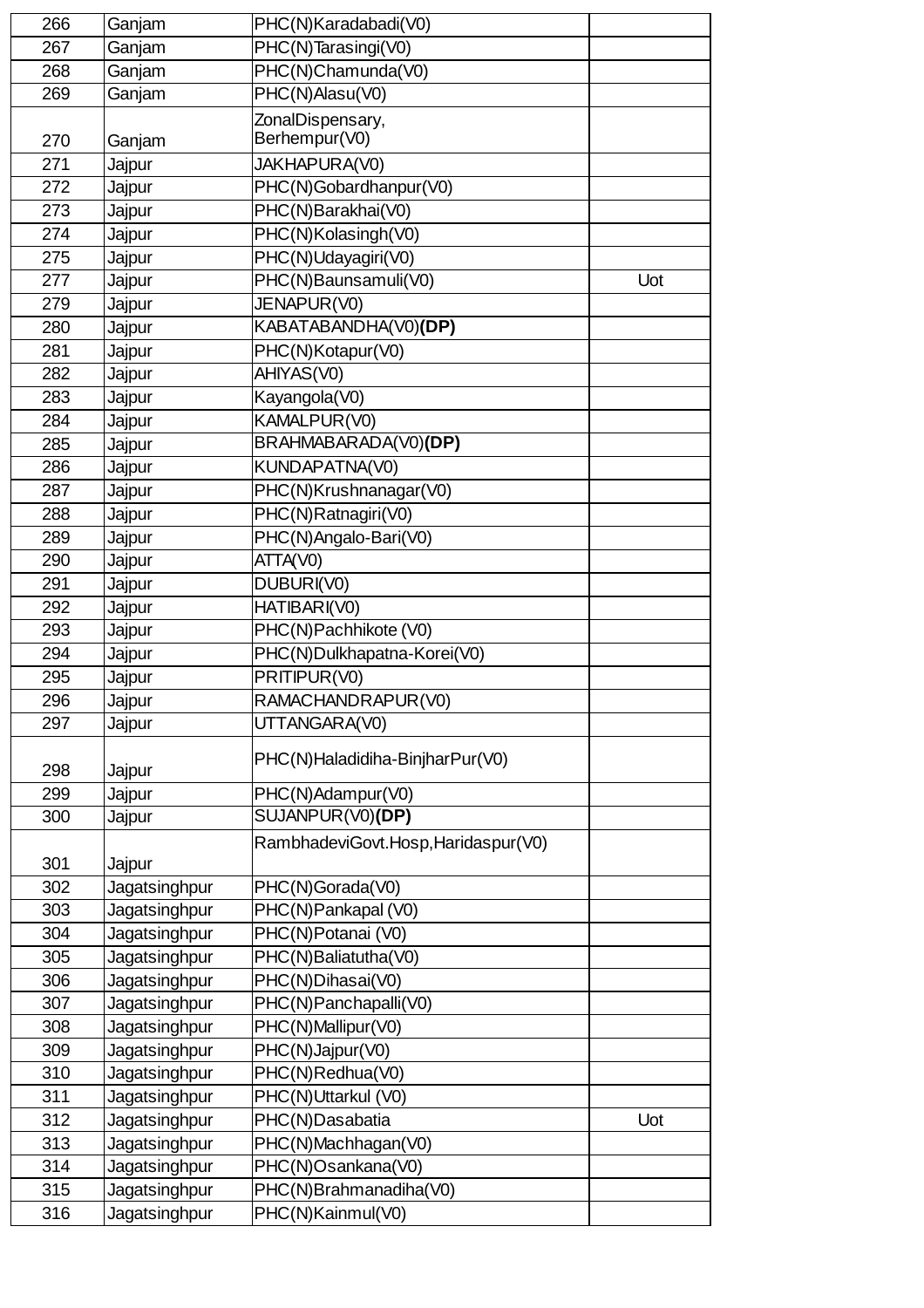| 266 | Ganjam        | PHC(N)Karadabadi(V0)                        |     |
|-----|---------------|---------------------------------------------|-----|
| 267 | Ganjam        | PHC(N)Tarasingi(V0)                         |     |
| 268 | Ganjam        | PHC(N)Chamunda(V0)                          |     |
| 269 | Ganjam        | PHC(N)Alasu(V0)                             |     |
|     |               |                                             |     |
| 270 | Ganjam        | ZonalDispensary,<br>Berhempur(V0)           |     |
| 271 |               | JAKHAPURA(V0)                               |     |
| 272 | Jajpur        | PHC(N)Gobardhanpur(V0)                      |     |
| 273 | Jajpur        | PHC(N)Barakhai(V0)                          |     |
| 274 | Jajpur        | PHC(N)Kolasingh(V0)                         |     |
| 275 | Jajpur        |                                             |     |
| 277 | Jajpur        | PHC(N)Udayagiri(V0)<br>PHC(N)Baunsamuli(V0) | Uot |
| 279 | Jajpur        |                                             |     |
|     | Jajpur        | JENAPUR(V0)<br>KABATABANDHA(V0)(DP)         |     |
| 280 | Jajpur        |                                             |     |
| 281 | Jajpur        | PHC(N)Kotapur(V0)                           |     |
| 282 | Jajpur        | AHIYAS(V0)                                  |     |
| 283 | Jajpur        | Kayangola(V0)                               |     |
| 284 | Jajpur        | KAMALPUR(V0)                                |     |
| 285 | Jajpur        | BRAHMABARADA(V0)(DP)                        |     |
| 286 | Jajpur        | KUNDAPATNA(V0)                              |     |
| 287 | Jajpur        | PHC(N)Krushnanagar(V0)                      |     |
| 288 | Jajpur        | PHC(N)Ratnagiri(V0)                         |     |
| 289 | Jajpur        | PHC(N)Angalo-Bari(V0)                       |     |
| 290 | Jajpur        | ATTA(V0)                                    |     |
| 291 | Jajpur        | DUBURI(V0)                                  |     |
| 292 | Jajpur        | HATIBARI(V0)                                |     |
| 293 | Jajpur        | PHC(N)Pachhikote (V0)                       |     |
| 294 | Jajpur        | PHC(N)Dulkhapatna-Korei(V0)                 |     |
| 295 | Jajpur        | PRITIPUR(V0)                                |     |
| 296 | Jajpur        | RAMACHANDRAPUR(V0)                          |     |
| 297 | Jajpur        | UTTANGARA(V0)                               |     |
| 298 | Jajpur        | PHC(N)Haladidiha-BinjharPur(V0)             |     |
| 299 | Jajpur        | PHC(N)Adampur(V0)                           |     |
| 300 | Jajpur        | SUJANPUR(V0)(DP)                            |     |
| 301 | Jajpur        | RambhadeviGovt.Hosp,Haridaspur(V0)          |     |
| 302 | Jagatsinghpur | PHC(N)Gorada(V0)                            |     |
| 303 | Jagatsinghpur | PHC(N)Pankapal (V0)                         |     |
| 304 | Jagatsinghpur | PHC(N)Potanai (V0)                          |     |
| 305 | Jagatsinghpur | PHC(N)Baliatutha(V0)                        |     |
| 306 | Jagatsinghpur | PHC(N)Dihasai(V0)                           |     |
| 307 | Jagatsinghpur | PHC(N)Panchapalli(V0)                       |     |
| 308 | Jagatsinghpur | PHC(N)Mallipur(V0)                          |     |
| 309 | Jagatsinghpur | PHC(N)Jajpur(V0)                            |     |
| 310 | Jagatsinghpur | PHC(N)Redhua(V0)                            |     |
| 311 | Jagatsinghpur | PHC(N)Uttarkul (V0)                         |     |
| 312 | Jagatsinghpur | PHC(N)Dasabatia                             | Uot |
| 313 | Jagatsinghpur | PHC(N)Machhagan(V0)                         |     |
| 314 | Jagatsinghpur | PHC(N)Osankana(V0)                          |     |
| 315 | Jagatsinghpur | PHC(N)Brahmanadiha(V0)                      |     |
| 316 | Jagatsinghpur | PHC(N)Kainmul(V0)                           |     |
|     |               |                                             |     |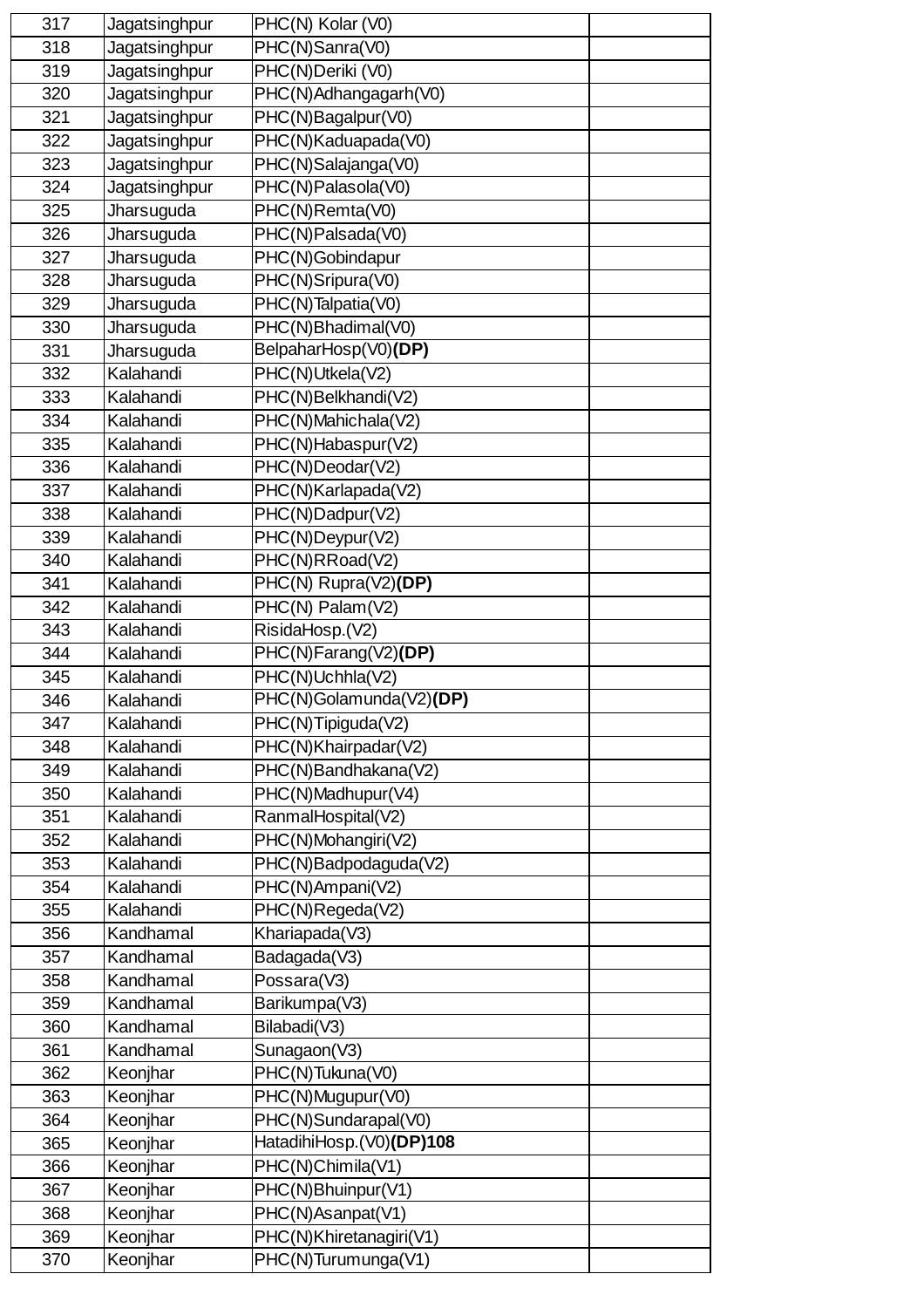| 317 | Jagatsinghpur | PHC(N) Kolar (V0)        |  |
|-----|---------------|--------------------------|--|
| 318 | Jagatsinghpur | PHC(N)Sanra(V0)          |  |
| 319 | Jagatsinghpur | PHC(N)Deriki (V0)        |  |
| 320 | Jagatsinghpur | PHC(N)Adhangagarh(V0)    |  |
| 321 | Jagatsinghpur | PHC(N)Bagalpur(V0)       |  |
| 322 | Jagatsinghpur | PHC(N)Kaduapada(V0)      |  |
| 323 | Jagatsinghpur | PHC(N)Salajanga(V0)      |  |
| 324 | Jagatsinghpur | PHC(N)Palasola(V0)       |  |
| 325 | Jharsuguda    | PHC(N)Remta(V0)          |  |
| 326 | Jharsuguda    | PHC(N)Palsada(V0)        |  |
| 327 | Jharsuguda    | PHC(N)Gobindapur         |  |
| 328 | Jharsuguda    | PHC(N)Sripura(V0)        |  |
| 329 | Jharsuguda    | PHC(N)Talpatia(V0)       |  |
| 330 | Jharsuguda    | PHC(N)Bhadimal(V0)       |  |
| 331 | Jharsuguda    | BelpaharHosp(V0)(DP)     |  |
| 332 | Kalahandi     | PHC(N)Utkela(V2)         |  |
| 333 | Kalahandi     | PHC(N)Belkhandi(V2)      |  |
| 334 | Kalahandi     | PHC(N)Mahichala(V2)      |  |
| 335 | Kalahandi     | PHC(N)Habaspur(V2)       |  |
| 336 | Kalahandi     | PHC(N)Deodar(V2)         |  |
| 337 | Kalahandi     | PHC(N)Karlapada(V2)      |  |
| 338 | Kalahandi     | PHC(N)Dadpur(V2)         |  |
| 339 | Kalahandi     | PHC(N)Deypur(V2)         |  |
| 340 | Kalahandi     | PHC(N)RRoad(V2)          |  |
| 341 | Kalahandi     | PHC(N) Rupra(V2)(DP)     |  |
| 342 | Kalahandi     | PHC(N) Palam(V2)         |  |
|     |               |                          |  |
| 343 | Kalahandi     | RisidaHosp.(V2)          |  |
| 344 | Kalahandi     | PHC(N)Farang(V2)(DP)     |  |
| 345 | Kalahandi     | PHC(N)Uchhla(V2)         |  |
| 346 | Kalahandi     | PHC(N)Golamunda(V2)(DP)  |  |
| 347 | Kalahandi     | PHC(N)Tipiguda(V2)       |  |
| 348 | Kalahandi     | PHC(N)Khairpadar(V2)     |  |
| 349 | Kalahandi     | PHC(N)Bandhakana(V2)     |  |
| 350 | Kalahandi     | PHC(N)Madhupur(V4)       |  |
| 351 | Kalahandi     | RanmalHospital(V2)       |  |
| 352 | Kalahandi     | PHC(N)Mohangiri(V2)      |  |
| 353 | Kalahandi     | PHC(N)Badpodaguda(V2)    |  |
| 354 | Kalahandi     | PHC(N)Ampani(V2)         |  |
| 355 | Kalahandi     | PHC(N)Regeda(V2)         |  |
| 356 | Kandhamal     | Khariapada(V3)           |  |
| 357 | Kandhamal     | Badagada(V3)             |  |
| 358 | Kandhamal     | Possara(V3)              |  |
| 359 | Kandhamal     | Barikumpa(V3)            |  |
| 360 | Kandhamal     | Bilabadi(V3)             |  |
| 361 | Kandhamal     | Sunagaon(V3)             |  |
| 362 | Keonjhar      | PHC(N)Tukuna(V0)         |  |
| 363 | Keonjhar      | PHC(N)Mugupur(V0)        |  |
| 364 | Keonjhar      | PHC(N)Sundarapal(V0)     |  |
| 365 | Keonjhar      | HatadihiHosp.(V0)(DP)108 |  |
| 366 | Keonjhar      | PHC(N)Chimila(V1)        |  |
| 367 | Keonjhar      | PHC(N)Bhuinpur(V1)       |  |
| 368 | Keonjhar      | PHC(N)Asanpat(V1)        |  |
| 369 | Keonjhar      | PHC(N)Khiretanagiri(V1)  |  |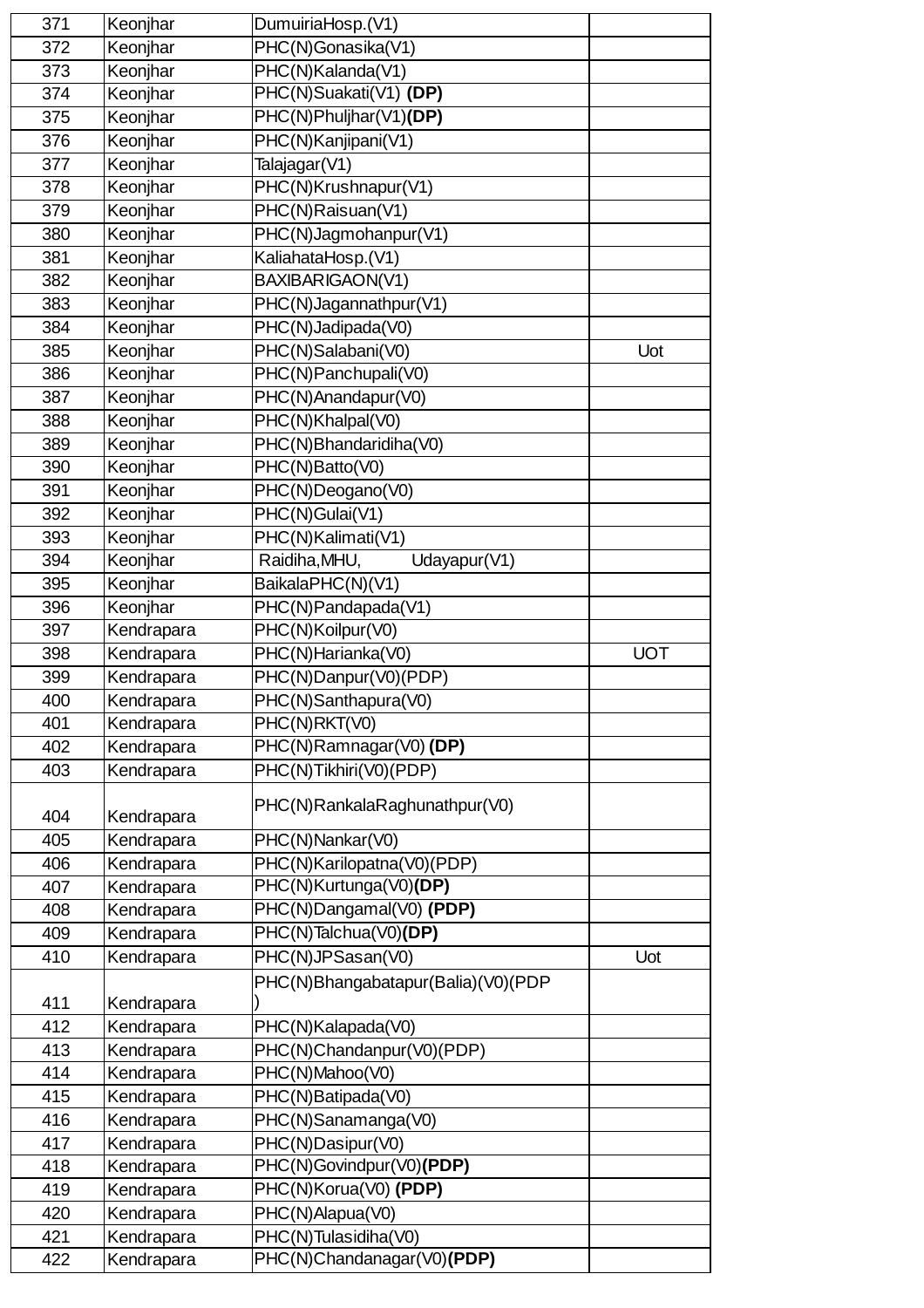| 371 |            | DumuiriaHosp.(V1)                        |            |
|-----|------------|------------------------------------------|------------|
|     | Keonjhar   |                                          |            |
| 372 | Keonjhar   | PHC(N)Gonasika(V1)                       |            |
| 373 | Keonjhar   | PHC(N)Kalanda(V1)                        |            |
| 374 | Keonjhar   | PHC(N)Suakati(V1) (DP)                   |            |
| 375 | Keonjhar   | PHC(N)Phuljhar(V1)(DP)                   |            |
| 376 | Keonjhar   | PHC(N)Kanjipani(V1)                      |            |
| 377 | Keonjhar   | Talajagar(V1)                            |            |
| 378 | Keonjhar   | PHC(N)Krushnapur(V1)                     |            |
| 379 | Keonjhar   | PHC(N)Raisuan(V1)                        |            |
| 380 | Keonjhar   | PHC(N)Jagmohanpur(V1)                    |            |
| 381 | Keonjhar   | KaliahataHosp.(V1)                       |            |
| 382 | Keonjhar   | BAXIBARIGAON(V1)                         |            |
| 383 | Keonjhar   | PHC(N)Jagannathpur(V1)                   |            |
| 384 | Keonjhar   | PHC(N)Jadipada(V0)                       |            |
| 385 | Keonjhar   | PHC(N)Salabani(V0)                       | Uot        |
| 386 | Keonjhar   | PHC(N)Panchupali(V0)                     |            |
| 387 | Keonjhar   | PHC(N)Anandapur(V0)                      |            |
| 388 | Keonjhar   | PHC(N)Khalpal(V0)                        |            |
| 389 | Keonjhar   | PHC(N)Bhandaridiha(V0)                   |            |
| 390 | Keonjhar   | PHC(N)Batto(V0)                          |            |
| 391 | Keonjhar   | PHC(N)Deogano(V0)                        |            |
| 392 | Keonjhar   | PHC(N)Gulai(V1)                          |            |
| 393 | Keonjhar   | PHC(N)Kalimati(V1)                       |            |
| 394 | Keonjhar   | Raidiha, MHU,<br>Udayapur(V1)            |            |
| 395 | Keonjhar   | BaikalaPHC(N)(V1)                        |            |
| 396 | Keonjhar   | PHC(N)Pandapada(V1)                      |            |
| 397 | Kendrapara | PHC(N)Koilpur(V0)                        |            |
| 398 | Kendrapara | PHC(N)Harianka(V0)                       | <b>UOT</b> |
| 399 | Kendrapara | PHC(N)Danpur(V0)(PDP)                    |            |
| 400 | Kendrapara | PHC(N)Santhapura(V0)                     |            |
| 401 | Kendrapara | PHC(N)RKT(V0)                            |            |
| 402 | Kendrapara | PHC(N)Ramnagar(V0) (DP)                  |            |
| 403 | Kendrapara | PHC(N)Tikhiri(V0)(PDP)                   |            |
|     |            | PHC(N)RankalaRaghunathpur(V0)            |            |
| 404 | Kendrapara |                                          |            |
| 405 | Kendrapara | PHC(N)Nankar(V0)                         |            |
| 406 | Kendrapara | PHC(N)Karilopatna(V0)(PDP)               |            |
| 407 | Kendrapara | PHC(N)Kurtunga(V0)(DP)                   |            |
| 408 | Kendrapara | PHC(N)Dangamal(V0) (PDP)                 |            |
| 409 | Kendrapara | PHC(N)Talchua(V0)(DP)                    |            |
| 410 | Kendrapara | PHC(N)JPSasan(V0)                        | Uot        |
| 411 | Kendrapara | PHC(N)Bhangabatapur(Balia)(V0)(PDP       |            |
| 412 | Kendrapara | PHC(N)Kalapada(V0)                       |            |
| 413 | Kendrapara | PHC(N)Chandanpur(V0)(PDP)                |            |
| 414 | Kendrapara | PHC(N)Mahoo(V0)                          |            |
| 415 | Kendrapara | PHC(N)Batipada(V0)                       |            |
|     |            |                                          |            |
| 416 | Kendrapara | PHC(N)Sanamanga(V0)<br>PHC(N)Dasipur(V0) |            |
| 417 | Kendrapara | PHC(N)Govindpur(V0)(PDP)                 |            |
| 418 | Kendrapara | PHC(N)Korua(V0) (PDP)                    |            |
| 419 | Kendrapara |                                          |            |
| 420 | Kendrapara | PHC(N)Alapua(V0)                         |            |
| 421 | Kendrapara | PHC(N)Tulasidiha(V0)                     |            |
| 422 | Kendrapara | PHC(N)Chandanagar(V0)(PDP)               |            |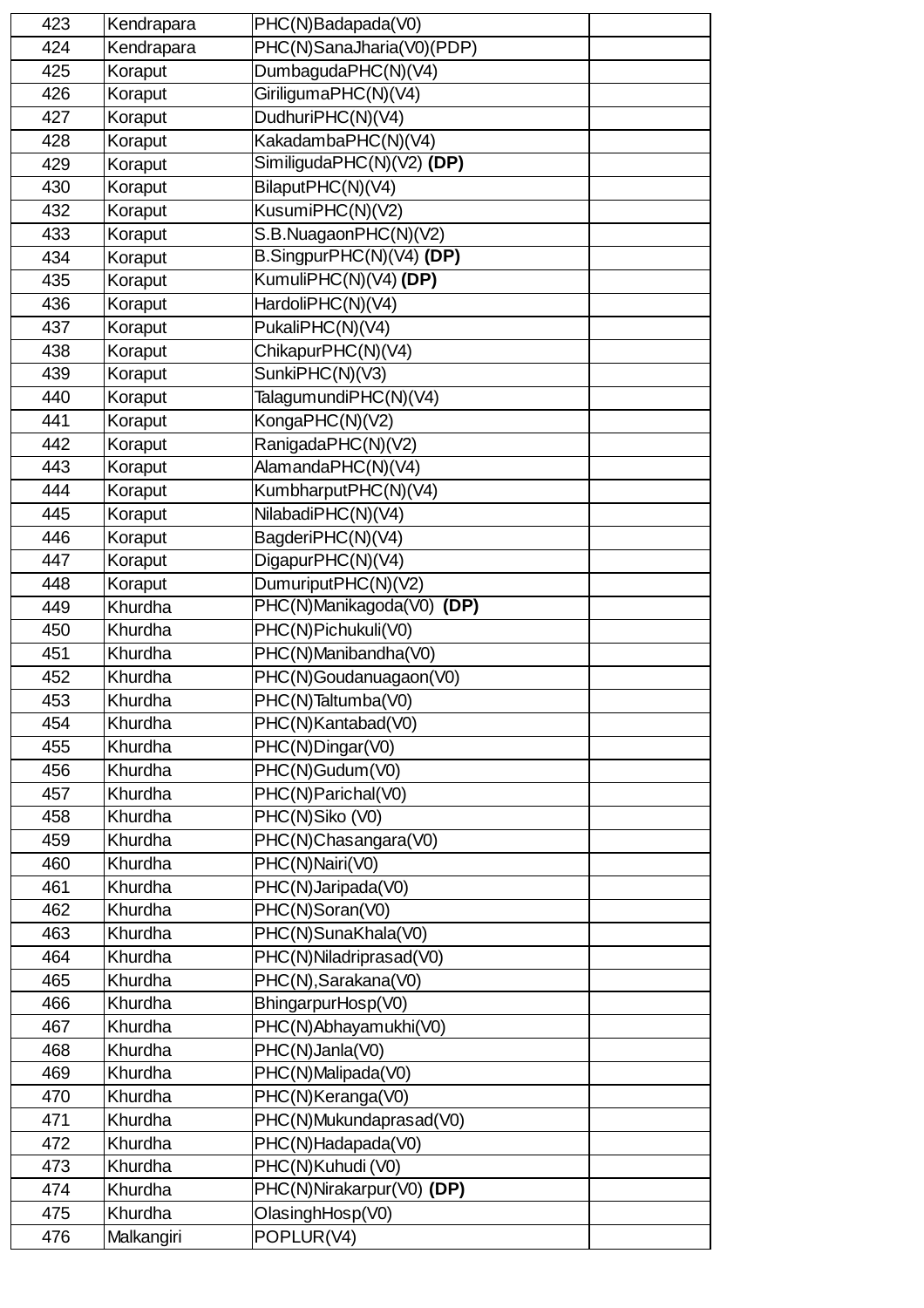| 423 | Kendrapara | PHC(N)Badapada(V0)        |  |
|-----|------------|---------------------------|--|
| 424 | Kendrapara | PHC(N)SanaJharia(V0)(PDP) |  |
| 425 | Koraput    | DumbagudaPHC(N)(V4)       |  |
| 426 | Koraput    | GiriligumaPHC(N)(V4)      |  |
| 427 | Koraput    | DudhuriPHC(N)(V4)         |  |
| 428 | Koraput    | KakadambaPHC(N)(V4)       |  |
| 429 | Koraput    | SimiligudaPHC(N)(V2) (DP) |  |
| 430 | Koraput    | BilaputPHC(N)(V4)         |  |
| 432 | Koraput    | KusumiPHC(N)(V2)          |  |
| 433 | Koraput    | S.B.NuagaonPHC(N)(V2)     |  |
| 434 |            | B.SingpurPHC(N)(V4) (DP)  |  |
|     | Koraput    |                           |  |
| 435 | Koraput    | KumuliPHC(N)(V4) (DP)     |  |
| 436 | Koraput    | HardoliPHC(N)(V4)         |  |
| 437 | Koraput    | PukaliPHC(N)(V4)          |  |
| 438 | Koraput    | ChikapurPHC(N)(V4)        |  |
| 439 | Koraput    | SunkiPHC(N)(V3)           |  |
| 440 | Koraput    | TalagumundiPHC(N)(V4)     |  |
| 441 | Koraput    | KongaPHC(N)(V2)           |  |
| 442 | Koraput    | RanigadaPHC(N)(V2)        |  |
| 443 | Koraput    | AlamandaPHC(N)(V4)        |  |
| 444 | Koraput    | KumbharputPHC(N)(V4)      |  |
| 445 | Koraput    | NilabadiPHC(N)(V4)        |  |
| 446 | Koraput    | BagderiPHC(N)(V4)         |  |
| 447 | Koraput    | DigapurPHC(N)(V4)         |  |
| 448 | Koraput    | DumuriputPHC(N)(V2)       |  |
| 449 | Khurdha    | PHC(N)Manikagoda(V0) (DP) |  |
| 450 | Khurdha    | PHC(N)Pichukuli(V0)       |  |
| 451 | Khurdha    | PHC(N)Manibandha(V0)      |  |
| 452 | Khurdha    | PHC(N)Goudanuagaon(V0)    |  |
| 453 | Khurdha    | PHC(N)Taltumba(V0)        |  |
| 454 | Khurdha    | PHC(N)Kantabad(V0)        |  |
| 455 | Khurdha    | PHC(N)Dingar(V0)          |  |
| 456 | Khurdha    | PHC(N)Gudum(V0)           |  |
| 457 | Khurdha    | PHC(N)Parichal(V0)        |  |
| 458 | Khurdha    | PHC(N)Siko (V0)           |  |
| 459 | Khurdha    | PHC(N)Chasangara(V0)      |  |
| 460 | Khurdha    | PHC(N)Nairi(V0)           |  |
| 461 | Khurdha    | PHC(N)Jaripada(V0)        |  |
| 462 | Khurdha    | PHC(N)Soran(V0)           |  |
| 463 | Khurdha    | PHC(N)SunaKhala(V0)       |  |
| 464 | Khurdha    | PHC(N)Niladriprasad(V0)   |  |
| 465 | Khurdha    | PHC(N), Sarakana(V0)      |  |
|     |            |                           |  |
| 466 | Khurdha    | BhingarpurHosp(V0)        |  |
| 467 | Khurdha    | PHC(N)Abhayamukhi(V0)     |  |
| 468 | Khurdha    | PHC(N)Janla(V0)           |  |
| 469 | Khurdha    | PHC(N)Malipada(V0)        |  |
| 470 | Khurdha    | PHC(N)Keranga(V0)         |  |
| 471 | Khurdha    | PHC(N)Mukundaprasad(V0)   |  |
| 472 | Khurdha    | PHC(N)Hadapada(V0)        |  |
| 473 | Khurdha    | PHC(N)Kuhudi (V0)         |  |
| 474 | Khurdha    | PHC(N)Nirakarpur(V0) (DP) |  |
| 475 | Khurdha    | OlasinghHosp(V0)          |  |
| 476 | Malkangiri | POPLUR(V4)                |  |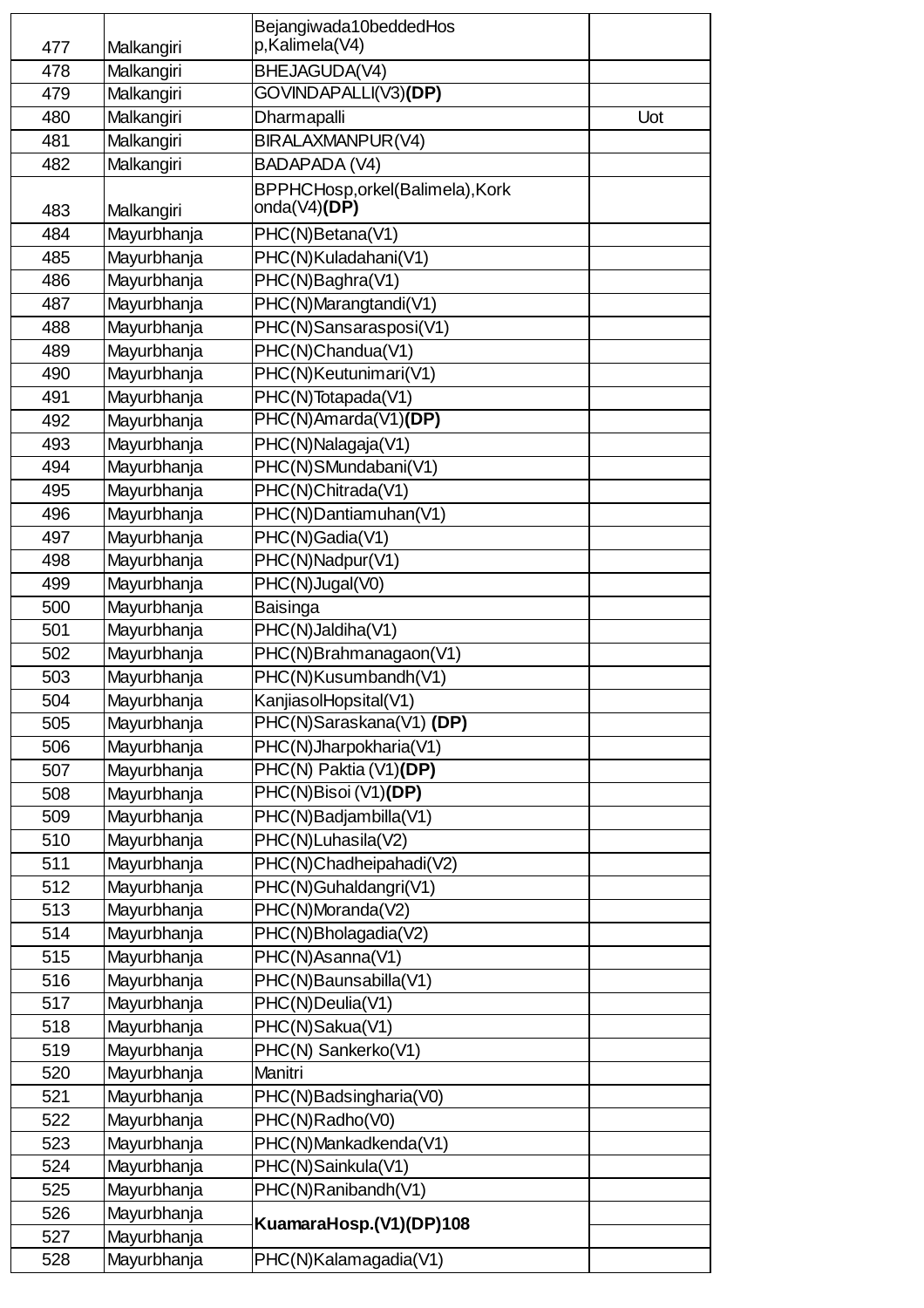|     |             | Bejangiwada10beddedHos            |     |
|-----|-------------|-----------------------------------|-----|
| 477 | Malkangiri  | p,Kalimela(V4)                    |     |
| 478 | Malkangiri  | BHEJAGUDA(V4)                     |     |
| 479 | Malkangiri  | GOVINDAPALLI(V3)(DP)              |     |
| 480 | Malkangiri  | Dharmapalli                       | Uot |
| 481 | Malkangiri  | BIRALAXMANPUR(V4)                 |     |
| 482 | Malkangiri  | BADAPADA (V4)                     |     |
|     |             | BPPHCHosp, orkel (Balimela), Kork |     |
| 483 | Malkangiri  | onda( $V4$ )(DP)                  |     |
| 484 | Mayurbhanja | PHC(N)Betana(V1)                  |     |
| 485 | Mayurbhanja | PHC(N)Kuladahani(V1)              |     |
| 486 | Mayurbhanja | PHC(N)Baghra(V1)                  |     |
| 487 | Mayurbhanja | PHC(N)Marangtandi(V1)             |     |
| 488 | Mayurbhanja | PHC(N)Sansarasposi(V1)            |     |
| 489 | Mayurbhanja | PHC(N)Chandua(V1)                 |     |
| 490 | Mayurbhanja | PHC(N)Keutunimari(V1)             |     |
| 491 | Mayurbhanja | PHC(N)Totapada(V1)                |     |
| 492 | Mayurbhanja | PHC(N)Amarda(V1)(DP)              |     |
| 493 | Mayurbhanja | PHC(N)Nalagaja(V1)                |     |
| 494 | Mayurbhanja | PHC(N)SMundabani(V1)              |     |
| 495 | Mayurbhanja | PHC(N)Chitrada(V1)                |     |
| 496 | Mayurbhanja | PHC(N)Dantiamuhan(V1)             |     |
| 497 | Mayurbhanja | PHC(N)Gadia(V1)                   |     |
| 498 | Mayurbhanja | PHC(N)Nadpur(V1)                  |     |
| 499 | Mayurbhanja | PHC(N)Jugal(V0)                   |     |
| 500 | Mayurbhanja | Baisinga                          |     |
| 501 | Mayurbhanja | PHC(N)Jaldiha(V1)                 |     |
| 502 | Mayurbhanja | PHC(N)Brahmanagaon(V1)            |     |
| 503 | Mayurbhanja | PHC(N)Kusumbandh(V1)              |     |
| 504 | Mayurbhanja | KanjiasolHopsital(V1)             |     |
| 505 | Mayurbhanja | PHC(N)Saraskana(V1) (DP)          |     |
| 506 | Mayurbhanja | PHC(N)Jharpokharia(V1)            |     |
| 507 | Mayurbhanja | PHC(N) Paktia (V1)(DP)            |     |
| 508 | Mayurbhanja | PHC(N)Bisoi (V1)(DP)              |     |
| 509 | Mayurbhanja | PHC(N)Badjambilla(V1)             |     |
| 510 | Mayurbhanja | PHC(N)Luhasila(V2)                |     |
| 511 | Mayurbhanja | PHC(N)Chadheipahadi(V2)           |     |
| 512 | Mayurbhanja | PHC(N)Guhaldangri(V1)             |     |
| 513 | Mayurbhanja | PHC(N)Moranda(V2)                 |     |
| 514 | Mayurbhanja | PHC(N)Bholagadia(V2)              |     |
| 515 | Mayurbhanja | PHC(N)Asanna(V1)                  |     |
| 516 | Mayurbhanja | PHC(N)Baunsabilla(V1)             |     |
| 517 | Mayurbhanja | PHC(N)Deulia(V1)                  |     |
| 518 | Mayurbhanja | PHC(N)Sakua(V1)                   |     |
| 519 | Mayurbhanja | PHC(N) Sankerko(V1)               |     |
| 520 | Mayurbhanja | Manitri                           |     |
| 521 | Mayurbhanja | PHC(N)Badsingharia(V0)            |     |
| 522 | Mayurbhanja | PHC(N)Radho(V0)                   |     |
| 523 | Mayurbhanja | PHC(N)Mankadkenda(V1)             |     |
| 524 | Mayurbhanja | PHC(N)Sainkula(V1)                |     |
| 525 | Mayurbhanja | PHC(N)Ranibandh(V1)               |     |
| 526 | Mayurbhanja | KuamaraHosp.(V1)(DP)108           |     |
| 527 | Mayurbhanja |                                   |     |
| 528 | Mayurbhanja | PHC(N)Kalamagadia(V1)             |     |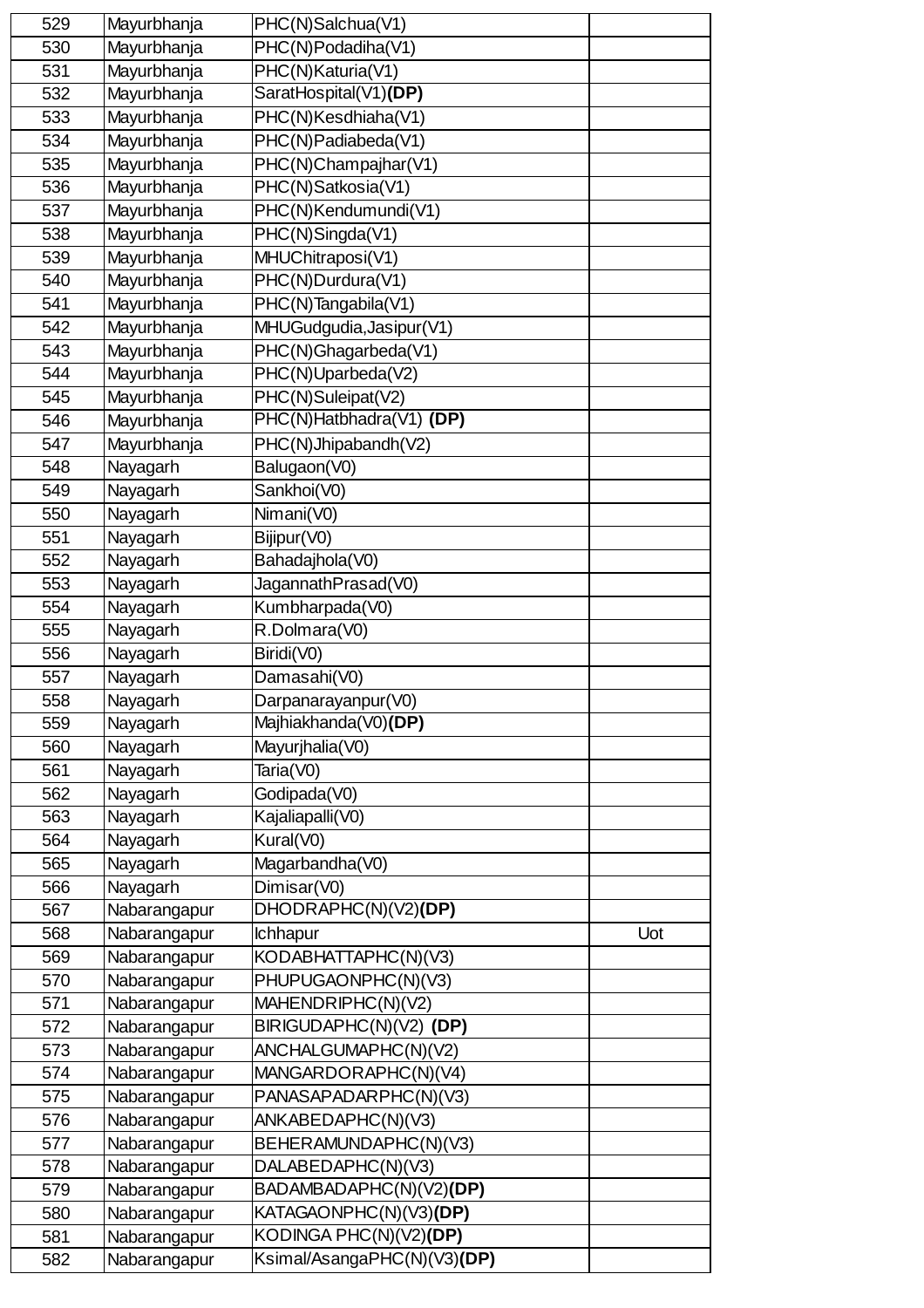| 529 | Mayurbhanja  | PHC(N)Salchua(V1)           |     |
|-----|--------------|-----------------------------|-----|
| 530 | Mayurbhanja  | PHC(N)Podadiha(V1)          |     |
| 531 | Mayurbhanja  | PHC(N)Katuria(V1)           |     |
| 532 | Mayurbhanja  | SaratHospital(V1)(DP)       |     |
| 533 | Mayurbhanja  | PHC(N)Kesdhiaha(V1)         |     |
| 534 | Mayurbhanja  | PHC(N)Padiabeda(V1)         |     |
| 535 | Mayurbhanja  | PHC(N)Champajhar(V1)        |     |
| 536 | Mayurbhanja  | PHC(N)Satkosia(V1)          |     |
| 537 | Mayurbhanja  | PHC(N)Kendumundi(V1)        |     |
| 538 | Mayurbhanja  | PHC(N)Singda(V1)            |     |
| 539 | Mayurbhanja  | MHUChitraposi(V1)           |     |
| 540 | Mayurbhanja  | PHC(N)Durdura(V1)           |     |
| 541 | Mayurbhanja  | PHC(N)Tangabila(V1)         |     |
| 542 | Mayurbhanja  | MHUGudgudia, Jasipur(V1)    |     |
| 543 | Mayurbhanja  | PHC(N)Ghagarbeda(V1)        |     |
| 544 | Mayurbhanja  | PHC(N)Uparbeda(V2)          |     |
| 545 | Mayurbhanja  | PHC(N)Suleipat(V2)          |     |
| 546 | Mayurbhanja  | PHC(N)Hatbhadra(V1) (DP)    |     |
| 547 | Mayurbhanja  | PHC(N)Jhipabandh(V2)        |     |
| 548 | Nayagarh     | Balugaon(V0)                |     |
| 549 | Nayagarh     | Sankhoi(V0)                 |     |
| 550 | Nayagarh     | Nimani(V0)                  |     |
| 551 | Nayagarh     | Bijipur(V0)                 |     |
| 552 | Nayagarh     | Bahadajhola(V0)             |     |
| 553 | Nayagarh     | JagannathPrasad(V0)         |     |
| 554 | Nayagarh     | Kumbharpada(V0)             |     |
| 555 | Nayagarh     | R.Dolmara(V0)               |     |
| 556 | Nayagarh     | Biridi(V0)                  |     |
| 557 | Nayagarh     | Damasahi(V0)                |     |
| 558 | Nayagarh     | Darpanarayanpur(V0)         |     |
| 559 | Nayagarh     | Majhiakhanda(V0)(DP)        |     |
| 560 | Nayagarh     | Mayurjhalia(V0)             |     |
| 561 | Nayagarh     | Taria(V0)                   |     |
| 562 | Nayagarh     | Godipada(V0)                |     |
| 563 | Nayagarh     | Kajaliapalli(V0)            |     |
| 564 | Nayagarh     | Kural(V0)                   |     |
| 565 | Nayagarh     | Magarbandha(V0)             |     |
| 566 | Nayagarh     | Dimisar(V0)                 |     |
| 567 | Nabarangapur | DHODRAPHC(N)(V2)(DP)        |     |
| 568 | Nabarangapur | <b>Ichhapur</b>             | Uot |
| 569 | Nabarangapur | KODABHATTAPHC(N)(V3)        |     |
| 570 | Nabarangapur | PHUPUGAONPHC(N)(V3)         |     |
| 571 | Nabarangapur | MAHENDRIPHC(N)(V2)          |     |
| 572 | Nabarangapur | BIRIGUDAPHC(N)(V2) (DP)     |     |
| 573 | Nabarangapur | ANCHALGUMAPHC(N)(V2)        |     |
| 574 | Nabarangapur | MANGARDORAPHC(N)(V4)        |     |
| 575 | Nabarangapur | PANASAPADARPHC(N)(V3)       |     |
| 576 | Nabarangapur | ANKABEDAPHC(N)(V3)          |     |
| 577 | Nabarangapur | BEHERAMUNDAPHC(N)(V3)       |     |
| 578 | Nabarangapur | DALABEDAPHC(N)(V3)          |     |
| 579 | Nabarangapur | BADAMBADAPHC(N)(V2)(DP)     |     |
| 580 | Nabarangapur | KATAGAONPHC(N)(V3)(DP)      |     |
| 581 | Nabarangapur | KODINGA PHC(N)(V2)(DP)      |     |
| 582 | Nabarangapur | Ksimal/AsangaPHC(N)(V3)(DP) |     |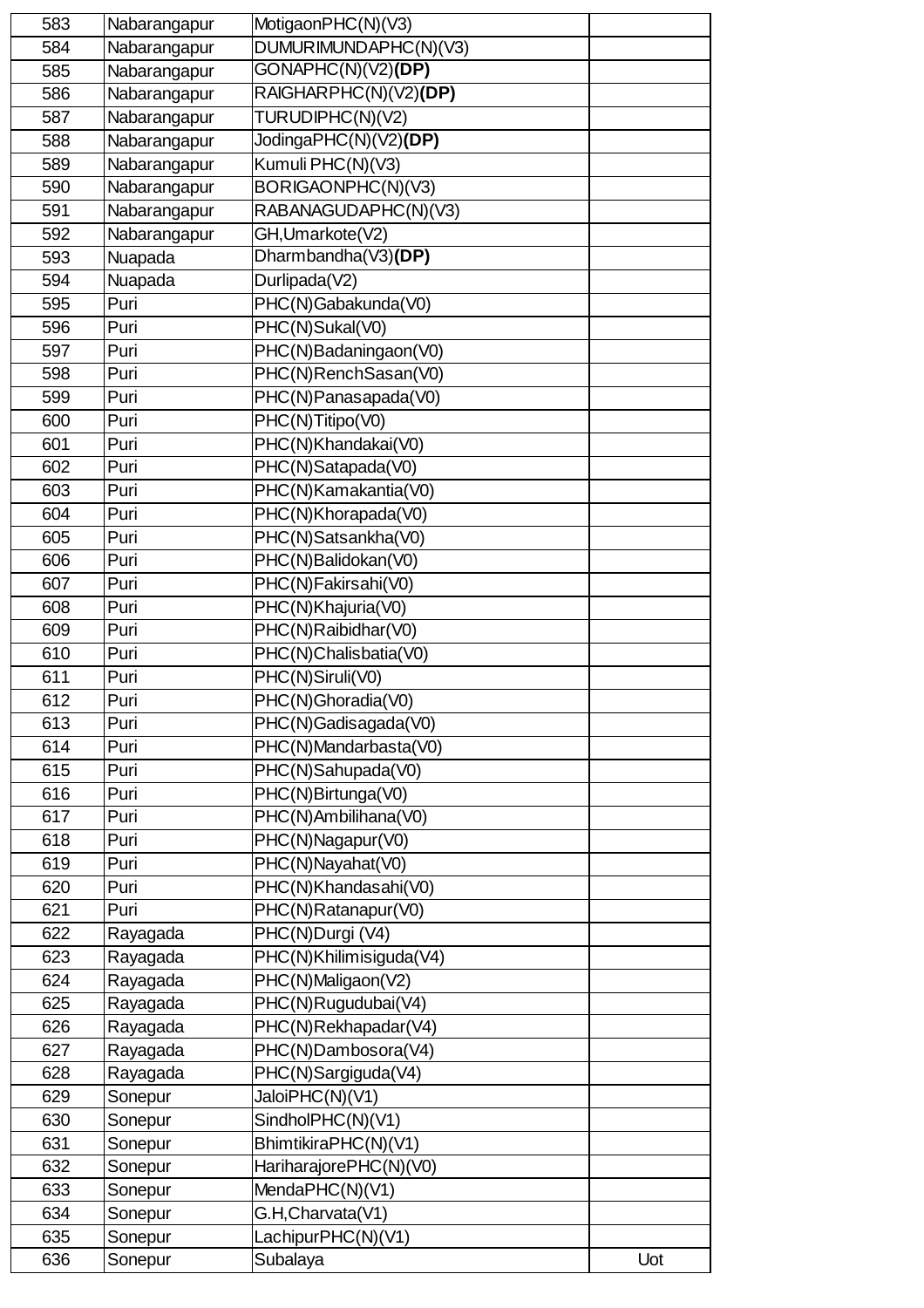| 583 | Nabarangapur | MotigaonPHC(N)(V3)                                         |     |
|-----|--------------|------------------------------------------------------------|-----|
| 584 | Nabarangapur | DUMURIMUNDAPHC(N)(V3)                                      |     |
| 585 | Nabarangapur | GONAPHC(N)(V2)(DP)                                         |     |
| 586 | Nabarangapur | RAIGHARPHC(N)(V2)(DP)                                      |     |
| 587 | Nabarangapur | TURUDIPHC(N)(V2)                                           |     |
| 588 | Nabarangapur | JodingaPHC(N)(V2)(DP)                                      |     |
| 589 | Nabarangapur | Kumuli PHC(N)(V3)                                          |     |
| 590 | Nabarangapur | BORIGAONPHC(N)(V3)                                         |     |
| 591 | Nabarangapur | RABANAGUDAPHC(N)(V3)                                       |     |
| 592 | Nabarangapur | GH, Umarkote (V2)                                          |     |
| 593 | Nuapada      | Dharmbandha(V3)(DP)                                        |     |
| 594 | Nuapada      | Durlipada(V2)                                              |     |
| 595 | Puri         | PHC(N)Gabakunda(V0)                                        |     |
| 596 | Puri         | PHC(N)Sukal(V0)                                            |     |
| 597 | Puri         | PHC(N)Badaningaon(V0)                                      |     |
| 598 | Puri         | PHC(N)RenchSasan(V0)                                       |     |
| 599 | Puri         | PHC(N)Panasapada(V0)                                       |     |
| 600 | Puri         | PHC(N)Titipo(V0)                                           |     |
| 601 | Puri         | PHC(N)Khandakai(V0)                                        |     |
| 602 | Puri         | PHC(N)Satapada(V0)                                         |     |
| 603 | Puri         | PHC(N)Kamakantia(V0)                                       |     |
| 604 | Puri         | PHC(N)Khorapada(V0)                                        |     |
| 605 | Puri         | PHC(N)Satsankha(V0)                                        |     |
| 606 | Puri         | PHC(N)Balidokan(V0)                                        |     |
| 607 | Puri         | PHC(N)Fakirsahi(V0)                                        |     |
| 608 | Puri         | PHC(N)Khajuria(V0)                                         |     |
| 609 | Puri         | PHC(N)Raibidhar(V0)                                        |     |
| 610 | Puri         | PHC(N)Chalisbatia(V0)                                      |     |
| 611 | Puri         | PHC(N)Siruli(V0)                                           |     |
| 612 | Puri         | PHC(N)Ghoradia(V0)                                         |     |
| 613 | Puri         | PHC(N)Gadisagada(V0)                                       |     |
| 614 | Puri         | PHC(N)Mandarbasta(V0)                                      |     |
| 615 | Puri         | PHC(N)Sahupada(V0)                                         |     |
| 616 | Puri         | PHC(N)Birtunga(V0)                                         |     |
| 617 | Puri         | PHC(N)Ambilihana(V0)                                       |     |
| 618 | Puri         | $\overline{\mathsf{PHC}(\mathsf{N})}\mathsf{N}$ agapur(V0) |     |
| 619 | Puri         | PHC(N)Nayahat(V0)                                          |     |
| 620 | Puri         | PHC(N)Khandasahi(V0)                                       |     |
| 621 | Puri         | PHC(N)Ratanapur(V0)                                        |     |
| 622 | Rayagada     | PHC(N)Durgi (V4)                                           |     |
| 623 | Rayagada     | PHC(N)Khilimisiguda(V4)                                    |     |
| 624 | Rayagada     | PHC(N)Maligaon(V2)                                         |     |
| 625 | Rayagada     | PHC(N)Rugudubai(V4)                                        |     |
| 626 | Rayagada     | PHC(N)Rekhapadar(V4)                                       |     |
| 627 | Rayagada     | PHC(N)Dambosora(V4)                                        |     |
| 628 | Rayagada     | PHC(N)Sargiguda(V4)                                        |     |
| 629 | Sonepur      | JaloiPHC(N)(V1)                                            |     |
| 630 | Sonepur      | SindholPHC(N)(V1)                                          |     |
| 631 | Sonepur      | BhimtikiraPHC(N)(V1)                                       |     |
| 632 | Sonepur      | HariharajorePHC(N)(V0)                                     |     |
| 633 | Sonepur      | MendaPHC(N)(V1)                                            |     |
| 634 | Sonepur      | G.H, Charvata(V1)                                          |     |
| 635 | Sonepur      | LachipurPHC(N)(V1)                                         |     |
| 636 | Sonepur      | Subalaya                                                   | Uot |
|     |              |                                                            |     |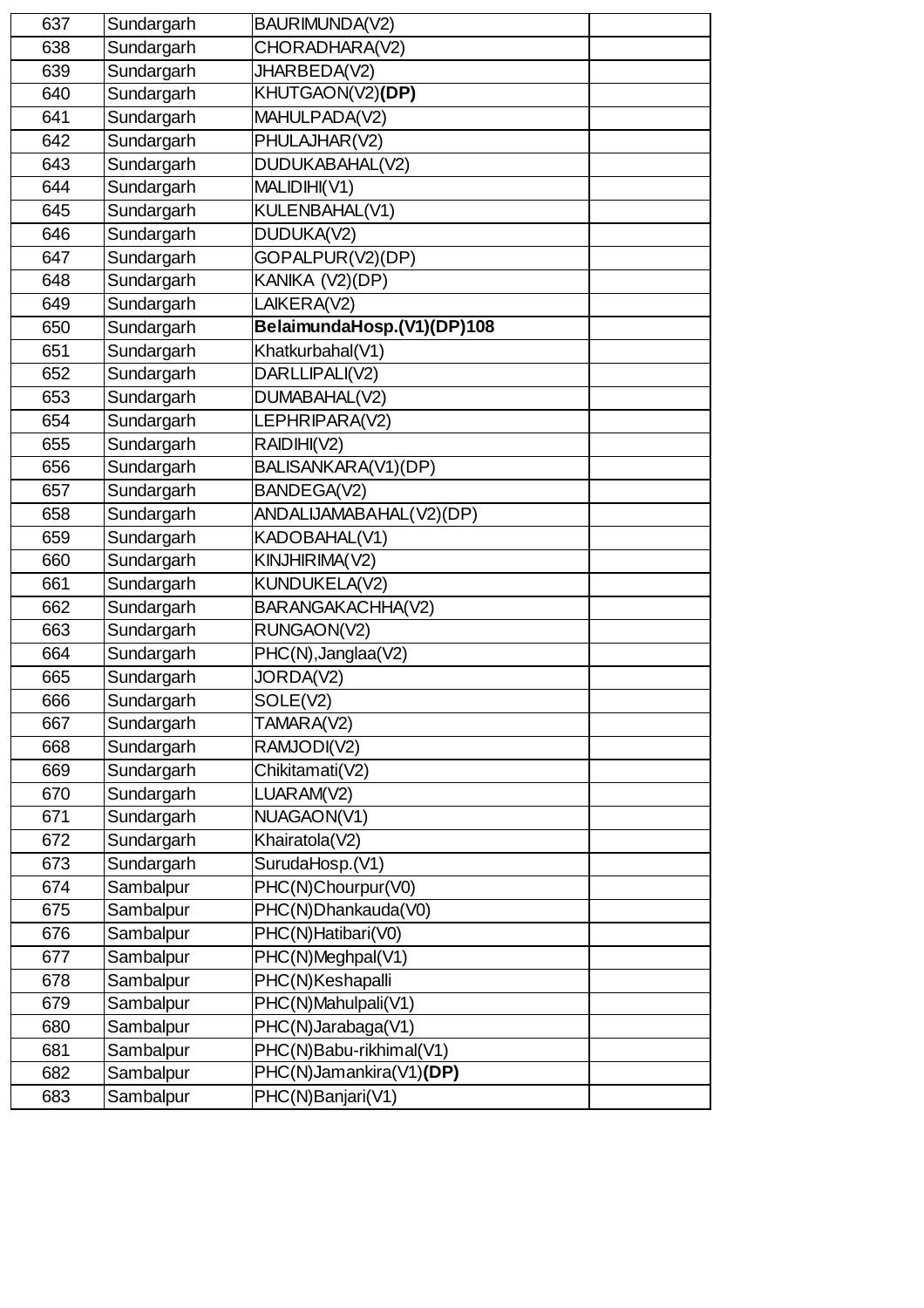| 637 | Sundargarh | BAURIMUNDA(V2)             |  |
|-----|------------|----------------------------|--|
| 638 | Sundargarh | CHORADHARA(V2)             |  |
| 639 | Sundargarh | JHARBEDA(V2)               |  |
| 640 | Sundargarh | KHUTGAON(V2)(DP)           |  |
| 641 | Sundargarh | MAHULPADA(V2)              |  |
| 642 | Sundargarh | PHULAJHAR(V2)              |  |
| 643 | Sundargarh | DUDUKABAHAL(V2)            |  |
| 644 | Sundargarh | MALIDIHI(V1)               |  |
| 645 | Sundargarh | KULENBAHAL(V1)             |  |
| 646 | Sundargarh | DUDUKA(V2)                 |  |
| 647 | Sundargarh | GOPALPUR(V2)(DP)           |  |
| 648 | Sundargarh | KANIKA (V2)(DP)            |  |
| 649 | Sundargarh | LAIKERA(V2)                |  |
| 650 | Sundargarh | BelaimundaHosp.(V1)(DP)108 |  |
| 651 | Sundargarh | Khatkurbahal(V1)           |  |
| 652 | Sundargarh | DARLLIPALI(V2)             |  |
| 653 | Sundargarh | DUMABAHAL(V2)              |  |
| 654 | Sundargarh | LEPHRIPARA(V2)             |  |
| 655 | Sundargarh | RAIDIHI(V2)                |  |
| 656 | Sundargarh | BALISANKARA(V1)(DP)        |  |
| 657 | Sundargarh | BANDEGA(V2)                |  |
| 658 | Sundargarh | ANDALIJAMABAHAL(V2)(DP)    |  |
| 659 | Sundargarh | KADOBAHAL(V1)              |  |
| 660 | Sundargarh | KINJHIRIMA(V2)             |  |
| 661 | Sundargarh | KUNDUKELA(V2)              |  |
| 662 | Sundargarh | BARANGAKACHHA(V2)          |  |
| 663 | Sundargarh | RUNGAON(V2)                |  |
| 664 | Sundargarh | PHC(N), Janglaa(V2)        |  |
| 665 | Sundargarh | JORDA(V2)                  |  |
| 666 | Sundargarh | SOLE(V2)                   |  |
| 667 | Sundargarh | TAMARA(V2)                 |  |
| 668 | Sundargarh | RAMJODI(V2)                |  |
| 669 | Sundargarh | Chikitamati(V2)            |  |
| 670 | Sundargarh | LUARAM(V2)                 |  |
| 671 | Sundargarh | NUAGAON(V1)                |  |
| 672 | Sundargarh | Khairatola(V2)             |  |
| 673 | Sundargarh | SurudaHosp.(V1)            |  |
| 674 | Sambalpur  | PHC(N)Chourpur(V0)         |  |
| 675 | Sambalpur  | PHC(N)Dhankauda(V0)        |  |
| 676 | Sambalpur  | PHC(N)Hatibari(V0)         |  |
| 677 | Sambalpur  | PHC(N)Meghpal(V1)          |  |
| 678 | Sambalpur  | PHC(N)Keshapalli           |  |
| 679 | Sambalpur  | PHC(N)Mahulpali(V1)        |  |
| 680 | Sambalpur  | PHC(N)Jarabaga(V1)         |  |
| 681 | Sambalpur  | PHC(N)Babu-rikhimal(V1)    |  |
| 682 | Sambalpur  | PHC(N)Jamankira(V1)(DP)    |  |
| 683 | Sambalpur  | PHC(N)Banjari(V1)          |  |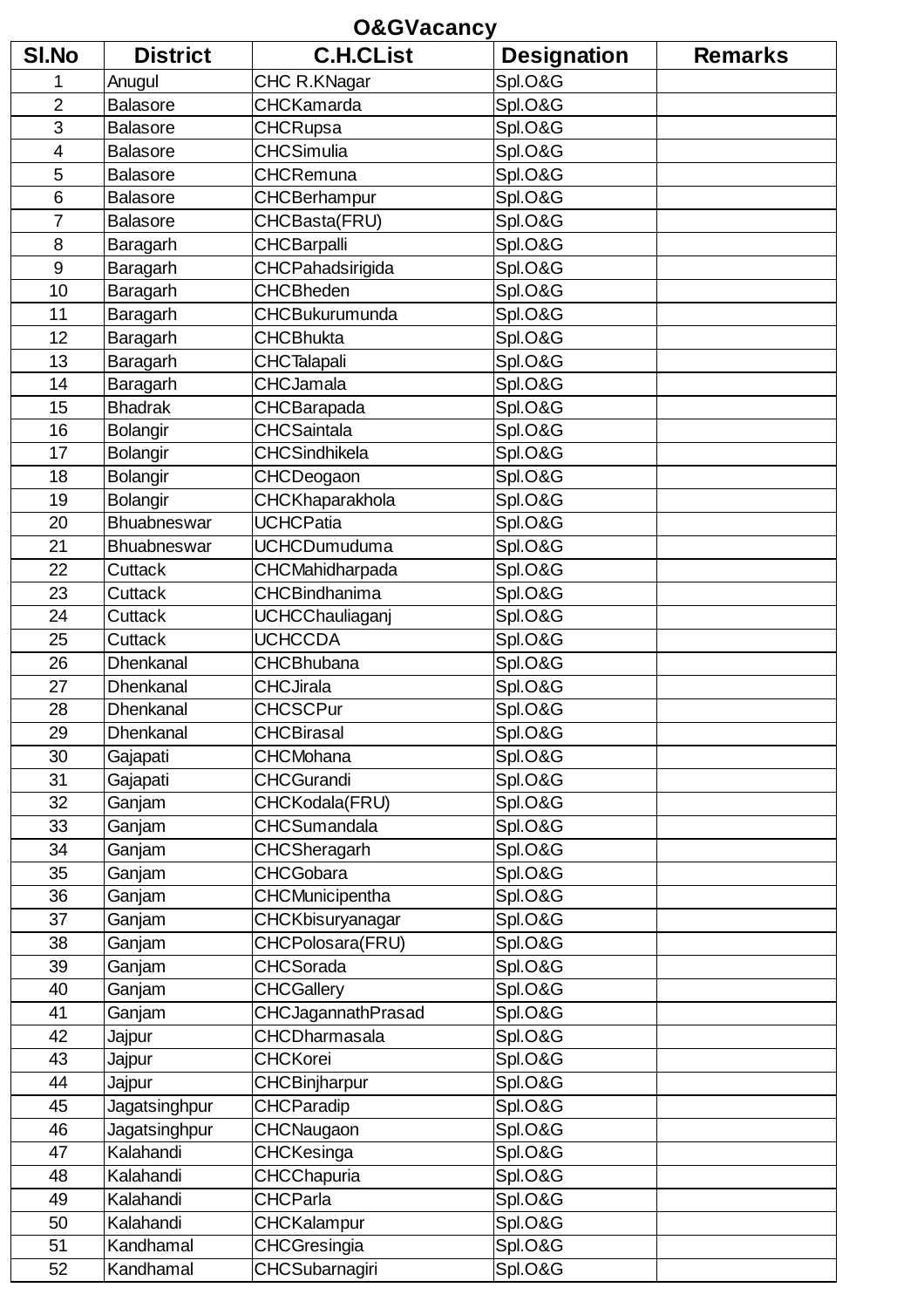|                | <b>O&amp;GVacancy</b> |                           |                    |                |  |
|----------------|-----------------------|---------------------------|--------------------|----------------|--|
| SI.No          | <b>District</b>       | <b>C.H.CList</b>          | <b>Designation</b> | <b>Remarks</b> |  |
| 1              | Anugul                | CHC R.KNagar              | Spl.O&G            |                |  |
| $\overline{2}$ | <b>Balasore</b>       | <b>CHCKamarda</b>         | Spl.O&G            |                |  |
| 3              | <b>Balasore</b>       | <b>CHCRupsa</b>           | Spl.O&G            |                |  |
| 4              | <b>Balasore</b>       | <b>CHCSimulia</b>         | Spl.O&G            |                |  |
| 5              | <b>Balasore</b>       | <b>CHCRemuna</b>          | Spl.O&G            |                |  |
| 6              | <b>Balasore</b>       | CHCBerhampur              | Spl.O&G            |                |  |
| $\overline{7}$ | <b>Balasore</b>       | CHCBasta(FRU)             | Spl.O&G            |                |  |
| 8              | Baragarh              | <b>CHCBarpalli</b>        | Spl.O&G            |                |  |
| 9              | Baragarh              | CHCPahadsirigida          | Spl.O&G            |                |  |
| 10             | Baragarh              | <b>CHCBheden</b>          | Spl.O&G            |                |  |
| 11             | Baragarh              | CHCBukurumunda            | Spl.O&G            |                |  |
| 12             | Baragarh              | <b>CHCBhukta</b>          | Spl.O&G            |                |  |
| 13             | Baragarh              | <b>CHCTalapali</b>        | Spl.O&G            |                |  |
| 14             | Baragarh              | <b>CHCJamala</b>          | Spl.O&G            |                |  |
| 15             | <b>Bhadrak</b>        | CHCBarapada               | Spl.O&G            |                |  |
| 16             | <b>Bolangir</b>       | <b>CHCSaintala</b>        | Spl.O&G            |                |  |
| 17             | <b>Bolangir</b>       | <b>CHCSindhikela</b>      | Spl.O&G            |                |  |
| 18             | <b>Bolangir</b>       | CHCDeogaon                | Spl.O&G            |                |  |
| 19             | <b>Bolangir</b>       | CHCKhaparakhola           | Spl.O&G            |                |  |
| 20             | Bhuabneswar           | <b>UCHCPatia</b>          | Spl.O&G            |                |  |
| 21             | Bhuabneswar           | <b>UCHCDumuduma</b>       | Spl.O&G            |                |  |
| 22             | Cuttack               | CHCMahidharpada           | Spl.O&G            |                |  |
| 23             | Cuttack               | CHCBindhanima             | Spl.O&G            |                |  |
| 24             | Cuttack               | <b>UCHCChauliaganj</b>    | Spl.O&G            |                |  |
| 25             | Cuttack               | <b>UCHCCDA</b>            | Spl.O&G            |                |  |
| 26             | Dhenkanal             | <b>CHCBhubana</b>         | Spl.O&G            |                |  |
| 27             | Dhenkanal             | <b>CHCJirala</b>          | Spl.O&G            |                |  |
| 28             | Dhenkanal             | <b>CHCSCPur</b>           | Spl.O&G            |                |  |
| 29             | Dhenkanal             | <b>CHCBirasal</b>         | Spl.O&G            |                |  |
| 30             | Gajapati              | <b>CHCMohana</b>          | Spl.O&G            |                |  |
| 31             | Gajapati              | <b>CHCGurandi</b>         | Spl.O&G            |                |  |
| 32             | Ganjam                | CHCKodala(FRU)            | Spl.O&G            |                |  |
| 33             | Ganjam                | CHCSumandala              | Spl.O&G            |                |  |
| 34             | Ganjam                | CHCSheragarh              | Spl.O&G            |                |  |
| 35             | Ganjam                | <b>CHCGobara</b>          | Spl.O&G            |                |  |
| 36             | Ganjam                | CHCMunicipentha           | Spl.O&G            |                |  |
| 37             | Ganjam                | CHCKbisuryanagar          | Spl.O&G            |                |  |
| 38             | Ganjam                | CHCPolosara(FRU)          | Spl.O&G            |                |  |
| 39             | Ganjam                | <b>CHCSorada</b>          | Spl.O&G            |                |  |
| 40             | Ganjam                | <b>CHCGallery</b>         | Spl.O&G            |                |  |
| 41             | Ganjam                | <b>CHCJagannathPrasad</b> | Spl.O&G            |                |  |
| 42             | Jajpur                | <b>CHCDharmasala</b>      | Spl.O&G            |                |  |
| 43             | Jajpur                | <b>CHCKorei</b>           | Spl.O&G            |                |  |
| 44             | Jajpur                | CHCBinjharpur             | Spl.O&G            |                |  |
| 45             | Jagatsinghpur         | <b>CHCParadip</b>         | Spl.O&G            |                |  |
| 46             | Jagatsinghpur         | CHCNaugaon                | Spl.O&G            |                |  |
| 47             | Kalahandi             | CHCKesinga                | Spl.O&G            |                |  |
| 48             | Kalahandi             | <b>CHCChapuria</b>        | Spl.O&G            |                |  |
| 49             | Kalahandi             | <b>CHCParla</b>           | Spl.O&G            |                |  |
| 50             | Kalahandi             | <b>CHCKalampur</b>        | Spl.O&G            |                |  |
| 51             | Kandhamal             | CHCGresingia              | Spl.O&G            |                |  |
| 52             | Kandhamal             | CHCSubarnagiri            | Spl.O&G            |                |  |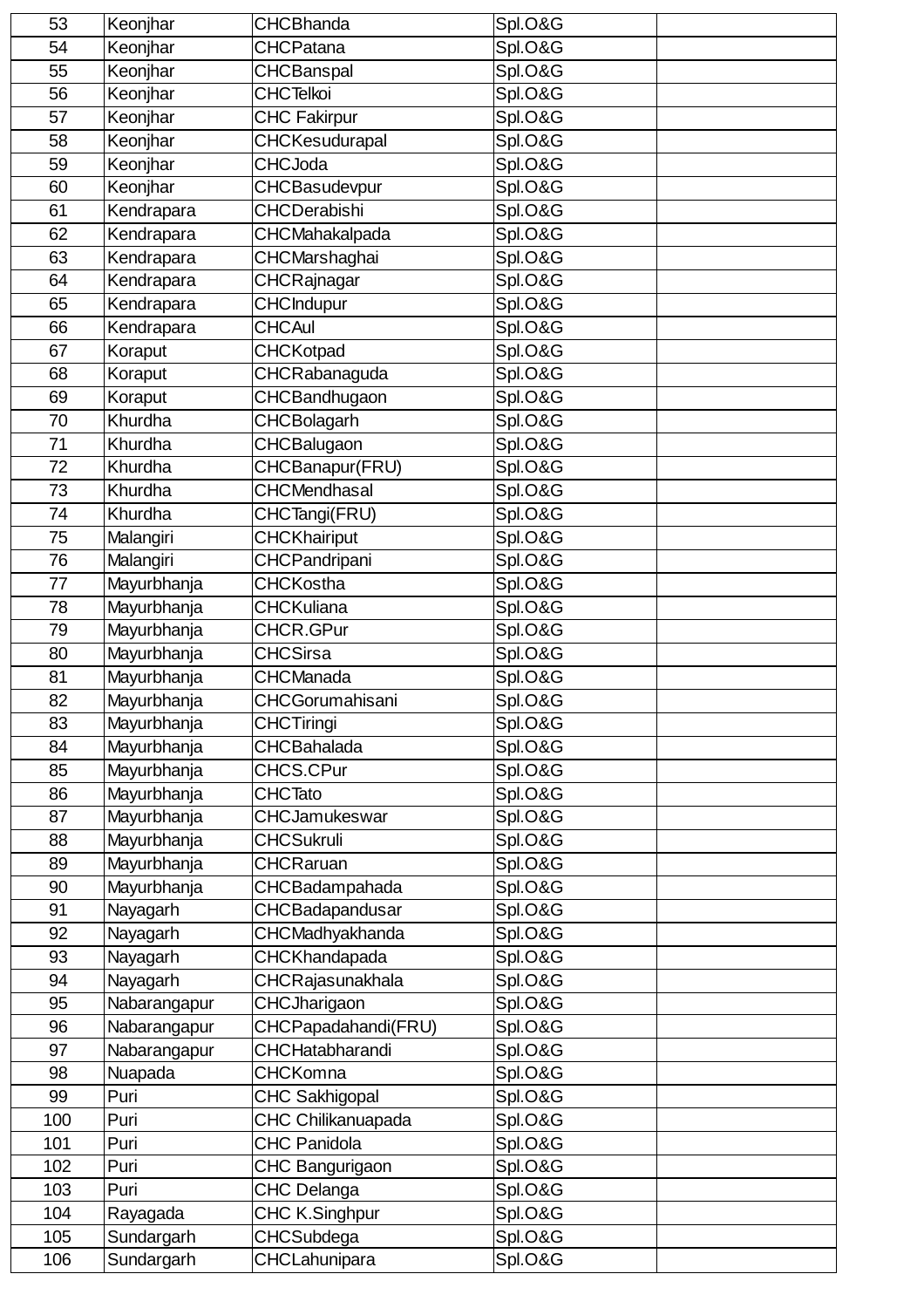| 53       | Keonjhar                | <b>CHCBhanda</b>                    | Spl.O&G            |  |
|----------|-------------------------|-------------------------------------|--------------------|--|
| 54       | Keonjhar                | <b>CHCPatana</b>                    | Spl.O&G            |  |
| 55       | Keonjhar                | <b>CHCBanspal</b>                   | Spl.O&G            |  |
| 56       | Keonjhar                | <b>CHCTelkoi</b>                    | Spl.O&G            |  |
| 57       | Keonjhar                | <b>CHC Fakirpur</b>                 | Spl.O&G            |  |
| 58       | Keonjhar                | CHCKesudurapal                      | Spl.O&G            |  |
| 59       | Keonjhar                | <b>CHCJoda</b>                      | Spl.O&G            |  |
| 60       | Keonjhar                | CHCBasudevpur                       | Spl.O&G            |  |
| 61       | Kendrapara              | <b>CHCDerabishi</b>                 | Spl.O&G            |  |
| 62       | Kendrapara              | CHCMahakalpada                      | Spl.O&G            |  |
| 63       | Kendrapara              | CHCMarshaghai                       | Spl.O&G            |  |
| 64       | Kendrapara              | CHCRajnagar                         | Spl.O&G            |  |
| 65       | Kendrapara              | <b>CHCIndupur</b>                   | Spl.O&G            |  |
| 66       | Kendrapara              | <b>CHCAul</b>                       | Spl.O&G            |  |
| 67       | Koraput                 | <b>CHCKotpad</b>                    | Spl.O&G            |  |
| 68       | Koraput                 | CHCRabanaguda                       | Spl.O&G            |  |
| 69       | Koraput                 | CHCBandhugaon                       | Spl.O&G            |  |
| 70       | Khurdha                 | <b>CHCBolagarh</b>                  | Spl.O&G            |  |
| 71       | Khurdha                 | <b>CHCBalugaon</b>                  | Spl.O&G            |  |
| 72       | Khurdha                 | CHCBanapur(FRU)                     | Spl.O&G            |  |
| 73       | Khurdha                 | CHCMendhasal                        | Spl.O&G            |  |
| 74       | Khurdha                 | CHCTangi(FRU)                       | Spl.O&G            |  |
| 75       | Malangiri               | <b>CHCKhairiput</b>                 | Spl.O&G            |  |
| 76       | Malangiri               | CHCPandripani                       | Spl.O&G            |  |
| 77       | Mayurbhanja             | <b>CHCKostha</b>                    | Spl.O&G            |  |
| 78       | Mayurbhanja             | <b>CHCKuliana</b>                   | Spl.O&G            |  |
| 79       | Mayurbhanja             | CHCR.GPur                           | Spl.O&G            |  |
| 80       | Mayurbhanja             | <b>CHCSirsa</b>                     | Spl.O&G            |  |
| 81       | Mayurbhanja             | CHCManada                           | Spl.O&G            |  |
| 82       | Mayurbhanja             | <b>CHCGorumahisani</b>              | Spl.O&G            |  |
| 83       | Mayurbhanja             | <b>CHCTiringi</b>                   | Spl.O&G            |  |
| 84       | Mayurbhanja             | <b>CHCBahalada</b>                  | Spl.O&G            |  |
| 85       | Mayurbhanja             | <b>CHCS.CPur</b>                    | Spl.O&G            |  |
| 86       | Mayurbhanja             | <b>CHCTato</b>                      | Spl.O&G            |  |
| 87       | Mayurbhanja             | <b>CHCJamukeswar</b>                | Spl.O&G            |  |
| 88       | Mayurbhanja             | <b>CHCSukruli</b>                   | Spl.O&G            |  |
| 89       | Mayurbhanja             | <b>CHCRaruan</b>                    | Spl.O&G            |  |
| 90       | Mayurbhanja             | CHCBadampahada                      | Spl.O&G            |  |
| 91       | Nayagarh                | CHCBadapandusar                     | Spl.O&G            |  |
| 92       | Nayagarh                | CHCMadhyakhanda                     | Spl.O&G            |  |
| 93       | Nayagarh                | CHCKhandapada                       | Spl.O&G            |  |
| 94       | Nayagarh                | CHCRajasunakhala                    | Spl.O&G            |  |
| 95<br>96 | Nabarangapur            | CHCJharigaon<br>CHCPapadahandi(FRU) | Spl.O&G<br>Spl.O&G |  |
| 97       | Nabarangapur            | CHCHatabharandi                     | Spl.O&G            |  |
| 98       | Nabarangapur<br>Nuapada | <b>CHCKomna</b>                     | Spl.O&G            |  |
| 99       | Puri                    | <b>CHC Sakhigopal</b>               | Spl.O&G            |  |
| 100      | Puri                    | CHC Chilikanuapada                  | Spl.O&G            |  |
| 101      | Puri                    | <b>CHC Panidola</b>                 | Spl.O&G            |  |
| 102      | Puri                    | CHC Bangurigaon                     | Spl.O&G            |  |
| 103      | Puri                    | CHC Delanga                         | Spl.O&G            |  |
| 104      | Rayagada                | CHC K.Singhpur                      | Spl.O&G            |  |
| 105      | Sundargarh              | CHCSubdega                          | Spl.O&G            |  |
| 106      | Sundargarh              | CHCLahunipara                       | Spl.O&G            |  |
|          |                         |                                     |                    |  |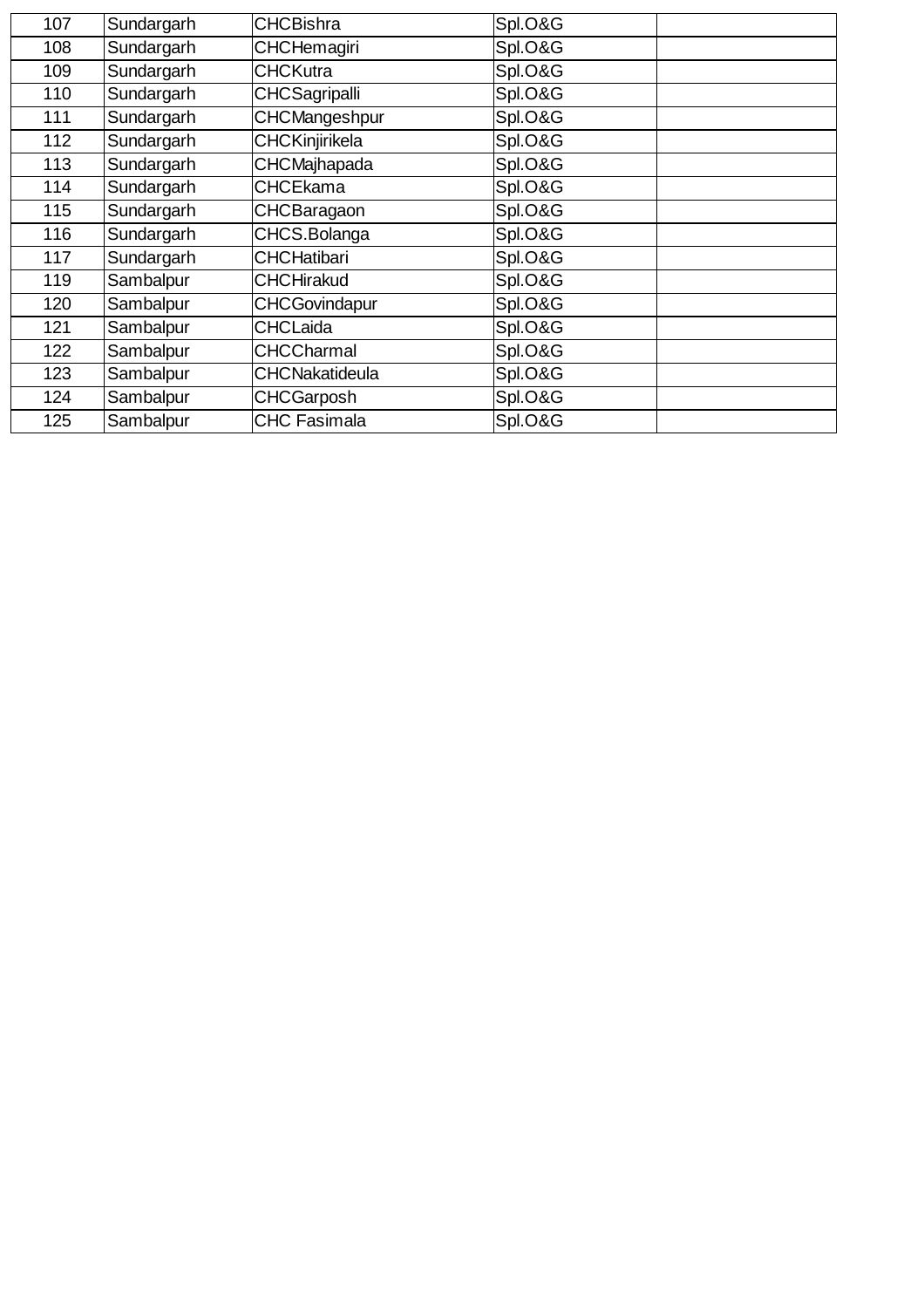| 107 | Sundargarh | <b>CHCBishra</b>      | Spl.O&G |
|-----|------------|-----------------------|---------|
| 108 | Sundargarh | <b>CHCHemagiri</b>    | Spl.O&G |
| 109 | Sundargarh | <b>CHCKutra</b>       | Spl.O&G |
| 110 | Sundargarh | <b>CHCSagripalli</b>  | Spl.O&G |
| 111 | Sundargarh | CHCMangeshpur         | Spl.O&G |
| 112 | Sundargarh | CHCKinjirikela        | Spl.O&G |
| 113 | Sundargarh | <b>CHCMajhapada</b>   | Spl.O&G |
| 114 | Sundargarh | <b>CHCEkama</b>       | Spl.O&G |
| 115 | Sundargarh | <b>CHCBaragaon</b>    | Spl.O&G |
| 116 | Sundargarh | CHCS.Bolanga          | Spl.O&G |
| 117 | Sundargarh | <b>CHCHatibari</b>    | Spl.O&G |
| 119 | Sambalpur  | <b>CHCHirakud</b>     | Spl.O&G |
| 120 | Sambalpur  | <b>CHCGovindapur</b>  | Spl.O&G |
| 121 | Sambalpur  | <b>CHCLaida</b>       | Spl.O&G |
| 122 | Sambalpur  | <b>CHCCharmal</b>     | Spl.O&G |
| 123 | Sambalpur  | <b>CHCNakatideula</b> | Spl.O&G |
| 124 | Sambalpur  | <b>CHCGarposh</b>     | Spl.O&G |
| 125 | Sambalpur  | CHC Fasimala          | Spl.O&G |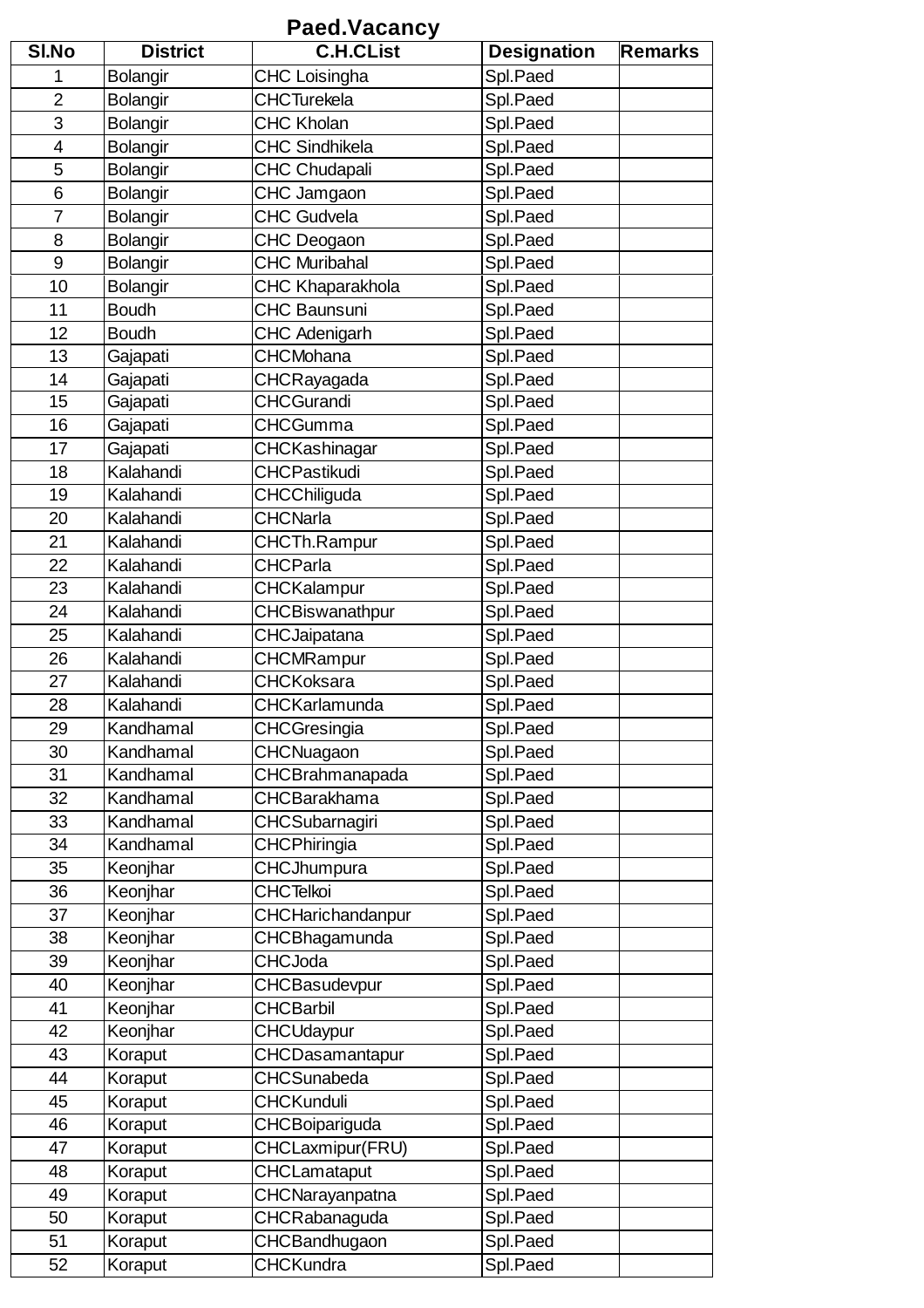## **Paed.Vacancy**

| <b>SI.No</b>   | <b>District</b> | <b>C.H.CList</b>       | <b>Designation</b> | <b>Remarks</b> |
|----------------|-----------------|------------------------|--------------------|----------------|
| 1              | <b>Bolangir</b> | <b>CHC Loisingha</b>   | Spl.Paed           |                |
| $\overline{2}$ | <b>Bolangir</b> | <b>CHCTurekela</b>     | Spl.Paed           |                |
| 3              | <b>Bolangir</b> | <b>CHC Kholan</b>      | Spl.Paed           |                |
| 4              | Bolangir        | <b>CHC Sindhikela</b>  | Spl.Paed           |                |
| 5              | <b>Bolangir</b> | <b>CHC Chudapali</b>   | Spl.Paed           |                |
| 6              | <b>Bolangir</b> | CHC Jamgaon            | Spl.Paed           |                |
| $\overline{7}$ | <b>Bolangir</b> | <b>CHC Gudvela</b>     | Spl.Paed           |                |
| 8              | <b>Bolangir</b> | CHC Deogaon            | Spl.Paed           |                |
| 9              | Bolangir        | <b>CHC Muribahal</b>   | Spl.Paed           |                |
| 10             | <b>Bolangir</b> | CHC Khaparakhola       | Spl.Paed           |                |
| 11             | <b>Boudh</b>    | <b>CHC Baunsuni</b>    | Spl.Paed           |                |
| 12             | <b>Boudh</b>    | <b>CHC Adenigarh</b>   | Spl.Paed           |                |
| 13             | Gajapati        | <b>CHCMohana</b>       | Spl.Paed           |                |
| 14             | Gajapati        | CHCRayagada            | Spl.Paed           |                |
| 15             | Gajapati        | <b>CHCGurandi</b>      | Spl.Paed           |                |
| 16             | Gajapati        | <b>CHCGumma</b>        | Spl.Paed           |                |
| 17             | Gajapati        | CHCKashinagar          | Spl.Paed           |                |
| 18             | Kalahandi       | <b>CHCPastikudi</b>    | Spl.Paed           |                |
| 19             | Kalahandi       | CHCChiliguda           | Spl.Paed           |                |
| 20             | Kalahandi       | <b>CHCNarla</b>        | Spl.Paed           |                |
| 21             | Kalahandi       | CHCTh.Rampur           | Spl.Paed           |                |
| 22             | Kalahandi       | <b>CHCParla</b>        | Spl.Paed           |                |
| 23             | Kalahandi       | CHCKalampur            | Spl.Paed           |                |
| 24             | Kalahandi       | CHCBiswanathpur        | Spl.Paed           |                |
| 25             | Kalahandi       | <b>CHCJaipatana</b>    | Spl.Paed           |                |
| 26             | Kalahandi       | CHCMRampur             | Spl.Paed           |                |
| 27             | Kalahandi       | <b>CHCKoksara</b>      | Spl.Paed           |                |
| 28             | Kalahandi       | CHCKarlamunda          | Spl.Paed           |                |
| 29             | Kandhamal       | CHCGresingia           | Spl.Paed           |                |
| 30             | Kandhamal       | CHCNuagaon             | Spl.Paed           |                |
| 31             | Kandhamal       | <b>CHCBrahmanapada</b> | Spl.Paed           |                |
| 32             | Kandhamal       | <b>CHCBarakhama</b>    | Spl.Paed           |                |
| 33             | Kandhamal       | <b>CHCSubarnagiri</b>  | Spl.Paed           |                |
| 34             | Kandhamal       | CHCPhiringia           | Spl.Paed           |                |
| 35             | Keonjhar        | CHCJhumpura            | Spl.Paed           |                |
| 36             | Keonjhar        | <b>CHCTelkoi</b>       | Spl.Paed           |                |
| 37             | Keonjhar        | CHCHarichandanpur      | Spl.Paed           |                |
| 38             | Keonjhar        | CHCBhagamunda          | Spl.Paed           |                |
| 39             | Keonjhar        | <b>CHCJoda</b>         | Spl.Paed           |                |
| 40             | Keonjhar        | CHCBasudevpur          | Spl.Paed           |                |
| 41             | Keonjhar        | <b>CHCBarbil</b>       | Spl.Paed           |                |
| 42             | Keonjhar        | CHCUdaypur             | Spl.Paed           |                |
| 43             | Koraput         | CHCDasamantapur        | Spl.Paed           |                |
| 44             | Koraput         | <b>CHCSunabeda</b>     | Spl.Paed           |                |
| 45             | Koraput         | <b>CHCKunduli</b>      | Spl.Paed           |                |
| 46             | Koraput         | CHCBoipariguda         | Spl.Paed           |                |
| 47             | Koraput         | CHCLaxmipur(FRU)       | Spl.Paed           |                |
| 48             | Koraput         | <b>CHCLamataput</b>    | Spl.Paed           |                |
| 49             | Koraput         | CHCNarayanpatna        | Spl.Paed           |                |
| 50             | Koraput         | CHCRabanaguda          | Spl.Paed           |                |
| 51             | Koraput         | CHCBandhugaon          | Spl.Paed           |                |
| 52             | Koraput         | <b>CHCKundra</b>       | Spl.Paed           |                |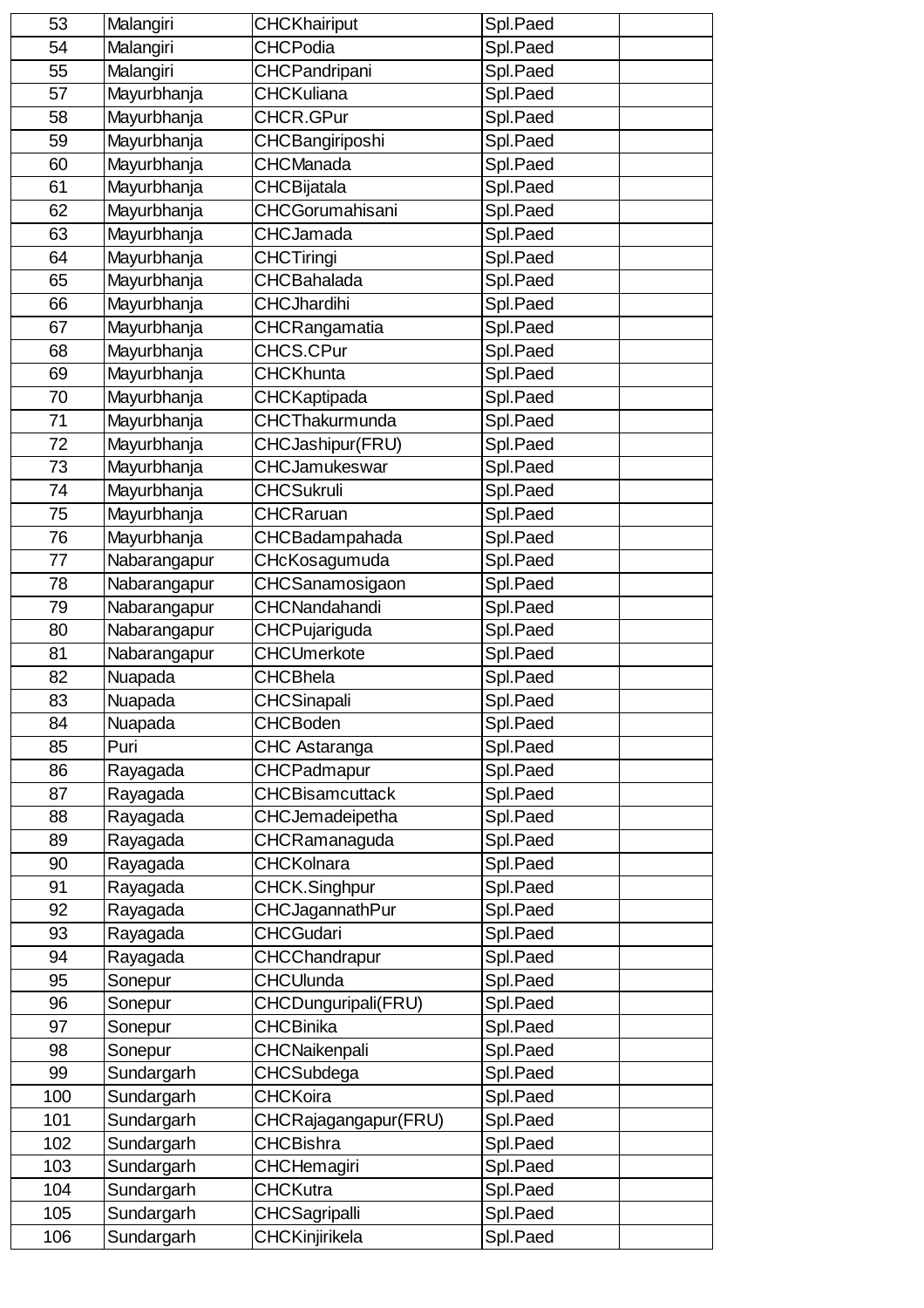| 53  | Malangiri    | <b>CHCKhairiput</b>    | Spl.Paed |
|-----|--------------|------------------------|----------|
| 54  | Malangiri    | <b>CHCPodia</b>        | Spl.Paed |
| 55  | Malangiri    | CHCPandripani          | Spl.Paed |
| 57  | Mayurbhanja  | <b>CHCKuliana</b>      | Spl.Paed |
| 58  | Mayurbhanja  | CHCR.GPur              | Spl.Paed |
| 59  | Mayurbhanja  | CHCBangiriposhi        | Spl.Paed |
| 60  | Mayurbhanja  | <b>CHCManada</b>       | Spl.Paed |
| 61  | Mayurbhanja  | CHCBijatala            | Spl.Paed |
| 62  | Mayurbhanja  | CHCGorumahisani        | Spl.Paed |
| 63  | Mayurbhanja  | <b>CHCJamada</b>       | Spl.Paed |
| 64  | Mayurbhanja  | <b>CHCTiringi</b>      | Spl.Paed |
| 65  | Mayurbhanja  | <b>CHCBahalada</b>     | Spl.Paed |
| 66  | Mayurbhanja  | <b>CHCJhardihi</b>     | Spl.Paed |
| 67  | Mayurbhanja  | CHCRangamatia          | Spl.Paed |
| 68  | Mayurbhanja  | CHCS.CPur              | Spl.Paed |
| 69  | Mayurbhanja  | CHCKhunta              | Spl.Paed |
| 70  |              |                        |          |
|     | Mayurbhanja  | <b>CHCKaptipada</b>    | Spl.Paed |
| 71  | Mayurbhanja  | CHCThakurmunda         | Spl.Paed |
| 72  | Mayurbhanja  | CHCJashipur(FRU)       | Spl.Paed |
| 73  | Mayurbhanja  | CHCJamukeswar          | Spl.Paed |
| 74  | Mayurbhanja  | <b>CHCSukruli</b>      | Spl.Paed |
| 75  | Mayurbhanja  | <b>CHCRaruan</b>       | Spl.Paed |
| 76  | Mayurbhanja  | CHCBadampahada         | Spl.Paed |
| 77  | Nabarangapur | CHcKosagumuda          | Spl.Paed |
| 78  | Nabarangapur | CHCSanamosigaon        | Spl.Paed |
| 79  | Nabarangapur | CHCNandahandi          | Spl.Paed |
| 80  | Nabarangapur | CHCPujariguda          | Spl.Paed |
| 81  | Nabarangapur | <b>CHCUmerkote</b>     | Spl.Paed |
| 82  | Nuapada      | <b>CHCBhela</b>        | Spl.Paed |
| 83  | Nuapada      | CHCSinapali            | Spl.Paed |
| 84  | Nuapada      | <b>CHCBoden</b>        | Spl.Paed |
| 85  | Puri         | <b>CHC Astaranga</b>   | Spl.Paed |
| 86  | Rayagada     | <b>CHCPadmapur</b>     | Spl.Paed |
| 87  | Rayagada     | <b>CHCBisamcuttack</b> | Spl.Paed |
| 88  | Rayagada     | CHCJemadeipetha        | Spl.Paed |
| 89  | Rayagada     | CHCRamanaguda          | Spl.Paed |
| 90  | Rayagada     | <b>CHCKolnara</b>      | Spl.Paed |
| 91  | Rayagada     | CHCK.Singhpur          | Spl.Paed |
| 92  | Rayagada     | <b>CHCJagannathPur</b> | Spl.Paed |
| 93  | Rayagada     | <b>CHCGudari</b>       | Spl.Paed |
| 94  | Rayagada     | CHCChandrapur          | Spl.Paed |
| 95  | Sonepur      | CHCUlunda              | Spl.Paed |
| 96  | Sonepur      | CHCDunguripali(FRU)    | Spl.Paed |
| 97  | Sonepur      | <b>CHCBinika</b>       | Spl.Paed |
| 98  | Sonepur      | <b>CHCNaikenpali</b>   | Spl.Paed |
| 99  | Sundargarh   | CHCSubdega             | Spl.Paed |
| 100 | Sundargarh   | <b>CHCKoira</b>        | Spl.Paed |
| 101 | Sundargarh   | CHCRajagangapur(FRU)   | Spl.Paed |
| 102 | Sundargarh   | <b>CHCBishra</b>       | Spl.Paed |
| 103 | Sundargarh   | <b>CHCHemagiri</b>     | Spl.Paed |
| 104 | Sundargarh   | <b>CHCKutra</b>        | Spl.Paed |
| 105 | Sundargarh   | <b>CHCSagripalli</b>   | Spl.Paed |
| 106 | Sundargarh   | CHCKinjirikela         | Spl.Paed |
|     |              |                        |          |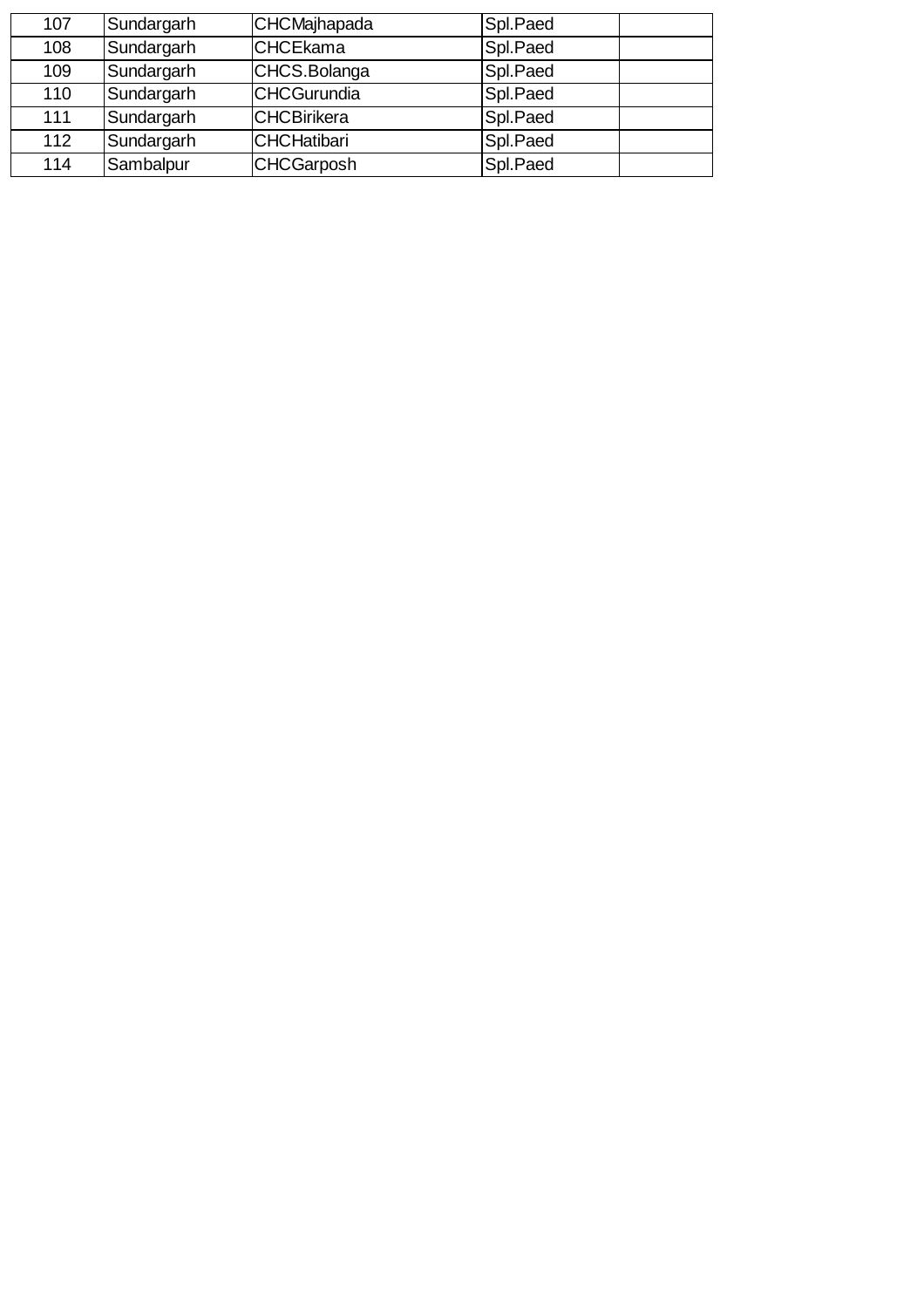| 107 | Sundargarh | CHCMajhapada       | Spl.Paed |
|-----|------------|--------------------|----------|
| 108 | Sundargarh | <b>CHCEkama</b>    | Spl.Paed |
| 109 | Sundargarh | CHCS.Bolanga       | Spl.Paed |
| 110 | Sundargarh | <b>CHCGurundia</b> | Spl.Paed |
| 111 | Sundargarh | <b>CHCBirikera</b> | Spl.Paed |
| 112 | Sundargarh | <b>CHCHatibari</b> | Spl.Paed |
| 114 | Sambalpur  | <b>CHCGarposh</b>  | Spl.Paed |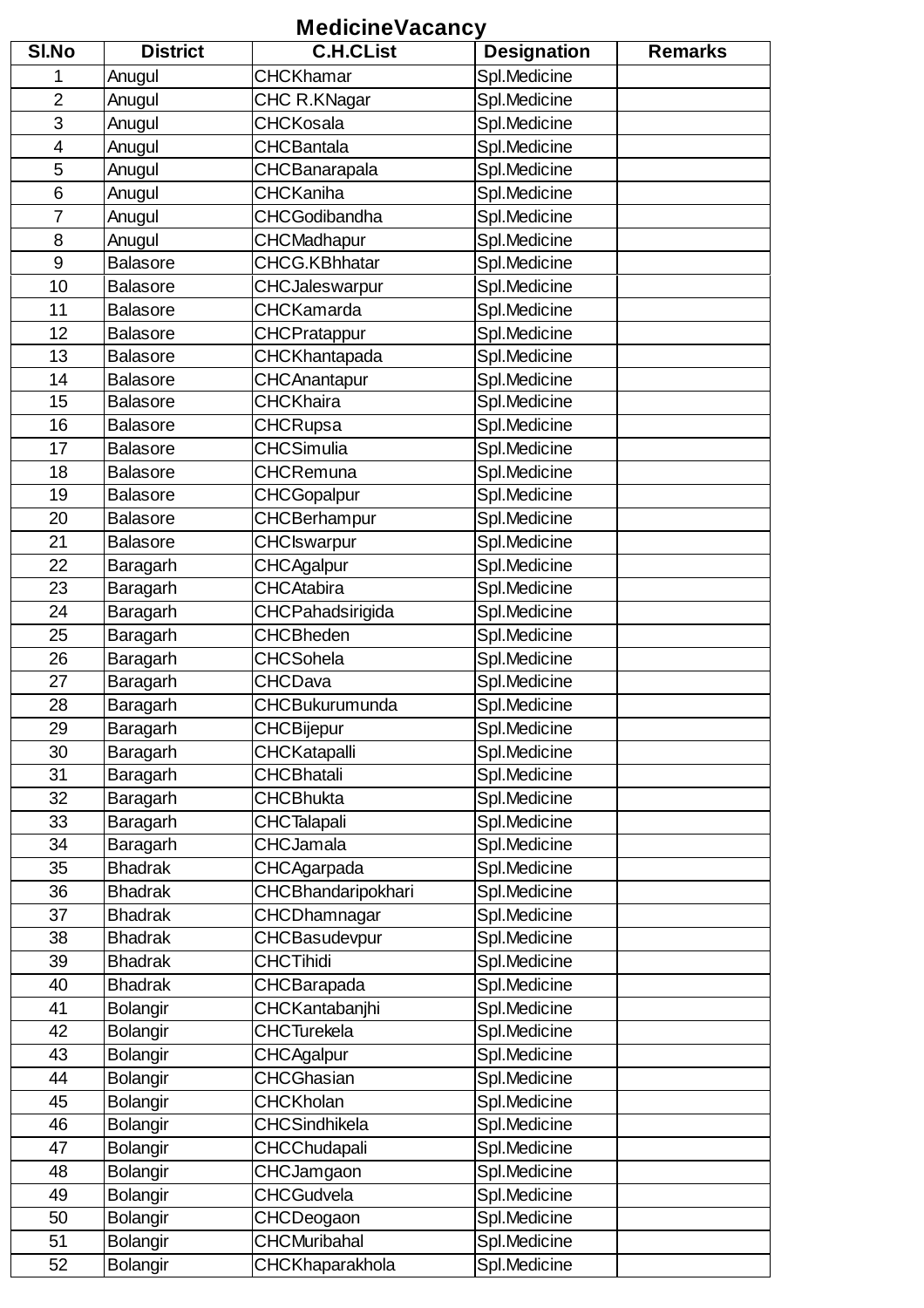### **MedicineVacancy**

| SI.No          | <b>District</b> | <b>C.H.CList</b>       | <b>Designation</b> | <b>Remarks</b> |
|----------------|-----------------|------------------------|--------------------|----------------|
| 1              | Anugul          | <b>CHCKhamar</b>       | Spl.Medicine       |                |
| $\overline{2}$ | Anugul          | CHC R.KNagar           | Spl.Medicine       |                |
| 3              | Anugul          | <b>CHCKosala</b>       | Spl.Medicine       |                |
| 4              | Anugul          | <b>CHCBantala</b>      | Spl.Medicine       |                |
| 5              | Anugul          | CHCBanarapala          | Spl.Medicine       |                |
| 6              | Anugul          | <b>CHCKaniha</b>       | Spl.Medicine       |                |
| $\overline{7}$ | Anugul          | <b>CHCGodibandha</b>   | Spl.Medicine       |                |
| 8              | Anugul          | CHCMadhapur            | Spl.Medicine       |                |
| 9              | <b>Balasore</b> | <b>CHCG.KBhhatar</b>   | Spl.Medicine       |                |
| 10             | <b>Balasore</b> | CHCJaleswarpur         | Spl.Medicine       |                |
| 11             | <b>Balasore</b> | <b>CHCKamarda</b>      | Spl.Medicine       |                |
| 12             | <b>Balasore</b> | <b>CHCPratappur</b>    | Spl.Medicine       |                |
| 13             | <b>Balasore</b> | CHCKhantapada          | Spl.Medicine       |                |
| 14             | <b>Balasore</b> | <b>CHCAnantapur</b>    | Spl.Medicine       |                |
| 15             | <b>Balasore</b> | <b>CHCKhaira</b>       | Spl.Medicine       |                |
| 16             | <b>Balasore</b> | CHCRupsa               | Spl.Medicine       |                |
| 17             | <b>Balasore</b> | <b>CHCSimulia</b>      | Spl.Medicine       |                |
| 18             | <b>Balasore</b> | <b>CHCRemuna</b>       | Spl.Medicine       |                |
| 19             | <b>Balasore</b> | CHCGopalpur            | Spl.Medicine       |                |
| 20             | <b>Balasore</b> | CHCBerhampur           | Spl.Medicine       |                |
| 21             | <b>Balasore</b> | <b>CHCIswarpur</b>     | Spl.Medicine       |                |
| 22             | Baragarh        | <b>CHCAgalpur</b>      | Spl.Medicine       |                |
| 23             | Baragarh        | <b>CHCAtabira</b>      | Spl.Medicine       |                |
| 24             | Baragarh        | CHCPahadsirigida       | Spl.Medicine       |                |
| 25             | Baragarh        | <b>CHCBheden</b>       | Spl.Medicine       |                |
| 26             |                 | <b>CHCSohela</b>       | Spl.Medicine       |                |
| 27             | Baragarh        | <b>CHCDava</b>         |                    |                |
|                | Baragarh        |                        | Spl.Medicine       |                |
| 28             | Baragarh        | CHCBukurumunda         | Spl.Medicine       |                |
| 29             | Baragarh        | <b>CHCBijepur</b>      | Spl.Medicine       |                |
| 30             | Baragarh        | CHCKatapalli           | Spl.Medicine       |                |
| 31             | Baragarh        | <b>CHCBhatali</b>      | Spl.Medicine       |                |
| 32             | Baragarh        | <b>CHCBhukta</b>       | Spl.Medicine       |                |
| 33             | Baragarh        | <b>CHCTalapali</b>     | Spl.Medicine       |                |
| 34             | Baragarh        | <b>CHCJamala</b>       | Spl.Medicine       |                |
| 35             | <b>Bhadrak</b>  | CHCAgarpada            | Spl.Medicine       |                |
| 36             | <b>Bhadrak</b>  | CHCBhandaripokhari     | Spl.Medicine       |                |
| 37             | <b>Bhadrak</b>  | CHCDhamnagar           | Spl.Medicine       |                |
| 38             | <b>Bhadrak</b>  | CHCBasudevpur          | Spl.Medicine       |                |
| 39             | <b>Bhadrak</b>  | <b>CHCTihidi</b>       | Spl.Medicine       |                |
| 40             | <b>Bhadrak</b>  | CHCBarapada            | Spl.Medicine       |                |
| 41             | <b>Bolangir</b> | CHCKantabanjhi         | Spl.Medicine       |                |
| 42             | <b>Bolangir</b> | <b>CHCTurekela</b>     | Spl.Medicine       |                |
| 43             | <b>Bolangir</b> | <b>CHCAgalpur</b>      | Spl.Medicine       |                |
| 44             | Bolangir        | CHCGhasian             | Spl.Medicine       |                |
| 45             | <b>Bolangir</b> | <b>CHCKholan</b>       | Spl.Medicine       |                |
| 46             | <b>Bolangir</b> | <b>CHCSindhikela</b>   | Spl.Medicine       |                |
| 47             | <b>Bolangir</b> | CHCChudapali           | Spl.Medicine       |                |
| 48             | <b>Bolangir</b> | CHCJamgaon             | Spl.Medicine       |                |
| 49             | <b>Bolangir</b> | <b>CHCGudvela</b>      | Spl.Medicine       |                |
| 50             | <b>Bolangir</b> | CHCDeogaon             | Spl.Medicine       |                |
| 51             | Bolangir        | <b>CHCMuribahal</b>    | Spl.Medicine       |                |
| 52             | <b>Bolangir</b> | <b>CHCKhaparakhola</b> | Spl.Medicine       |                |
|                |                 |                        |                    |                |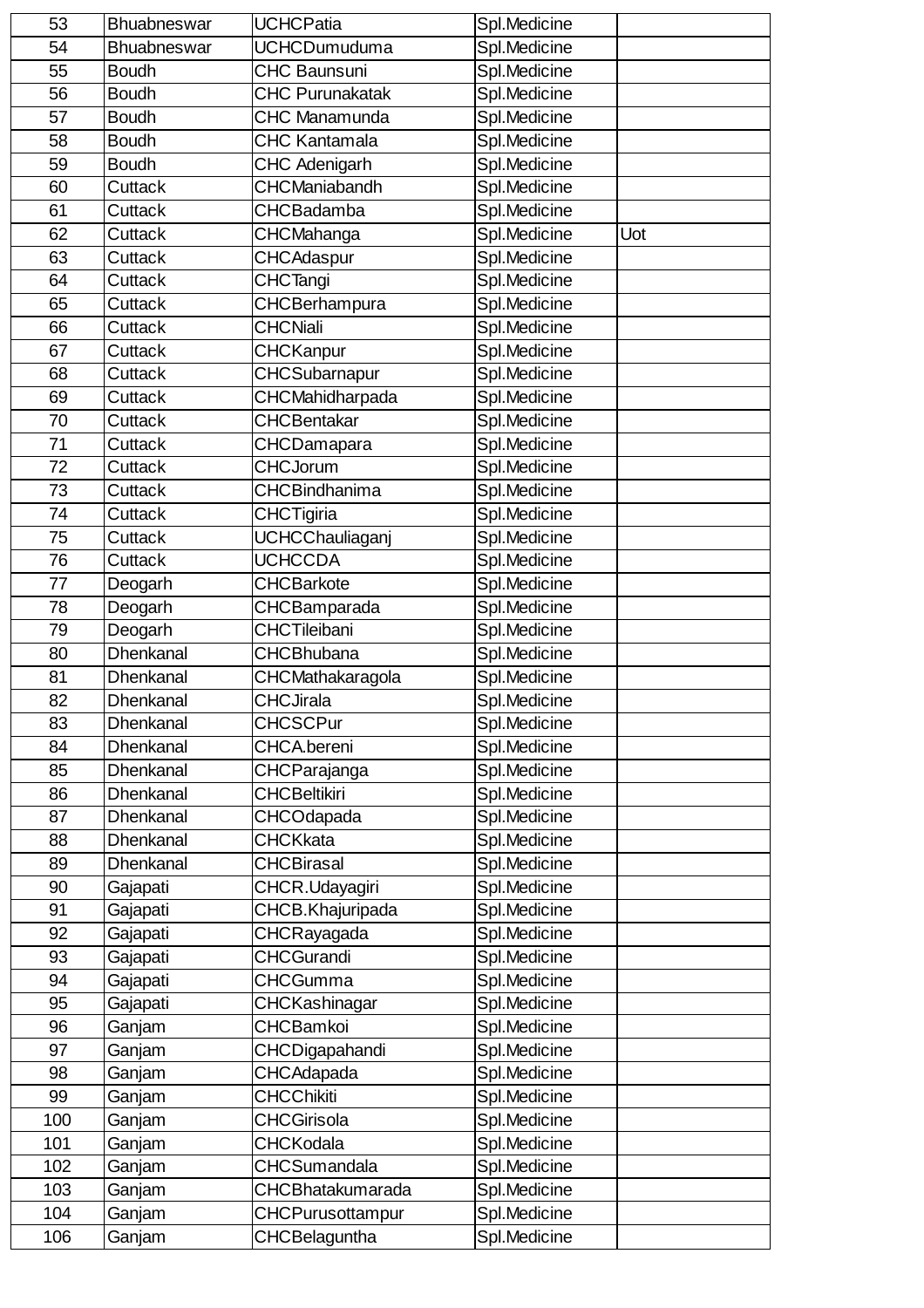| 53  | Bhuabneswar      | <b>UCHCPatia</b>       | Spl.Medicine |     |
|-----|------------------|------------------------|--------------|-----|
| 54  | Bhuabneswar      | <b>UCHCDumuduma</b>    | Spl.Medicine |     |
| 55  | <b>Boudh</b>     | CHC Baunsuni           | Spl.Medicine |     |
| 56  | <b>Boudh</b>     | <b>CHC Purunakatak</b> | Spl.Medicine |     |
| 57  | <b>Boudh</b>     | <b>CHC Manamunda</b>   | Spl.Medicine |     |
| 58  | <b>Boudh</b>     | <b>CHC Kantamala</b>   | Spl.Medicine |     |
| 59  | <b>Boudh</b>     | <b>CHC Adenigarh</b>   | Spl.Medicine |     |
| 60  | Cuttack          | <b>CHCManiabandh</b>   | Spl.Medicine |     |
| 61  | Cuttack          | <b>CHCBadamba</b>      | Spl.Medicine |     |
| 62  | Cuttack          | CHCMahanga             | Spl.Medicine | Uot |
| 63  | Cuttack          | <b>CHCAdaspur</b>      | Spl.Medicine |     |
| 64  | Cuttack          | <b>CHCTangi</b>        | Spl.Medicine |     |
| 65  | Cuttack          | CHCBerhampura          | Spl.Medicine |     |
| 66  | Cuttack          | <b>CHCNiali</b>        | Spl.Medicine |     |
| 67  | Cuttack          | CHCKanpur              | Spl.Medicine |     |
| 68  | Cuttack          | <b>CHCSubarnapur</b>   | Spl.Medicine |     |
| 69  | <b>Cuttack</b>   | CHCMahidharpada        | Spl.Medicine |     |
| 70  | Cuttack          | <b>CHCBentakar</b>     | Spl.Medicine |     |
| 71  | Cuttack          | CHCDamapara            | Spl.Medicine |     |
| 72  | Cuttack          | <b>CHCJorum</b>        | Spl.Medicine |     |
| 73  | <b>Cuttack</b>   | <b>CHCBindhanima</b>   | Spl.Medicine |     |
| 74  | Cuttack          | CHCTigiria             | Spl.Medicine |     |
| 75  | <b>Cuttack</b>   | <b>UCHCChauliaganj</b> | Spl.Medicine |     |
| 76  | Cuttack          | <b>UCHCCDA</b>         | Spl.Medicine |     |
| 77  | Deogarh          | <b>CHCBarkote</b>      | Spl.Medicine |     |
| 78  | Deogarh          | CHCBamparada           | Spl.Medicine |     |
| 79  | Deogarh          | <b>CHCTileibani</b>    | Spl.Medicine |     |
| 80  | Dhenkanal        | <b>CHCBhubana</b>      | Spl.Medicine |     |
| 81  | Dhenkanal        | CHCMathakaragola       | Spl.Medicine |     |
| 82  | Dhenkanal        | <b>CHCJirala</b>       | Spl.Medicine |     |
| 83  | Dhenkanal        | <b>CHCSCPur</b>        | Spl.Medicine |     |
| 84  | Dhenkanal        | <b>CHCA</b> .bereni    | Spl.Medicine |     |
| 85  | Dhenkanal        | CHCParajanga           | Spl.Medicine |     |
| 86  | <b>Dhenkanal</b> | <b>CHCBeltikiri</b>    | Spl.Medicine |     |
| 87  | Dhenkanal        | <b>CHCOdapada</b>      | Spl.Medicine |     |
| 88  | <b>Dhenkanal</b> | <b>CHCKkata</b>        | Spl.Medicine |     |
| 89  | Dhenkanal        | <b>CHCBirasal</b>      | Spl.Medicine |     |
| 90  | Gajapati         | CHCR.Udayagiri         | Spl.Medicine |     |
| 91  | Gajapati         | CHCB.Khajuripada       | Spl.Medicine |     |
| 92  | Gajapati         | CHCRayagada            | Spl.Medicine |     |
| 93  | Gajapati         | <b>CHCGurandi</b>      | Spl.Medicine |     |
| 94  | Gajapati         | <b>CHCGumma</b>        | Spl.Medicine |     |
| 95  | Gajapati         | CHCKashinagar          | Spl.Medicine |     |
| 96  | Ganjam           | <b>CHCBamkoi</b>       | Spl.Medicine |     |
| 97  | Ganjam           | CHCDigapahandi         | Spl.Medicine |     |
| 98  | Ganjam           | <b>CHCAdapada</b>      | Spl.Medicine |     |
| 99  | Ganjam           | <b>CHCChikiti</b>      | Spl.Medicine |     |
| 100 | Ganjam           | CHCGirisola            | Spl.Medicine |     |
| 101 | Ganjam           | <b>CHCKodala</b>       | Spl.Medicine |     |
| 102 | Ganjam           | <b>CHCSumandala</b>    | Spl.Medicine |     |
| 103 | Ganjam           | CHCBhatakumarada       | Spl.Medicine |     |
| 104 | Ganjam           | CHCPurusottampur       | Spl.Medicine |     |
| 106 | Ganjam           | CHCBelaguntha          | Spl.Medicine |     |
|     |                  |                        |              |     |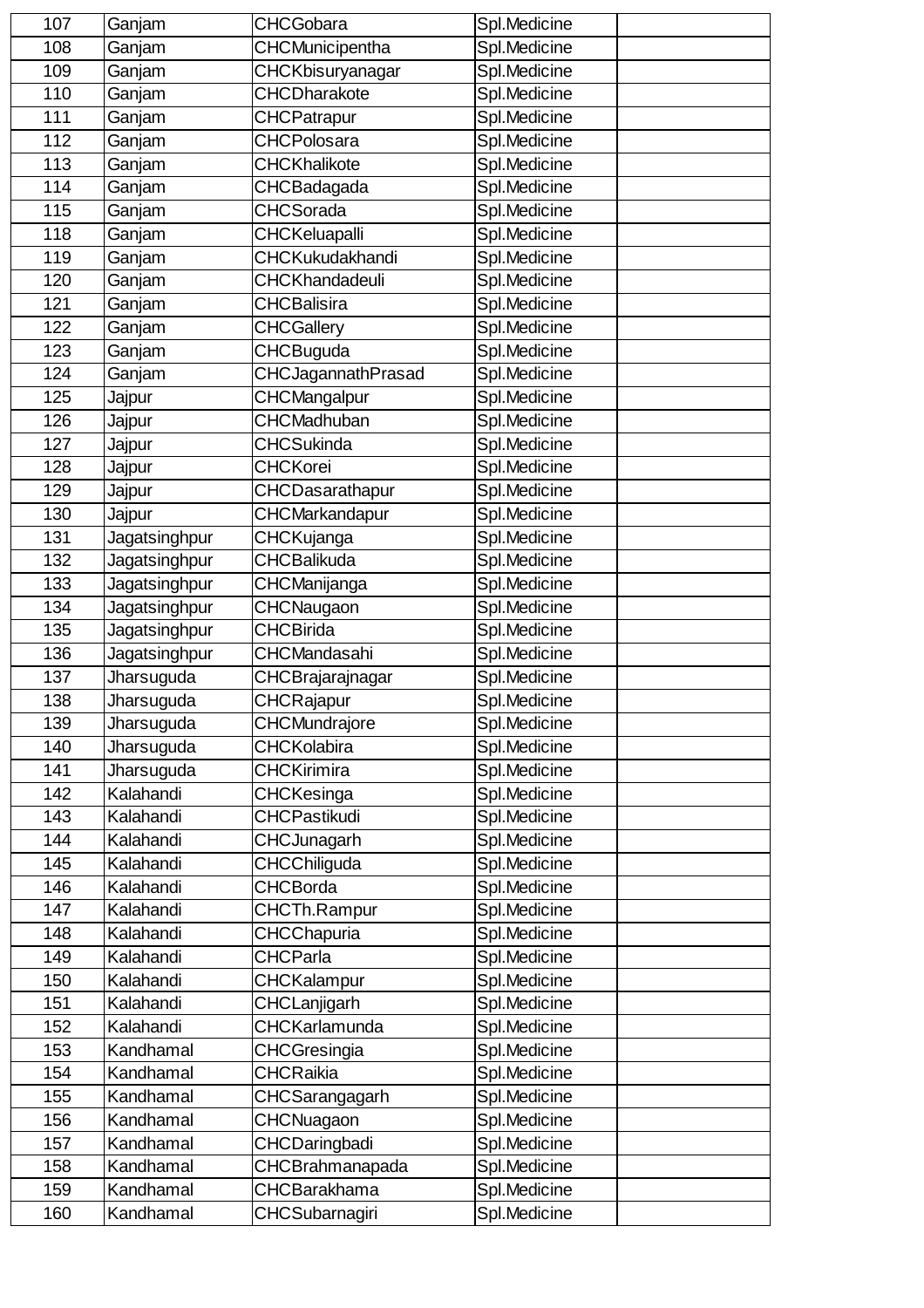| 107 | Ganjam        | <b>CHCGobara</b>       | Spl.Medicine |  |
|-----|---------------|------------------------|--------------|--|
| 108 | Ganjam        | CHCMunicipentha        | Spl.Medicine |  |
| 109 | Ganjam        | CHCKbisuryanagar       | Spl.Medicine |  |
| 110 | Ganjam        | <b>CHCDharakote</b>    | Spl.Medicine |  |
| 111 | Ganjam        | <b>CHCPatrapur</b>     | Spl.Medicine |  |
| 112 | Ganjam        | <b>CHCPolosara</b>     | Spl.Medicine |  |
| 113 | Ganjam        | <b>CHCKhalikote</b>    | Spl.Medicine |  |
| 114 | Ganjam        | CHCBadagada            | Spl.Medicine |  |
| 115 | Ganjam        | <b>CHCSorada</b>       | Spl.Medicine |  |
| 118 | Ganjam        | <b>CHCKeluapalli</b>   | Spl.Medicine |  |
| 119 | Ganjam        | <b>CHCKukudakhandi</b> | Spl.Medicine |  |
| 120 | Ganjam        | CHCKhandadeuli         | Spl.Medicine |  |
| 121 | Ganjam        | <b>CHCBalisira</b>     | Spl.Medicine |  |
| 122 | Ganjam        | <b>CHCGallery</b>      | Spl.Medicine |  |
| 123 | Ganjam        | <b>CHCBuguda</b>       | Spl.Medicine |  |
| 124 | Ganjam        | CHCJagannathPrasad     | Spl.Medicine |  |
| 125 | Jajpur        | <b>CHCMangalpur</b>    | Spl.Medicine |  |
| 126 | Jajpur        | <b>CHCMadhuban</b>     | Spl.Medicine |  |
| 127 | Jajpur        | <b>CHCSukinda</b>      | Spl.Medicine |  |
| 128 | Jajpur        | <b>CHCKorei</b>        | Spl.Medicine |  |
| 129 | Jajpur        | CHCDasarathapur        | Spl.Medicine |  |
| 130 | Jajpur        | <b>CHCMarkandapur</b>  | Spl.Medicine |  |
| 131 | Jagatsinghpur | <b>CHCKujanga</b>      | Spl.Medicine |  |
| 132 | Jagatsinghpur | <b>CHCBalikuda</b>     | Spl.Medicine |  |
| 133 | Jagatsinghpur | CHCManijanga           | Spl.Medicine |  |
| 134 | Jagatsinghpur | CHCNaugaon             | Spl.Medicine |  |
| 135 | Jagatsinghpur | <b>CHCBirida</b>       | Spl.Medicine |  |
| 136 | Jagatsinghpur | <b>CHCMandasahi</b>    | Spl.Medicine |  |
| 137 | Jharsuguda    | CHCBrajarajnagar       | Spl.Medicine |  |
| 138 | Jharsuguda    | CHCRajapur             | Spl.Medicine |  |
| 139 | Jharsuguda    | <b>CHCMundrajore</b>   | Spl.Medicine |  |
| 140 | Jharsuguda    | <b>CHCKolabira</b>     | Spl.Medicine |  |
| 141 | Jharsuguda    | <b>CHCKirimira</b>     | Spl.Medicine |  |
| 142 | Kalahandi     | CHCKesinga             | Spl.Medicine |  |
| 143 | Kalahandi     | <b>CHCPastikudi</b>    | Spl.Medicine |  |
| 144 | Kalahandi     | CHCJunagarh            | Spl.Medicine |  |
| 145 | Kalahandi     | CHCChiliguda           | Spl.Medicine |  |
| 146 | Kalahandi     | <b>CHCBorda</b>        | Spl.Medicine |  |
| 147 | Kalahandi     | <b>CHCTh.Rampur</b>    | Spl.Medicine |  |
| 148 | Kalahandi     | <b>CHCChapuria</b>     | Spl.Medicine |  |
| 149 | Kalahandi     | <b>CHCParla</b>        | Spl.Medicine |  |
| 150 | Kalahandi     | <b>CHCKalampur</b>     | Spl.Medicine |  |
| 151 | Kalahandi     | CHCLanjigarh           | Spl.Medicine |  |
| 152 | Kalahandi     | <b>CHCKarlamunda</b>   | Spl.Medicine |  |
| 153 | Kandhamal     | CHCGresingia           | Spl.Medicine |  |
| 154 | Kandhamal     | <b>CHCRaikia</b>       | Spl.Medicine |  |
| 155 | Kandhamal     | CHCSarangagarh         | Spl.Medicine |  |
| 156 | Kandhamal     | CHCNuagaon             | Spl.Medicine |  |
| 157 | Kandhamal     | CHCDaringbadi          | Spl.Medicine |  |
| 158 | Kandhamal     | CHCBrahmanapada        | Spl.Medicine |  |
| 159 | Kandhamal     | <b>CHCBarakhama</b>    | Spl.Medicine |  |
| 160 | Kandhamal     | CHCSubarnagiri         | Spl.Medicine |  |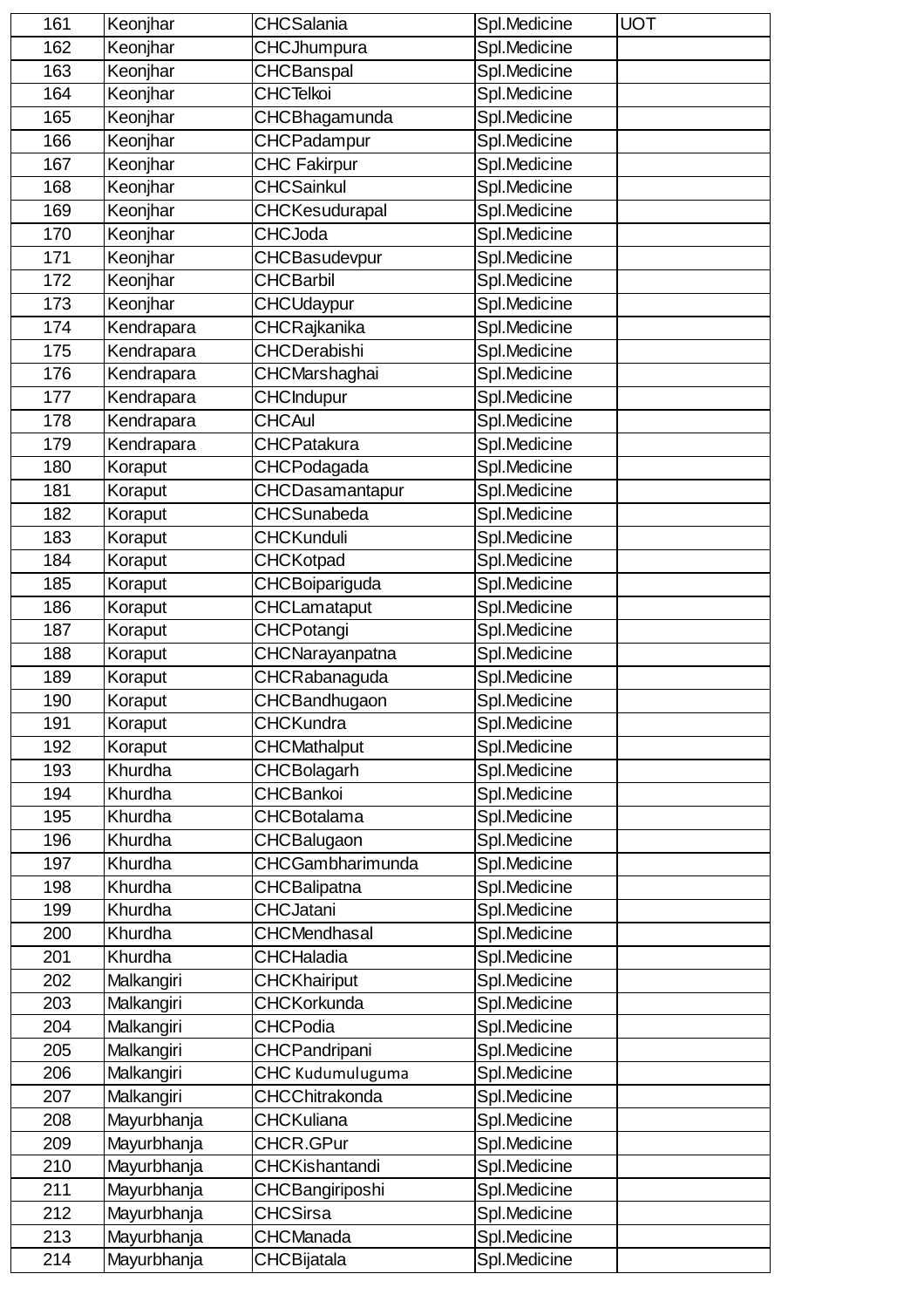| 161 | Keonjhar    | CHCSalania            | Spl.Medicine | <b>UOT</b> |
|-----|-------------|-----------------------|--------------|------------|
| 162 | Keonjhar    | CHCJhumpura           | Spl.Medicine |            |
| 163 | Keonjhar    | <b>CHCBanspal</b>     | Spl.Medicine |            |
| 164 | Keonjhar    | <b>CHCTelkoi</b>      | Spl.Medicine |            |
| 165 | Keonjhar    | CHCBhagamunda         | Spl.Medicine |            |
| 166 | Keonjhar    | CHCPadampur           | Spl.Medicine |            |
| 167 | Keonjhar    | <b>CHC Fakirpur</b>   | Spl.Medicine |            |
| 168 | Keonjhar    | <b>CHCSainkul</b>     | Spl.Medicine |            |
| 169 | Keonjhar    | CHCKesudurapal        | Spl.Medicine |            |
| 170 | Keonjhar    | <b>CHCJoda</b>        | Spl.Medicine |            |
| 171 | Keonjhar    | CHCBasudevpur         | Spl.Medicine |            |
| 172 | Keonjhar    | <b>CHCBarbil</b>      | Spl.Medicine |            |
| 173 | Keonjhar    | <b>CHCUdaypur</b>     | Spl.Medicine |            |
| 174 | Kendrapara  | CHCRajkanika          | Spl.Medicine |            |
| 175 | Kendrapara  | <b>CHCDerabishi</b>   | Spl.Medicine |            |
| 176 | Kendrapara  | CHCMarshaghai         | Spl.Medicine |            |
| 177 | Kendrapara  | <b>CHCIndupur</b>     | Spl.Medicine |            |
| 178 | Kendrapara  | <b>CHCAul</b>         | Spl.Medicine |            |
| 179 | Kendrapara  | <b>CHCPatakura</b>    | Spl.Medicine |            |
| 180 | Koraput     | CHCPodagada           | Spl.Medicine |            |
| 181 | Koraput     | CHCDasamantapur       | Spl.Medicine |            |
| 182 | Koraput     | <b>CHCSunabeda</b>    | Spl.Medicine |            |
| 183 | Koraput     | <b>CHCKunduli</b>     | Spl.Medicine |            |
| 184 | Koraput     | CHCKotpad             | Spl.Medicine |            |
| 185 | Koraput     | CHCBoipariguda        | Spl.Medicine |            |
| 186 | Koraput     | CHCLamataput          | Spl.Medicine |            |
| 187 | Koraput     | CHCPotangi            | Spl.Medicine |            |
| 188 | Koraput     | CHCNarayanpatna       | Spl.Medicine |            |
| 189 | Koraput     | CHCRabanaguda         | Spl.Medicine |            |
| 190 | Koraput     | CHCBandhugaon         | Spl.Medicine |            |
| 191 | Koraput     | <b>CHCKundra</b>      | Spl.Medicine |            |
| 192 | Koraput     | <b>CHCMathalput</b>   | Spl.Medicine |            |
| 193 | Khurdha     | <b>CHCBolagarh</b>    | Spl.Medicine |            |
| 194 | Khurdha     | <b>CHCBankoi</b>      | Spl.Medicine |            |
| 195 | Khurdha     | <b>CHCBotalama</b>    | Spl.Medicine |            |
| 196 | Khurdha     | CHCBalugaon           | Spl.Medicine |            |
| 197 | Khurdha     | CHCGambharimunda      | Spl.Medicine |            |
| 198 | Khurdha     | CHCBalipatna          | Spl.Medicine |            |
| 199 | Khurdha     | <b>CHCJatani</b>      | Spl.Medicine |            |
| 200 | Khurdha     | <b>CHCMendhasal</b>   | Spl.Medicine |            |
| 201 | Khurdha     | <b>CHCHaladia</b>     | Spl.Medicine |            |
| 202 | Malkangiri  | <b>CHCKhairiput</b>   | Spl.Medicine |            |
| 203 | Malkangiri  | <b>CHCKorkunda</b>    | Spl.Medicine |            |
| 204 | Malkangiri  | <b>CHCPodia</b>       | Spl.Medicine |            |
| 205 | Malkangiri  | CHCPandripani         | Spl.Medicine |            |
| 206 | Malkangiri  | CHC Kudumuluguma      | Spl.Medicine |            |
| 207 | Malkangiri  | <b>CHCChitrakonda</b> | Spl.Medicine |            |
| 208 | Mayurbhanja | <b>CHCKuliana</b>     | Spl.Medicine |            |
| 209 | Mayurbhanja | CHCR.GPur             | Spl.Medicine |            |
| 210 | Mayurbhanja | <b>CHCKishantandi</b> | Spl.Medicine |            |
| 211 | Mayurbhanja | CHCBangiriposhi       | Spl.Medicine |            |
| 212 | Mayurbhanja | <b>CHCSirsa</b>       | Spl.Medicine |            |
| 213 | Mayurbhanja | <b>CHCManada</b>      | Spl.Medicine |            |
| 214 | Mayurbhanja | CHCBijatala           | Spl.Medicine |            |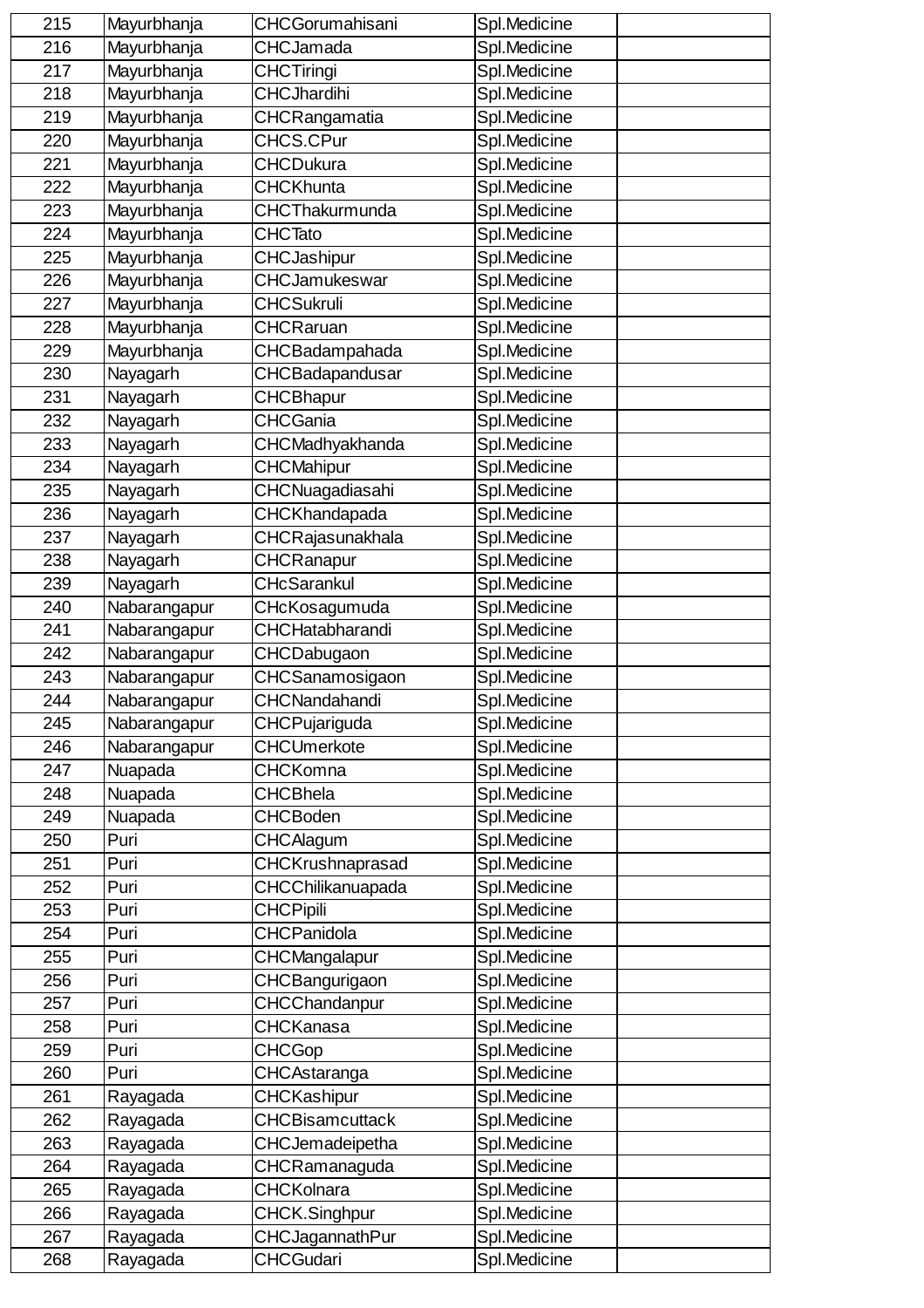| 215 | Mayurbhanja  | <b>CHCGorumahisani</b> | Spl.Medicine |  |
|-----|--------------|------------------------|--------------|--|
| 216 | Mayurbhanja  | <b>CHCJamada</b>       | Spl.Medicine |  |
| 217 | Mayurbhanja  | <b>CHCTiringi</b>      | Spl.Medicine |  |
| 218 | Mayurbhanja  | <b>CHCJhardihi</b>     | Spl.Medicine |  |
| 219 | Mayurbhanja  | CHCRangamatia          | Spl.Medicine |  |
| 220 | Mayurbhanja  | CHCS.CPur              | Spl.Medicine |  |
| 221 | Mayurbhanja  | <b>CHCDukura</b>       | Spl.Medicine |  |
| 222 | Mayurbhanja  | <b>CHCKhunta</b>       | Spl.Medicine |  |
| 223 | Mayurbhanja  | CHCThakurmunda         | Spl.Medicine |  |
| 224 | Mayurbhanja  | <b>CHCTato</b>         | Spl.Medicine |  |
| 225 | Mayurbhanja  | CHCJashipur            | Spl.Medicine |  |
| 226 | Mayurbhanja  | CHCJamukeswar          | Spl.Medicine |  |
| 227 | Mayurbhanja  | <b>CHCSukruli</b>      | Spl.Medicine |  |
| 228 | Mayurbhanja  | <b>CHCRaruan</b>       | Spl.Medicine |  |
| 229 | Mayurbhanja  | CHCBadampahada         | Spl.Medicine |  |
| 230 | Nayagarh     | CHCBadapandusar        | Spl.Medicine |  |
| 231 | Nayagarh     | <b>CHCBhapur</b>       | Spl.Medicine |  |
| 232 | Nayagarh     | <b>CHCGania</b>        | Spl.Medicine |  |
| 233 | Nayagarh     | CHCMadhyakhanda        | Spl.Medicine |  |
| 234 | Nayagarh     | <b>CHCMahipur</b>      | Spl.Medicine |  |
| 235 | Nayagarh     | CHCNuagadiasahi        | Spl.Medicine |  |
| 236 | Nayagarh     | CHCKhandapada          | Spl.Medicine |  |
| 237 | Nayagarh     | CHCRajasunakhala       | Spl.Medicine |  |
| 238 | Nayagarh     | <b>CHCRanapur</b>      | Spl.Medicine |  |
| 239 | Nayagarh     | <b>CHcSarankul</b>     | Spl.Medicine |  |
| 240 | Nabarangapur | CHcKosagumuda          | Spl.Medicine |  |
| 241 | Nabarangapur | <b>CHCHatabharandi</b> | Spl.Medicine |  |
| 242 | Nabarangapur | CHCDabugaon            | Spl.Medicine |  |
| 243 | Nabarangapur | CHCSanamosigaon        | Spl.Medicine |  |
| 244 | Nabarangapur | CHCNandahandi          | Spl.Medicine |  |
| 245 | Nabarangapur | CHCPujariguda          | Spl.Medicine |  |
| 246 | Nabarangapur | <b>CHCUmerkote</b>     | Spl.Medicine |  |
| 247 | Nuapada      | <b>CHCKomna</b>        | Spl.Medicine |  |
| 248 | Nuapada      | <b>CHCBhela</b>        | Spl.Medicine |  |
| 249 | Nuapada      | <b>CHCBoden</b>        | Spl.Medicine |  |
| 250 | Puri         | <b>CHCAlagum</b>       | Spl.Medicine |  |
| 251 | Puri         | CHCKrushnaprasad       | Spl.Medicine |  |
| 252 | Puri         | CHCChilikanuapada      | Spl.Medicine |  |
| 253 | Puri         | <b>CHCPipili</b>       | Spl.Medicine |  |
| 254 | Puri         | <b>CHCPanidola</b>     | Spl.Medicine |  |
| 255 | Puri         | CHCMangalapur          | Spl.Medicine |  |
| 256 | Puri         | CHCBangurigaon         | Spl.Medicine |  |
| 257 | Puri         | CHCChandanpur          | Spl.Medicine |  |
| 258 | Puri         | <b>CHCKanasa</b>       | Spl.Medicine |  |
| 259 | Puri         | <b>CHCGop</b>          | Spl.Medicine |  |
| 260 | Puri         | CHCAstaranga           | Spl.Medicine |  |
| 261 | Rayagada     | <b>CHCKashipur</b>     | Spl.Medicine |  |
| 262 | Rayagada     | <b>CHCBisamcuttack</b> | Spl.Medicine |  |
| 263 | Rayagada     | CHCJemadeipetha        | Spl.Medicine |  |
| 264 | Rayagada     | CHCRamanaguda          | Spl.Medicine |  |
| 265 | Rayagada     | <b>CHCKolnara</b>      | Spl.Medicine |  |
| 266 | Rayagada     | CHCK.Singhpur          | Spl.Medicine |  |
| 267 | Rayagada     | CHCJagannathPur        | Spl.Medicine |  |
| 268 | Rayagada     | <b>CHCGudari</b>       | Spl.Medicine |  |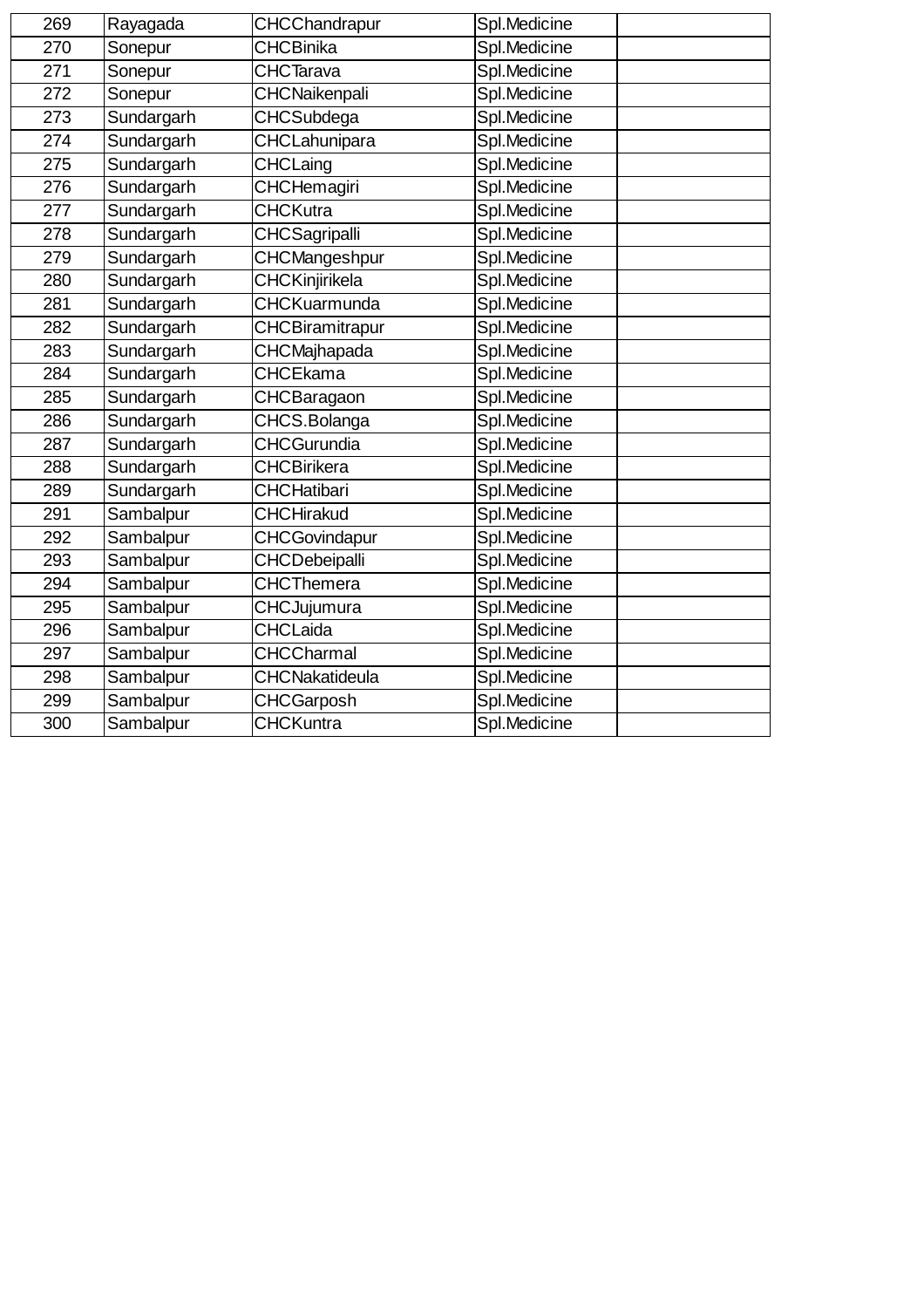| 269 | Rayagada   | CHCChandrapur         | Spl.Medicine |
|-----|------------|-----------------------|--------------|
| 270 | Sonepur    | <b>CHCBinika</b>      | Spl.Medicine |
| 271 | Sonepur    | <b>CHCTarava</b>      | Spl.Medicine |
| 272 | Sonepur    | CHCNaikenpali         | Spl.Medicine |
| 273 | Sundargarh | CHCSubdega            | Spl.Medicine |
| 274 | Sundargarh | CHCLahunipara         | Spl.Medicine |
| 275 | Sundargarh | CHCLaing              | Spl.Medicine |
| 276 | Sundargarh | CHCHemagiri           | Spl.Medicine |
| 277 | Sundargarh | <b>CHCKutra</b>       | Spl.Medicine |
| 278 | Sundargarh | <b>CHCSagripalli</b>  | Spl.Medicine |
| 279 | Sundargarh | CHCMangeshpur         | Spl.Medicine |
| 280 | Sundargarh | CHCKinjirikela        | Spl.Medicine |
| 281 | Sundargarh | <b>CHCKuarmunda</b>   | Spl.Medicine |
| 282 | Sundargarh | CHCBiramitrapur       | Spl.Medicine |
| 283 | Sundargarh | CHCMajhapada          | Spl.Medicine |
| 284 | Sundargarh | <b>CHCEkama</b>       | Spl.Medicine |
| 285 | Sundargarh | CHCBaragaon           | Spl.Medicine |
| 286 | Sundargarh | CHCS.Bolanga          | Spl.Medicine |
| 287 | Sundargarh | <b>CHCGurundia</b>    | Spl.Medicine |
| 288 | Sundargarh | <b>CHCBirikera</b>    | Spl.Medicine |
| 289 | Sundargarh | <b>CHCHatibari</b>    | Spl.Medicine |
| 291 | Sambalpur  | <b>CHCHirakud</b>     | Spl.Medicine |
| 292 | Sambalpur  | <b>CHCGovindapur</b>  | Spl.Medicine |
| 293 | Sambalpur  | CHCDebeipalli         | Spl.Medicine |
| 294 | Sambalpur  | <b>CHCThemera</b>     | Spl.Medicine |
| 295 | Sambalpur  | CHCJujumura           | Spl.Medicine |
| 296 | Sambalpur  | <b>CHCLaida</b>       | Spl.Medicine |
| 297 | Sambalpur  | <b>CHCCharmal</b>     | Spl.Medicine |
| 298 | Sambalpur  | <b>CHCNakatideula</b> | Spl.Medicine |
| 299 | Sambalpur  | <b>CHCGarposh</b>     | Spl.Medicine |
| 300 | Sambalpur  | <b>CHCKuntra</b>      | Spl.Medicine |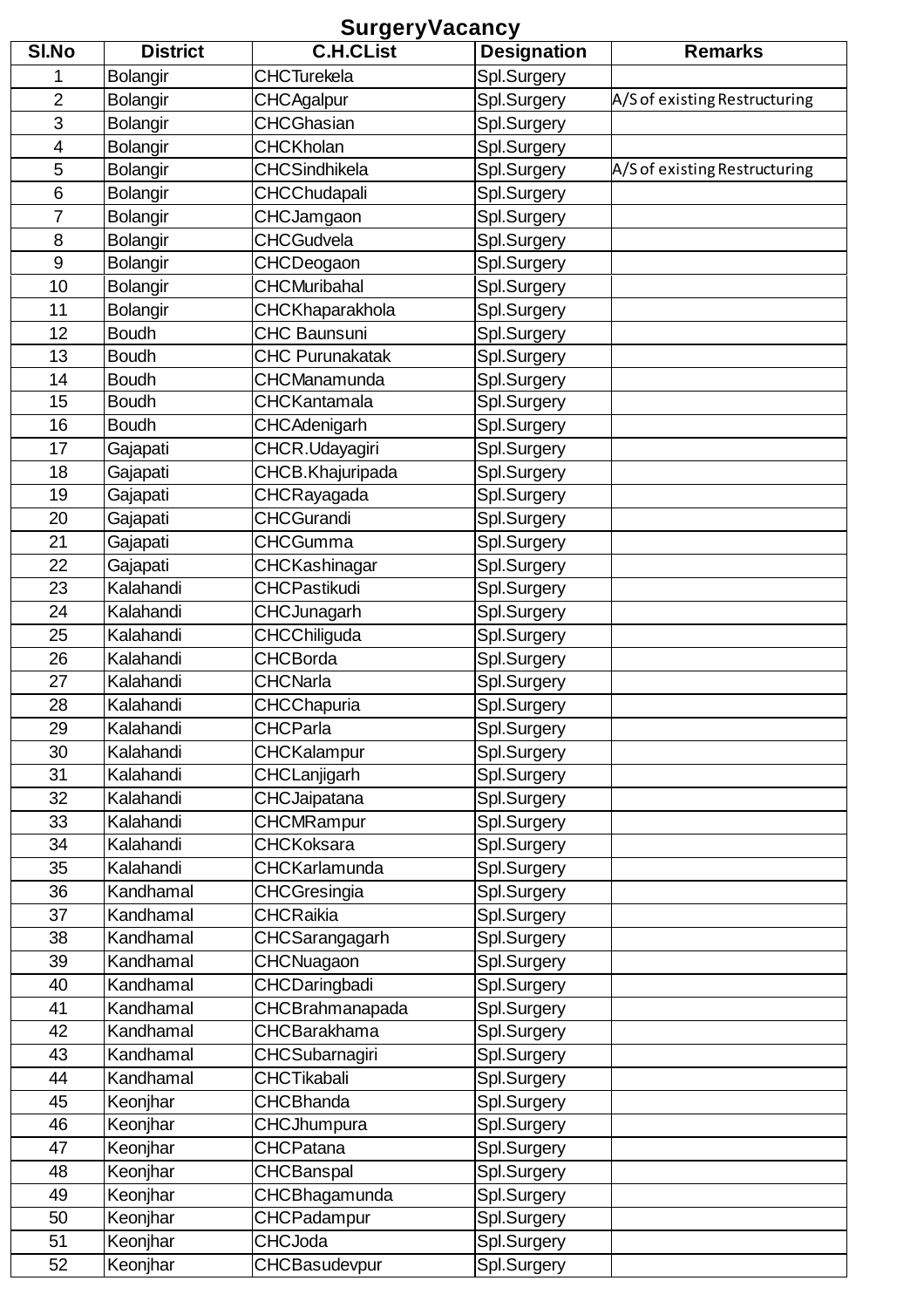## **SurgeryVacancy**

| SI.No          | <b>District</b> | <b>C.H.CList</b>       | <b>Designation</b> | <b>Remarks</b>                |
|----------------|-----------------|------------------------|--------------------|-------------------------------|
| 1              | <b>Bolangir</b> | <b>CHCTurekela</b>     | Spl.Surgery        |                               |
| $\overline{2}$ | <b>Bolangir</b> | <b>CHCAgalpur</b>      | Spl.Surgery        | A/S of existing Restructuring |
| 3              | <b>Bolangir</b> | <b>CHCGhasian</b>      | Spl.Surgery        |                               |
| 4              | <b>Bolangir</b> | <b>CHCKholan</b>       | Spl.Surgery        |                               |
| 5              | <b>Bolangir</b> | <b>CHCSindhikela</b>   | Spl.Surgery        | A/S of existing Restructuring |
| 6              | <b>Bolangir</b> | <b>CHCChudapali</b>    | Spl.Surgery        |                               |
| 7              | <b>Bolangir</b> | CHCJamgaon             | Spl.Surgery        |                               |
| 8              | <b>Bolangir</b> | <b>CHCGudvela</b>      | Spl.Surgery        |                               |
| $\overline{9}$ | <b>Bolangir</b> | CHCDeogaon             | Spl.Surgery        |                               |
| 10             | <b>Bolangir</b> | <b>CHCMuribahal</b>    | Spl.Surgery        |                               |
| 11             | <b>Bolangir</b> | CHCKhaparakhola        | Spl.Surgery        |                               |
| 12             | <b>Boudh</b>    | <b>CHC Baunsuni</b>    | Spl.Surgery        |                               |
| 13             | <b>Boudh</b>    | <b>CHC Purunakatak</b> | Spl.Surgery        |                               |
| 14             | <b>Boudh</b>    | CHCManamunda           | Spl.Surgery        |                               |
| 15             | <b>Boudh</b>    | <b>CHCKantamala</b>    | Spl.Surgery        |                               |
| 16             | <b>Boudh</b>    | CHCAdenigarh           | Spl.Surgery        |                               |
| 17             | Gajapati        | CHCR.Udayagiri         | Spl.Surgery        |                               |
| 18             | Gajapati        | CHCB.Khajuripada       | Spl.Surgery        |                               |
| 19             | Gajapati        | CHCRayagada            | Spl.Surgery        |                               |
| 20             | Gajapati        | <b>CHCGurandi</b>      | Spl.Surgery        |                               |
| 21             | Gajapati        | <b>CHCGumma</b>        | Spl.Surgery        |                               |
| 22             | Gajapati        | CHCKashinagar          | Spl.Surgery        |                               |
| 23             | Kalahandi       | <b>CHCPastikudi</b>    | Spl.Surgery        |                               |
| 24             | Kalahandi       | <b>CHCJunagarh</b>     | Spl.Surgery        |                               |
| 25             | Kalahandi       | CHCChiliguda           | Spl.Surgery        |                               |
| 26             | Kalahandi       | CHCBorda               | Spl.Surgery        |                               |
| 27             | Kalahandi       | <b>CHCNarla</b>        | Spl.Surgery        |                               |
| 28             | Kalahandi       | CHCChapuria            | Spl.Surgery        |                               |
| 29             | Kalahandi       | <b>CHCParla</b>        | Spl.Surgery        |                               |
| 30             | Kalahandi       | <b>CHCKalampur</b>     | Spl.Surgery        |                               |
| 31             | Kalahandi       | CHCLanjigarh           | Spl.Surgery        |                               |
| 32             | Kalahandi       | <b>CHCJaipatana</b>    | Spl.Surgery        |                               |
| 33             | Kalahandi       | <b>CHCMRampur</b>      | Spl.Surgery        |                               |
| 34             | Kalahandi       | <b>CHCKoksara</b>      | Spl.Surgery        |                               |
| 35             | Kalahandi       | <b>CHCKarlamunda</b>   | Spl.Surgery        |                               |
| 36             | Kandhamal       | <b>CHCGresingia</b>    | Spl.Surgery        |                               |
| 37             | Kandhamal       | <b>CHCRaikia</b>       | Spl.Surgery        |                               |
| 38             | Kandhamal       | CHCSarangagarh         | Spl.Surgery        |                               |
| 39             | Kandhamal       | CHCNuagaon             | Spl.Surgery        |                               |
| 40             | Kandhamal       | CHCDaringbadi          | Spl.Surgery        |                               |
| 41             | Kandhamal       | CHCBrahmanapada        | Spl.Surgery        |                               |
| 42             | Kandhamal       | <b>CHCBarakhama</b>    | Spl.Surgery        |                               |
| 43             | Kandhamal       | CHCSubarnagiri         | Spl.Surgery        |                               |
| 44             | Kandhamal       | <b>CHCTikabali</b>     | Spl.Surgery        |                               |
| 45             | Keonjhar        | <b>CHCBhanda</b>       | Spl.Surgery        |                               |
| 46             | Keonjhar        | <b>CHCJhumpura</b>     | Spl.Surgery        |                               |
| 47             | Keonjhar        | <b>CHCPatana</b>       | Spl.Surgery        |                               |
| 48             | Keonjhar        | <b>CHCBanspal</b>      | Spl.Surgery        |                               |
| 49             | Keonjhar        | CHCBhagamunda          | Spl.Surgery        |                               |
| 50             | Keonjhar        | CHCPadampur            | Spl.Surgery        |                               |
| 51             | Keonjhar        | <b>CHCJoda</b>         | Spl.Surgery        |                               |
| 52             | Keonjhar        | CHCBasudevpur          | Spl.Surgery        |                               |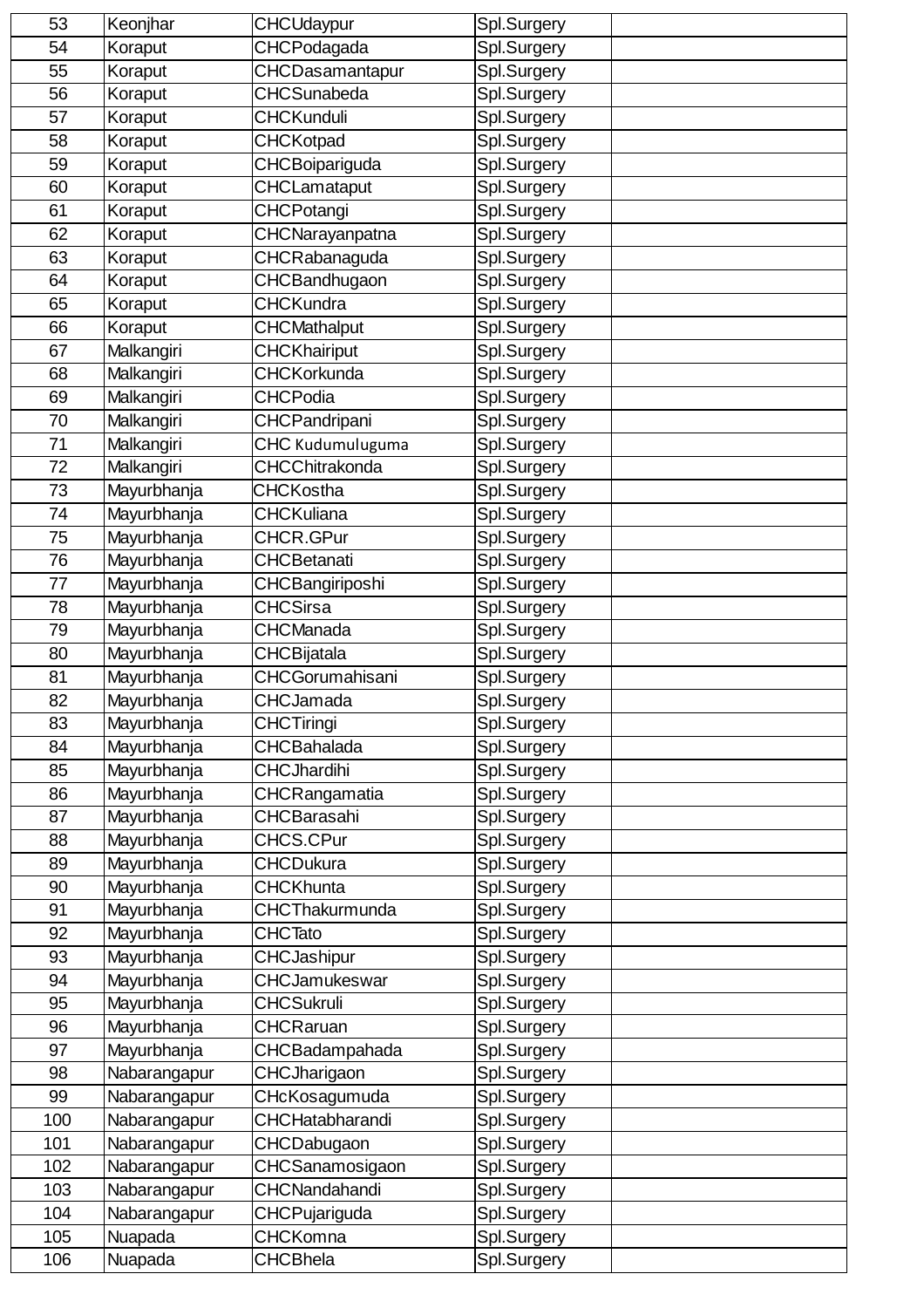| 53  | Keonjhar     | <b>CHCUdaypur</b>      | Spl.Surgery |
|-----|--------------|------------------------|-------------|
| 54  | Koraput      | CHCPodagada            | Spl.Surgery |
| 55  | Koraput      | CHCDasamantapur        | Spl.Surgery |
| 56  | Koraput      | <b>CHCSunabeda</b>     | Spl.Surgery |
| 57  | Koraput      | <b>CHCKunduli</b>      | Spl.Surgery |
| 58  | Koraput      | <b>CHCKotpad</b>       | Spl.Surgery |
| 59  | Koraput      | CHCBoipariguda         | Spl.Surgery |
| 60  | Koraput      | <b>CHCLamataput</b>    | Spl.Surgery |
| 61  | Koraput      | CHCPotangi             | Spl.Surgery |
| 62  | Koraput      | CHCNarayanpatna        | Spl.Surgery |
| 63  | Koraput      | CHCRabanaguda          | Spl.Surgery |
| 64  | Koraput      | CHCBandhugaon          | Spl.Surgery |
| 65  | Koraput      | <b>CHCKundra</b>       | Spl.Surgery |
| 66  | Koraput      | <b>CHCMathalput</b>    | Spl.Surgery |
| 67  | Malkangiri   | <b>CHCKhairiput</b>    | Spl.Surgery |
| 68  | Malkangiri   | <b>CHCKorkunda</b>     | Spl.Surgery |
| 69  | Malkangiri   | <b>CHCPodia</b>        | Spl.Surgery |
| 70  | Malkangiri   | CHCPandripani          | Spl.Surgery |
| 71  | Malkangiri   | CHC Kudumuluguma       | Spl.Surgery |
| 72  | Malkangiri   | CHCChitrakonda         | Spl.Surgery |
| 73  | Mayurbhanja  | <b>CHCKostha</b>       | Spl.Surgery |
| 74  | Mayurbhanja  | <b>CHCKuliana</b>      | Spl.Surgery |
| 75  | Mayurbhanja  | CHCR.GPur              | Spl.Surgery |
| 76  | Mayurbhanja  | <b>CHCBetanati</b>     | Spl.Surgery |
| 77  | Mayurbhanja  | CHCBangiriposhi        | Spl.Surgery |
| 78  | Mayurbhanja  | <b>CHCSirsa</b>        | Spl.Surgery |
| 79  | Mayurbhanja  | <b>CHCManada</b>       | Spl.Surgery |
| 80  | Mayurbhanja  | CHCBijatala            | Spl.Surgery |
| 81  | Mayurbhanja  | <b>CHCGorumahisani</b> | Spl.Surgery |
| 82  | Mayurbhanja  | <b>CHCJamada</b>       | Spl.Surgery |
| 83  | Mayurbhanja  | <b>CHCTiringi</b>      | Spl.Surgery |
| 84  | Mayurbhanja  | <b>CHCBahalada</b>     | Spl.Surgery |
| 85  | Mayurbhanja  | <b>CHCJhardihi</b>     | Spl.Surgery |
| 86  | Mayurbhanja  | CHCRangamatia          | Spl.Surgery |
| 87  | Mayurbhanja  | <b>CHCBarasahi</b>     | Spl.Surgery |
| 88  | Mayurbhanja  | CHCS.CPur              | Spl.Surgery |
| 89  | Mayurbhanja  | CHCDukura              | Spl.Surgery |
| 90  | Mayurbhanja  | <b>CHCKhunta</b>       | Spl.Surgery |
| 91  | Mayurbhanja  | <b>CHCThakurmunda</b>  | Spl.Surgery |
| 92  | Mayurbhanja  | <b>CHCTato</b>         | Spl.Surgery |
| 93  | Mayurbhanja  | CHCJashipur            | Spl.Surgery |
| 94  | Mayurbhanja  | CHCJamukeswar          | Spl.Surgery |
| 95  | Mayurbhanja  | <b>CHCSukruli</b>      | Spl.Surgery |
| 96  | Mayurbhanja  | <b>CHCRaruan</b>       | Spl.Surgery |
| 97  | Mayurbhanja  | CHCBadampahada         | Spl.Surgery |
| 98  | Nabarangapur | CHCJharigaon           | Spl.Surgery |
| 99  | Nabarangapur | CHcKosagumuda          | Spl.Surgery |
| 100 | Nabarangapur | <b>CHCHatabharandi</b> | Spl.Surgery |
| 101 | Nabarangapur | <b>CHCDabugaon</b>     | Spl.Surgery |
| 102 | Nabarangapur | CHCSanamosigaon        | Spl.Surgery |
| 103 | Nabarangapur | CHCNandahandi          | Spl.Surgery |
| 104 | Nabarangapur | CHCPujariguda          | Spl.Surgery |
| 105 | Nuapada      | <b>CHCKomna</b>        | Spl.Surgery |
| 106 | Nuapada      | <b>CHCBhela</b>        | Spl.Surgery |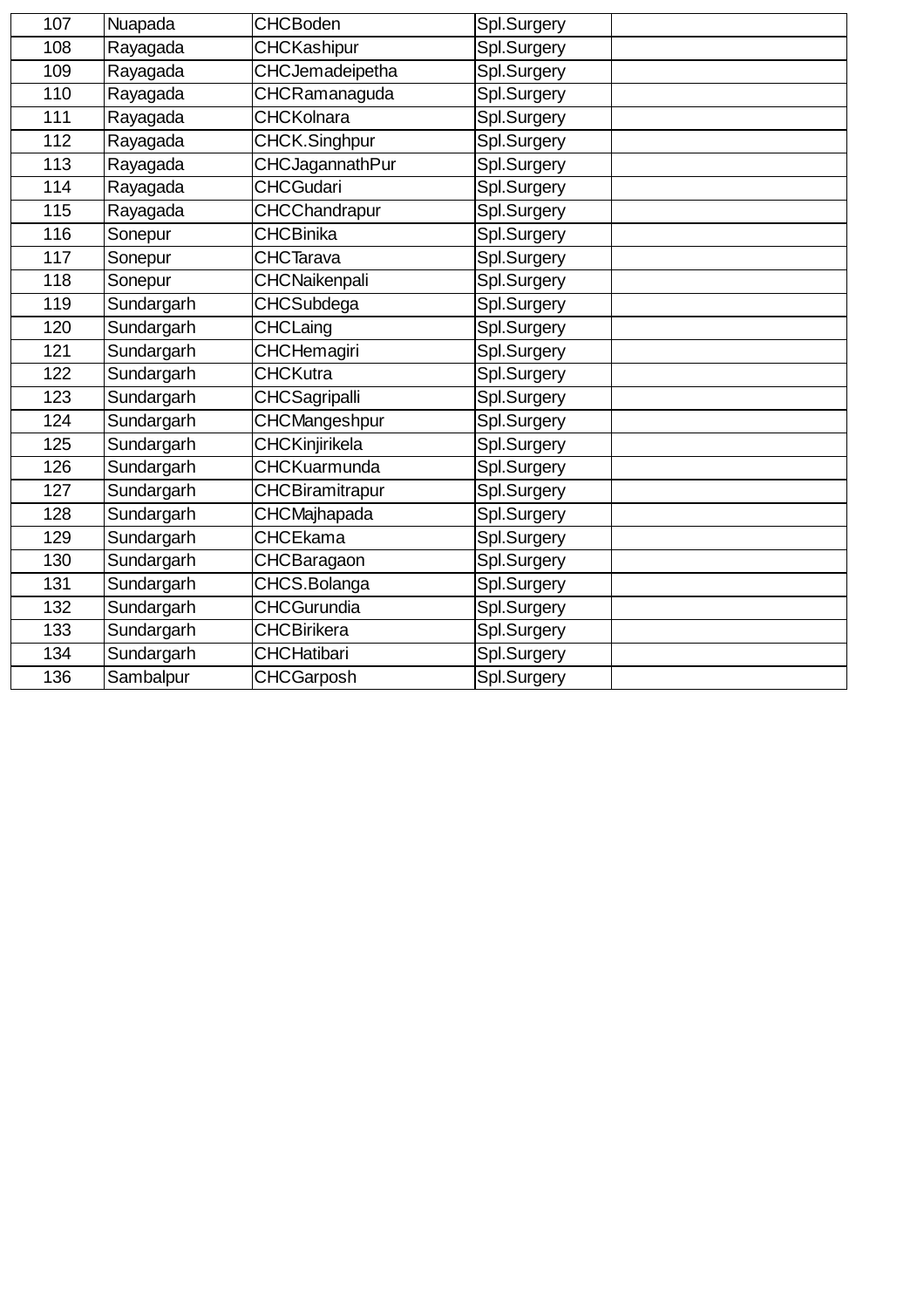| 107 | Nuapada    | <b>CHCBoden</b>        | Spl.Surgery |
|-----|------------|------------------------|-------------|
| 108 | Rayagada   | <b>CHCKashipur</b>     | Spl.Surgery |
| 109 | Rayagada   | CHCJemadeipetha        | Spl.Surgery |
| 110 | Rayagada   | CHCRamanaguda          | Spl.Surgery |
| 111 | Rayagada   | <b>CHCKolnara</b>      | Spl.Surgery |
| 112 | Rayagada   | CHCK.Singhpur          | Spl.Surgery |
| 113 | Rayagada   | <b>CHCJagannathPur</b> | Spl.Surgery |
| 114 | Rayagada   | <b>CHCGudari</b>       | Spl.Surgery |
| 115 | Rayagada   | CHCChandrapur          | Spl.Surgery |
| 116 | Sonepur    | <b>CHCBinika</b>       | Spl.Surgery |
| 117 | Sonepur    | <b>CHCTarava</b>       | Spl.Surgery |
| 118 | Sonepur    | CHCNaikenpali          | Spl.Surgery |
| 119 | Sundargarh | CHCSubdega             | Spl.Surgery |
| 120 | Sundargarh | CHCLaing               | Spl.Surgery |
| 121 | Sundargarh | <b>CHCHemagiri</b>     | Spl.Surgery |
| 122 | Sundargarh | <b>CHCKutra</b>        | Spl.Surgery |
| 123 | Sundargarh | <b>CHCSagripalli</b>   | Spl.Surgery |
| 124 | Sundargarh | CHCMangeshpur          | Spl.Surgery |
| 125 | Sundargarh | CHCKinjirikela         | Spl.Surgery |
| 126 | Sundargarh | <b>CHCKuarmunda</b>    | Spl.Surgery |
| 127 | Sundargarh | <b>CHCBiramitrapur</b> | Spl.Surgery |
| 128 | Sundargarh | <b>CHCMajhapada</b>    | Spl.Surgery |
| 129 | Sundargarh | <b>CHCEkama</b>        | Spl.Surgery |
| 130 | Sundargarh | CHCBaragaon            | Spl.Surgery |
| 131 | Sundargarh | CHCS.Bolanga           | Spl.Surgery |
| 132 | Sundargarh | <b>CHCGurundia</b>     | Spl.Surgery |
| 133 | Sundargarh | <b>CHCBirikera</b>     | Spl.Surgery |
| 134 | Sundargarh | <b>CHCHatibari</b>     | Spl.Surgery |
| 136 | Sambalpur  | <b>CHCGarposh</b>      | Spl.Surgery |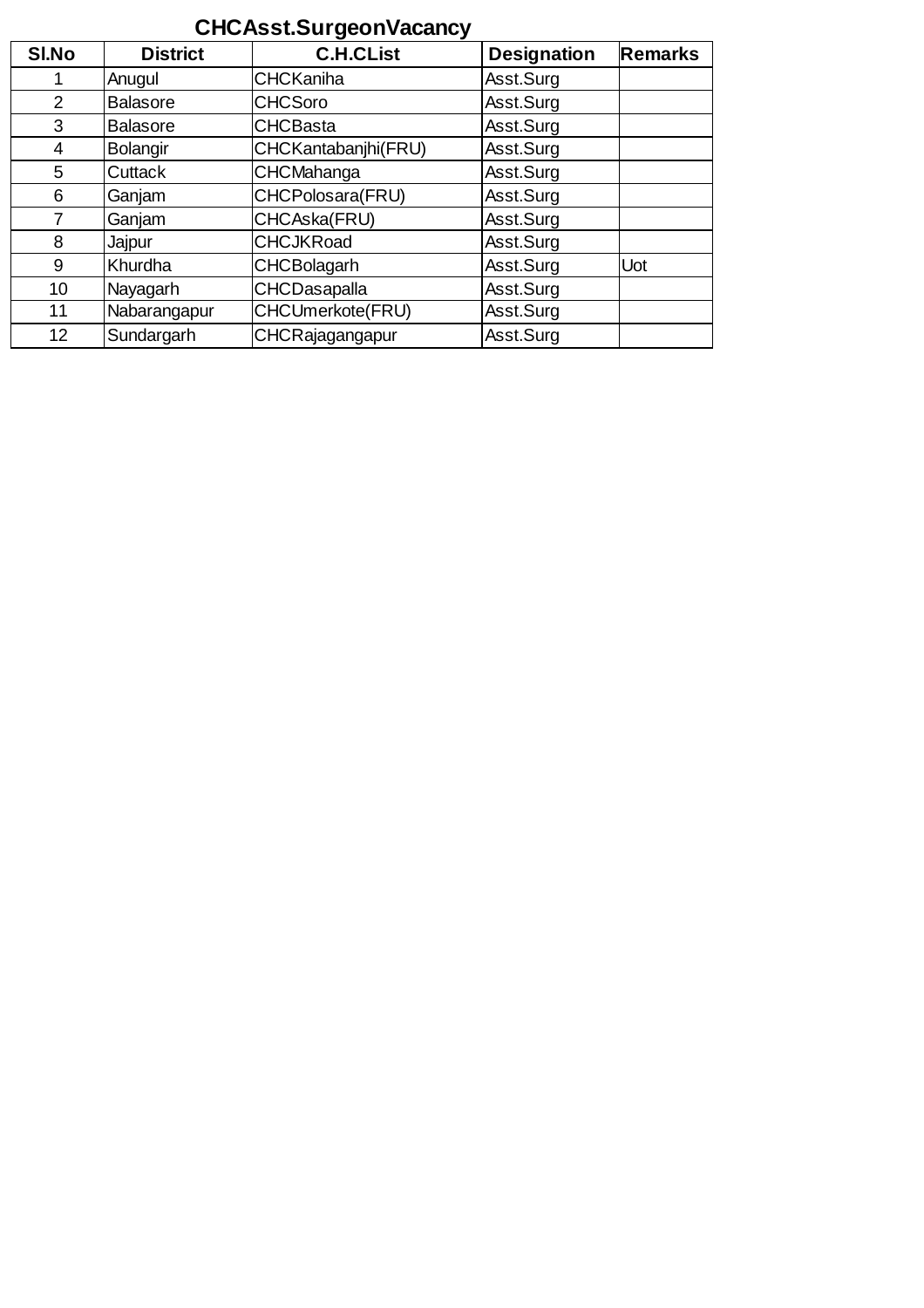## **CHCAsst.SurgeonVacancy**

| SI.No           | <b>District</b> | <b>C.H.CList</b>    | <b>Designation</b> | <b>Remarks</b> |
|-----------------|-----------------|---------------------|--------------------|----------------|
|                 | Anugul          | <b>CHCKaniha</b>    | Asst.Surg          |                |
| 2               | <b>Balasore</b> | <b>CHCSoro</b>      | Asst.Surg          |                |
| 3               | <b>Balasore</b> | <b>CHCBasta</b>     | Asst.Surg          |                |
| 4               | <b>Bolangir</b> | CHCKantabanjhi(FRU) | Asst.Surg          |                |
| 5               | <b>Cuttack</b>  | <b>CHCMahanga</b>   | Asst.Surg          |                |
| 6               | Ganjam          | CHCPolosara(FRU)    | Asst.Surg          |                |
|                 | Ganjam          | CHCAska(FRU)        | Asst.Surg          |                |
| 8               | Jajpur          | <b>CHCJKRoad</b>    | Asst.Surg          |                |
| 9               | Khurdha         | <b>CHCBolagarh</b>  | Asst.Surg          | Uot            |
| 10              | Nayagarh        | <b>CHCDasapalla</b> | Asst.Surg          |                |
| 11              | Nabarangapur    | CHCUmerkote(FRU)    | Asst.Surg          |                |
| 12 <sup>°</sup> | Sundargarh      | CHCRajagangapur     | Asst.Surg          |                |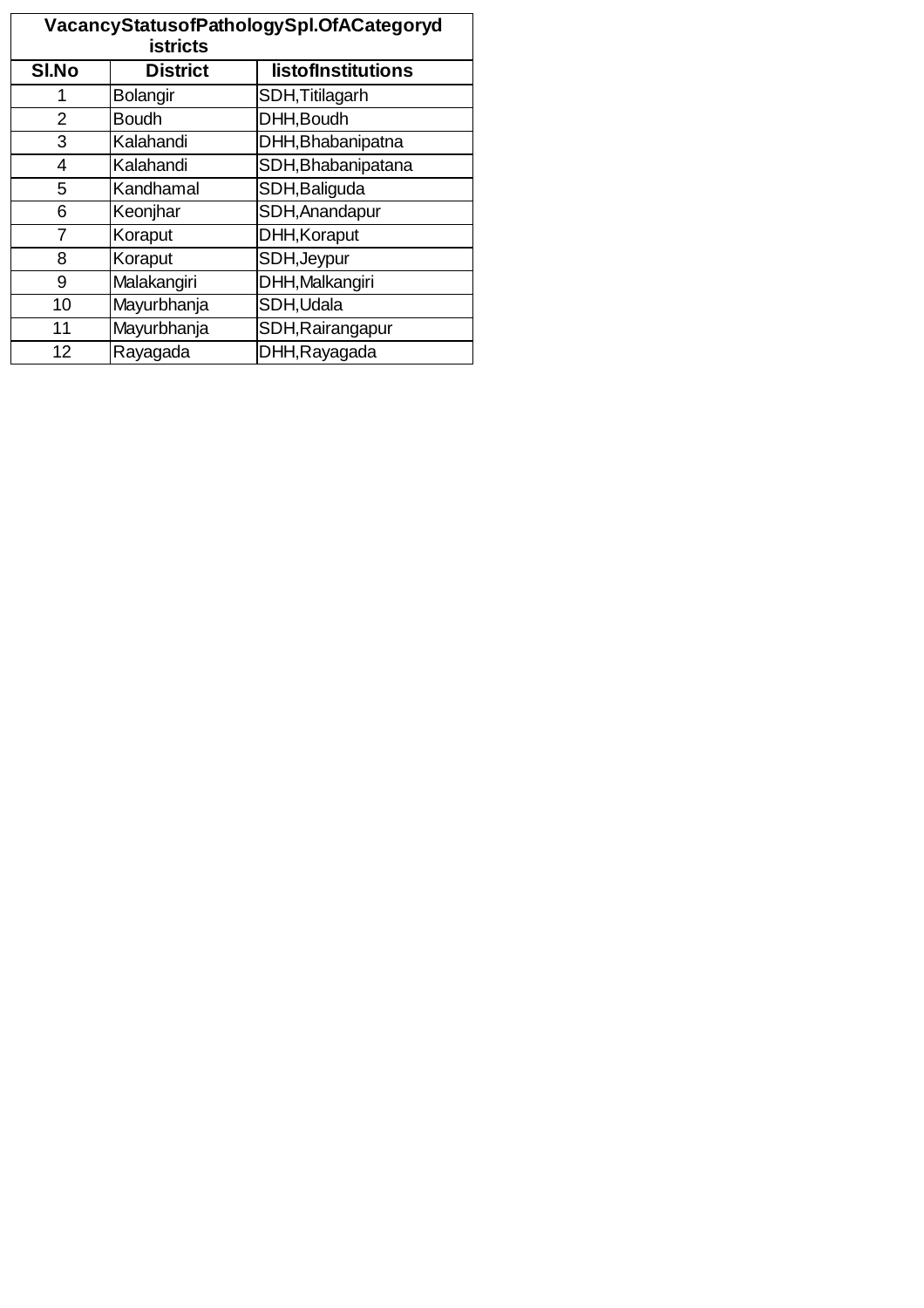| VacancyStatusofPathologySpl.OfACategoryd<br><b>istricts</b> |                 |                    |  |  |
|-------------------------------------------------------------|-----------------|--------------------|--|--|
| SI.No                                                       | <b>District</b> | listofInstitutions |  |  |
| 1                                                           | <b>Bolangir</b> | SDH, Titilagarh    |  |  |
| 2                                                           | <b>Boudh</b>    | DHH, Boudh         |  |  |
| 3                                                           | Kalahandi       | DHH, Bhabanipatna  |  |  |
| 4                                                           | Kalahandi       | SDH, Bhabanipatana |  |  |
| 5                                                           | Kandhamal       | SDH, Baliguda      |  |  |
| 6                                                           | Keonjhar        | SDH, Anandapur     |  |  |
| 7                                                           | Koraput         | DHH, Koraput       |  |  |
| 8                                                           | Koraput         | SDH, Jeypur        |  |  |
| 9                                                           | Malakangiri     | DHH, Malkangiri    |  |  |
| 10                                                          | Mayurbhanja     | SDH, Udala         |  |  |
| 11                                                          | Mayurbhanja     | SDH, Rairangapur   |  |  |
| 12                                                          | Rayagada        | DHH, Rayagada      |  |  |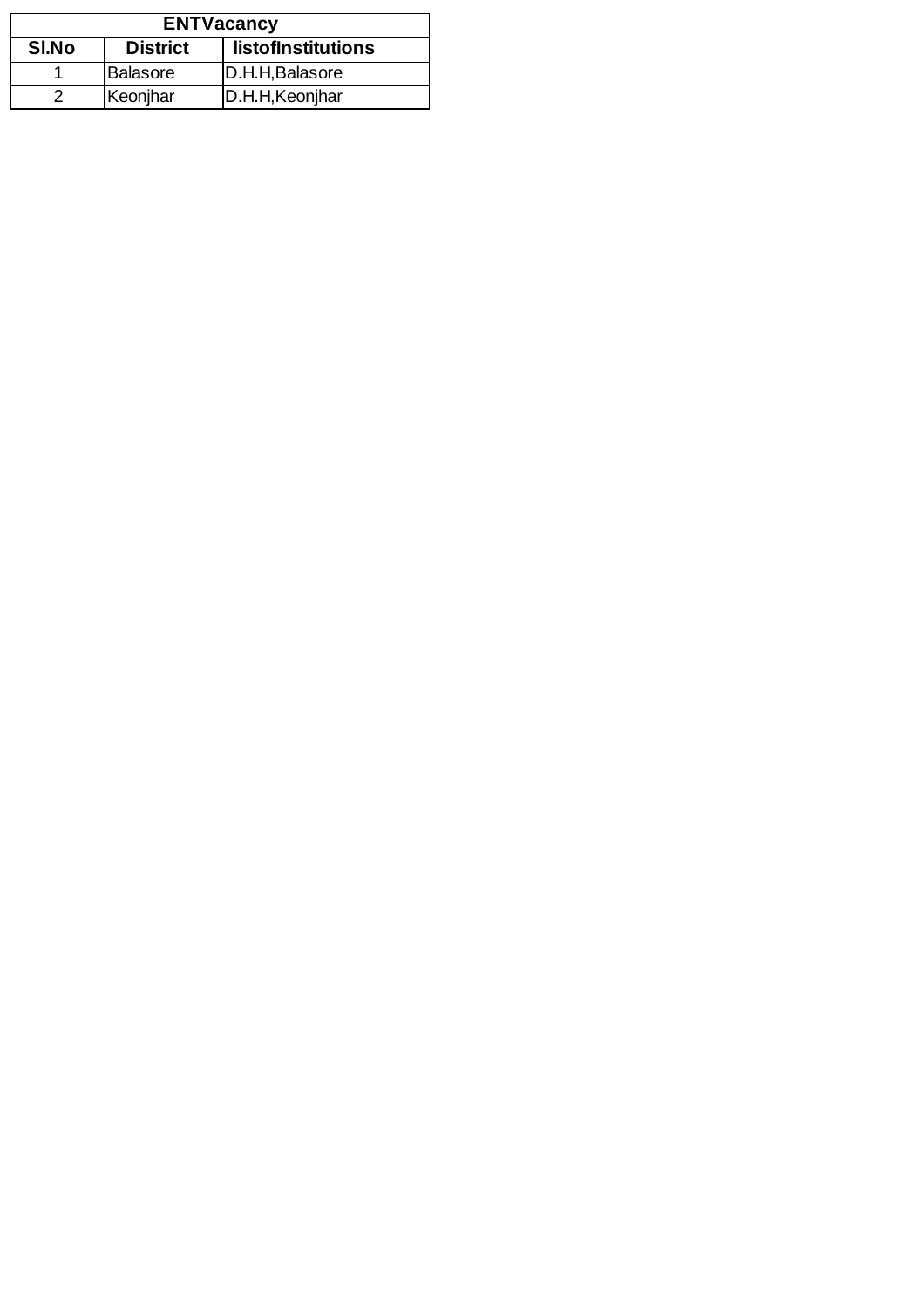| <b>ENTVacancy</b>                              |          |                 |  |
|------------------------------------------------|----------|-----------------|--|
| SI.No<br><b>District</b><br>listofInstitutions |          |                 |  |
|                                                | Balasore | D.H.H.Balasore  |  |
|                                                | Keonjhar | D.H.H, Keonjhar |  |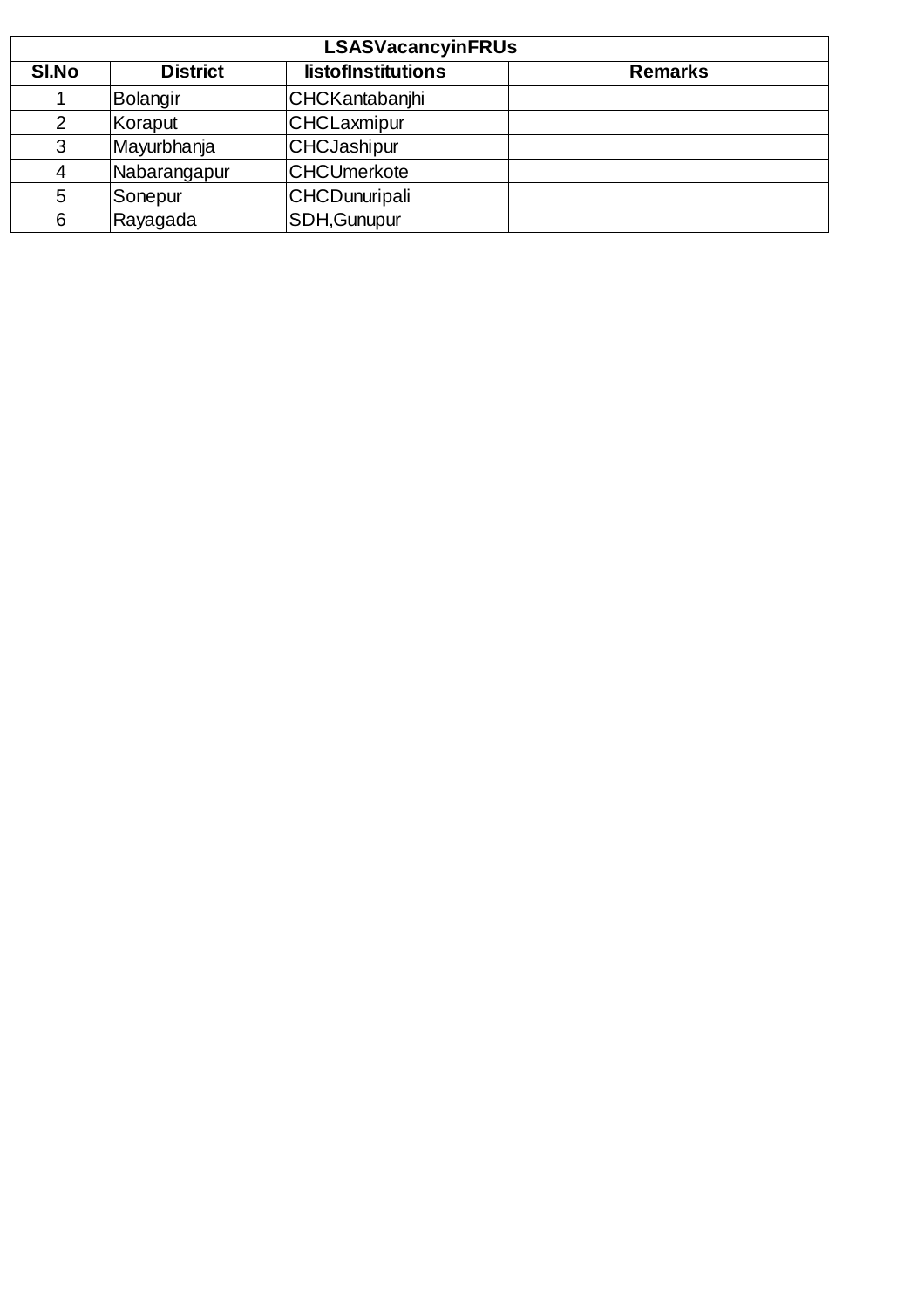| <b>LSASVacancyinFRUs</b> |                 |                       |                |  |
|--------------------------|-----------------|-----------------------|----------------|--|
| <b>SI.No</b>             | <b>District</b> | listofInstitutions    | <b>Remarks</b> |  |
|                          | Bolangir        | <b>CHCKantabanjhi</b> |                |  |
| 2                        | Koraput         | CHCLaxmipur           |                |  |
| 3                        | Mayurbhanja     | <b>CHCJashipur</b>    |                |  |
| $\overline{4}$           | Nabarangapur    | <b>CHCUmerkote</b>    |                |  |
| 5                        | Sonepur         | CHCDunuripali         |                |  |
| 6                        | Rayagada        | SDH, Gunupur          |                |  |